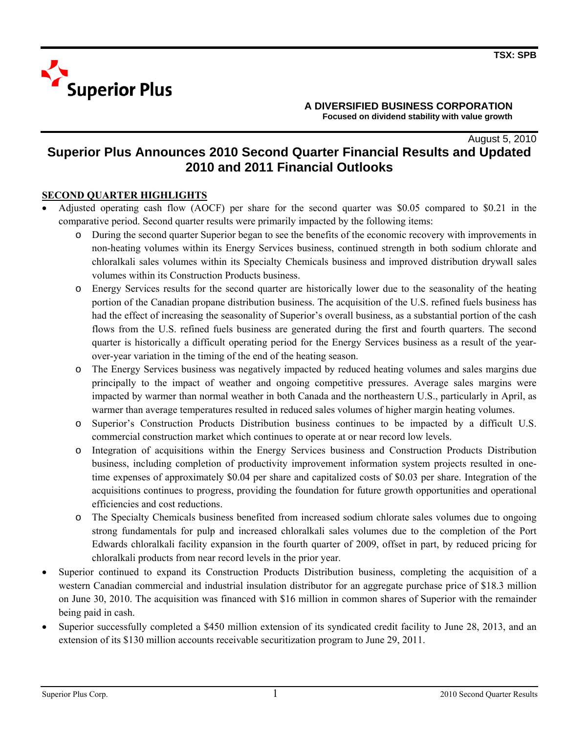

 **Focused on dividend stability with value growth** 

August 5, 2010

# **Superior Plus Announces 2010 Second Quarter Financial Results and Updated 2010 and 2011 Financial Outlooks**

## **SECOND QUARTER HIGHLIGHTS**

- Adjusted operating cash flow (AOCF) per share for the second quarter was \$0.05 compared to \$0.21 in the comparative period. Second quarter results were primarily impacted by the following items:
	- o During the second quarter Superior began to see the benefits of the economic recovery with improvements in non-heating volumes within its Energy Services business, continued strength in both sodium chlorate and chloralkali sales volumes within its Specialty Chemicals business and improved distribution drywall sales volumes within its Construction Products business.
	- o Energy Services results for the second quarter are historically lower due to the seasonality of the heating portion of the Canadian propane distribution business. The acquisition of the U.S. refined fuels business has had the effect of increasing the seasonality of Superior's overall business, as a substantial portion of the cash flows from the U.S. refined fuels business are generated during the first and fourth quarters. The second quarter is historically a difficult operating period for the Energy Services business as a result of the yearover-year variation in the timing of the end of the heating season.
	- o The Energy Services business was negatively impacted by reduced heating volumes and sales margins due principally to the impact of weather and ongoing competitive pressures. Average sales margins were impacted by warmer than normal weather in both Canada and the northeastern U.S., particularly in April, as warmer than average temperatures resulted in reduced sales volumes of higher margin heating volumes.
	- o Superior's Construction Products Distribution business continues to be impacted by a difficult U.S. commercial construction market which continues to operate at or near record low levels.
	- o Integration of acquisitions within the Energy Services business and Construction Products Distribution business, including completion of productivity improvement information system projects resulted in onetime expenses of approximately \$0.04 per share and capitalized costs of \$0.03 per share. Integration of the acquisitions continues to progress, providing the foundation for future growth opportunities and operational efficiencies and cost reductions.
	- o The Specialty Chemicals business benefited from increased sodium chlorate sales volumes due to ongoing strong fundamentals for pulp and increased chloralkali sales volumes due to the completion of the Port Edwards chloralkali facility expansion in the fourth quarter of 2009, offset in part, by reduced pricing for chloralkali products from near record levels in the prior year.
- Superior continued to expand its Construction Products Distribution business, completing the acquisition of a western Canadian commercial and industrial insulation distributor for an aggregate purchase price of \$18.3 million on June 30, 2010. The acquisition was financed with \$16 million in common shares of Superior with the remainder being paid in cash.
- Superior successfully completed a \$450 million extension of its syndicated credit facility to June 28, 2013, and an extension of its \$130 million accounts receivable securitization program to June 29, 2011.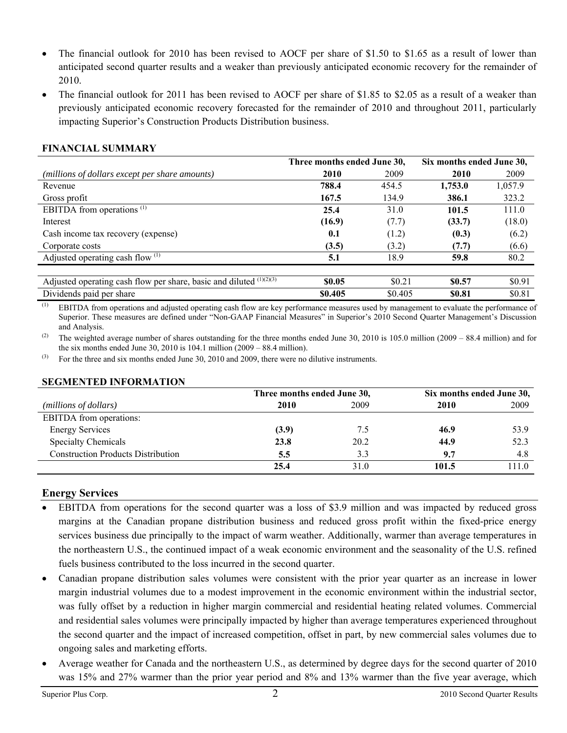- The financial outlook for 2010 has been revised to AOCF per share of \$1.50 to \$1.65 as a result of lower than anticipated second quarter results and a weaker than previously anticipated economic recovery for the remainder of 2010.
- The financial outlook for 2011 has been revised to AOCF per share of \$1.85 to \$2.05 as a result of a weaker than previously anticipated economic recovery forecasted for the remainder of 2010 and throughout 2011, particularly impacting Superior's Construction Products Distribution business.

### **FINANCIAL SUMMARY**

|                                                                       | Three months ended June 30, |         | Six months ended June 30, |         |  |
|-----------------------------------------------------------------------|-----------------------------|---------|---------------------------|---------|--|
| (millions of dollars except per share amounts)                        | 2010                        | 2009    | 2010                      | 2009    |  |
| Revenue                                                               | 788.4                       | 454.5   | 1,753.0                   | 1,057.9 |  |
| Gross profit                                                          | 167.5                       | 134.9   | 386.1                     | 323.2   |  |
| EBITDA from operations $(1)$                                          | 25.4                        | 31.0    | 101.5                     | 111.0   |  |
| Interest                                                              | (16.9)                      | (7.7)   | (33.7)                    | (18.0)  |  |
| Cash income tax recovery (expense)                                    | 0.1                         | (1.2)   | (0.3)                     | (6.2)   |  |
| Corporate costs                                                       | (3.5)                       | (3.2)   | (7.7)                     | (6.6)   |  |
| Adjusted operating cash flow <sup>(1)</sup>                           | 5.1                         | 18.9    | 59.8                      | 80.2    |  |
|                                                                       |                             |         |                           |         |  |
| Adjusted operating cash flow per share, basic and diluted $(1)(2)(3)$ | \$0.05                      | \$0.21  | \$0.57                    | \$0.91  |  |
| Dividends paid per share                                              | \$0.405                     | \$0.405 | \$0.81                    | \$0.81  |  |

(1) EBITDA from operations and adjusted operating cash flow are key performance measures used by management to evaluate the performance of Superior. These measures are defined under "Non-GAAP Financial Measures" in Superior's 2010 Second Quarter Management's Discussion and Analysis.

<sup>(2)</sup> The weighted average number of shares outstanding for the three months ended June 30, 2010 is 105.0 million (2009 – 88.4 million) and for the six months ended June 30, 2010 is 104.1 million (2009 – 88.4 million).

 $^{(3)}$  For the three and six months ended June 30, 2010 and 2009, there were no dilutive instruments.

## **SEGMENTED INFORMATION**

|                                           | Three months ended June 30, |      | Six months ended June 30, |      |  |
|-------------------------------------------|-----------------------------|------|---------------------------|------|--|
| (millions of dollars)                     | 2010                        | 2009 | 2010                      | 2009 |  |
| <b>EBITDA</b> from operations:            |                             |      |                           |      |  |
| <b>Energy Services</b>                    | (3.9)                       | 7.5  | 46.9                      | 53.9 |  |
| <b>Specialty Chemicals</b>                | 23.8                        | 20.2 | 44.9                      | 52.3 |  |
| <b>Construction Products Distribution</b> | 5.5                         | 3.3  | 9.7                       | 4.8  |  |
|                                           | 25.4                        | 31.0 | 101.5                     | 1110 |  |

## **Energy Services**

- EBITDA from operations for the second quarter was a loss of \$3.9 million and was impacted by reduced gross margins at the Canadian propane distribution business and reduced gross profit within the fixed-price energy services business due principally to the impact of warm weather. Additionally, warmer than average temperatures in the northeastern U.S., the continued impact of a weak economic environment and the seasonality of the U.S. refined fuels business contributed to the loss incurred in the second quarter.
- Canadian propane distribution sales volumes were consistent with the prior year quarter as an increase in lower margin industrial volumes due to a modest improvement in the economic environment within the industrial sector, was fully offset by a reduction in higher margin commercial and residential heating related volumes. Commercial and residential sales volumes were principally impacted by higher than average temperatures experienced throughout the second quarter and the impact of increased competition, offset in part, by new commercial sales volumes due to ongoing sales and marketing efforts.
- Average weather for Canada and the northeastern U.S., as determined by degree days for the second quarter of 2010 was 15% and 27% warmer than the prior year period and 8% and 13% warmer than the five year average, which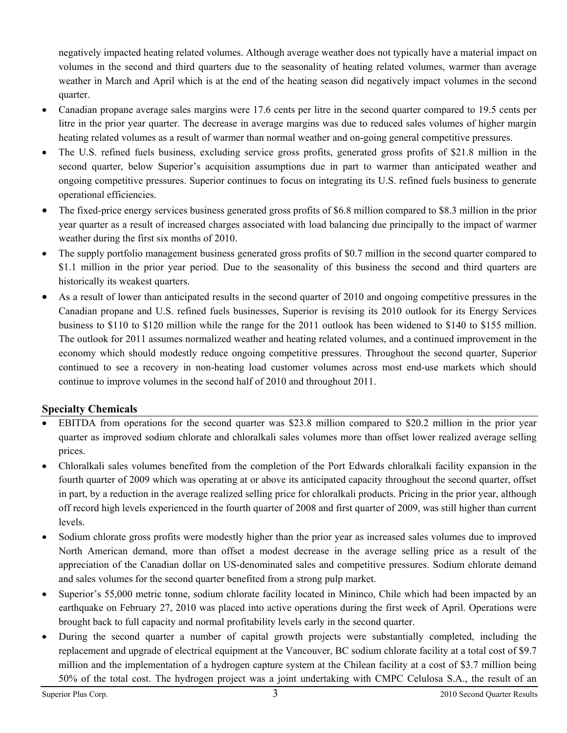negatively impacted heating related volumes. Although average weather does not typically have a material impact on volumes in the second and third quarters due to the seasonality of heating related volumes, warmer than average weather in March and April which is at the end of the heating season did negatively impact volumes in the second quarter.

- Canadian propane average sales margins were 17.6 cents per litre in the second quarter compared to 19.5 cents per litre in the prior year quarter. The decrease in average margins was due to reduced sales volumes of higher margin heating related volumes as a result of warmer than normal weather and on-going general competitive pressures.
- The U.S. refined fuels business, excluding service gross profits, generated gross profits of \$21.8 million in the second quarter, below Superior's acquisition assumptions due in part to warmer than anticipated weather and ongoing competitive pressures. Superior continues to focus on integrating its U.S. refined fuels business to generate operational efficiencies.
- The fixed-price energy services business generated gross profits of \$6.8 million compared to \$8.3 million in the prior year quarter as a result of increased charges associated with load balancing due principally to the impact of warmer weather during the first six months of 2010.
- The supply portfolio management business generated gross profits of \$0.7 million in the second quarter compared to \$1.1 million in the prior year period. Due to the seasonality of this business the second and third quarters are historically its weakest quarters.
- As a result of lower than anticipated results in the second quarter of 2010 and ongoing competitive pressures in the Canadian propane and U.S. refined fuels businesses, Superior is revising its 2010 outlook for its Energy Services business to \$110 to \$120 million while the range for the 2011 outlook has been widened to \$140 to \$155 million. The outlook for 2011 assumes normalized weather and heating related volumes, and a continued improvement in the economy which should modestly reduce ongoing competitive pressures. Throughout the second quarter, Superior continued to see a recovery in non-heating load customer volumes across most end-use markets which should continue to improve volumes in the second half of 2010 and throughout 2011.

## **Specialty Chemicals**

- EBITDA from operations for the second quarter was \$23.8 million compared to \$20.2 million in the prior year quarter as improved sodium chlorate and chloralkali sales volumes more than offset lower realized average selling prices.
- Chloralkali sales volumes benefited from the completion of the Port Edwards chloralkali facility expansion in the fourth quarter of 2009 which was operating at or above its anticipated capacity throughout the second quarter, offset in part, by a reduction in the average realized selling price for chloralkali products. Pricing in the prior year, although off record high levels experienced in the fourth quarter of 2008 and first quarter of 2009, was still higher than current levels.
- Sodium chlorate gross profits were modestly higher than the prior year as increased sales volumes due to improved North American demand, more than offset a modest decrease in the average selling price as a result of the appreciation of the Canadian dollar on US-denominated sales and competitive pressures. Sodium chlorate demand and sales volumes for the second quarter benefited from a strong pulp market.
- Superior's 55,000 metric tonne, sodium chlorate facility located in Mininco, Chile which had been impacted by an earthquake on February 27, 2010 was placed into active operations during the first week of April. Operations were brought back to full capacity and normal profitability levels early in the second quarter.
- During the second quarter a number of capital growth projects were substantially completed, including the replacement and upgrade of electrical equipment at the Vancouver, BC sodium chlorate facility at a total cost of \$9.7 million and the implementation of a hydrogen capture system at the Chilean facility at a cost of \$3.7 million being 50% of the total cost. The hydrogen project was a joint undertaking with CMPC Celulosa S.A., the result of an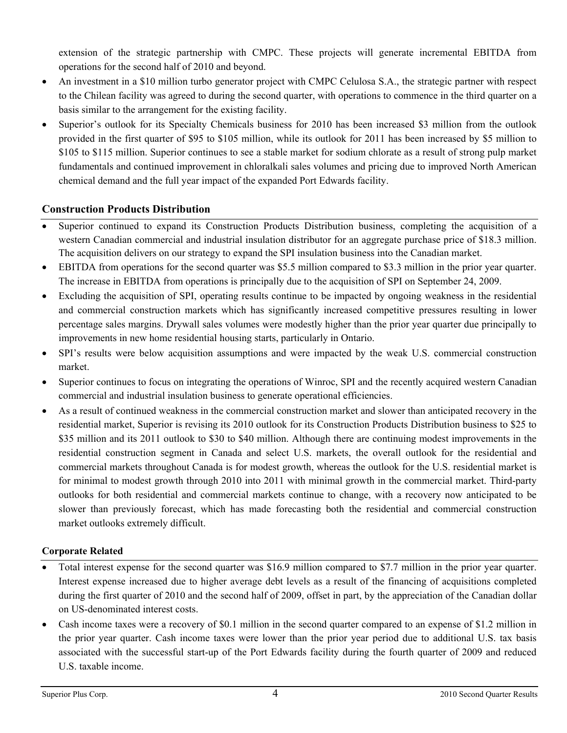extension of the strategic partnership with CMPC. These projects will generate incremental EBITDA from operations for the second half of 2010 and beyond.

- An investment in a \$10 million turbo generator project with CMPC Celulosa S.A., the strategic partner with respect to the Chilean facility was agreed to during the second quarter, with operations to commence in the third quarter on a basis similar to the arrangement for the existing facility.
- Superior's outlook for its Specialty Chemicals business for 2010 has been increased \$3 million from the outlook provided in the first quarter of \$95 to \$105 million, while its outlook for 2011 has been increased by \$5 million to \$105 to \$115 million. Superior continues to see a stable market for sodium chlorate as a result of strong pulp market fundamentals and continued improvement in chloralkali sales volumes and pricing due to improved North American chemical demand and the full year impact of the expanded Port Edwards facility.

## **Construction Products Distribution**

- Superior continued to expand its Construction Products Distribution business, completing the acquisition of a western Canadian commercial and industrial insulation distributor for an aggregate purchase price of \$18.3 million. The acquisition delivers on our strategy to expand the SPI insulation business into the Canadian market.
- EBITDA from operations for the second quarter was \$5.5 million compared to \$3.3 million in the prior year quarter. The increase in EBITDA from operations is principally due to the acquisition of SPI on September 24, 2009.
- Excluding the acquisition of SPI, operating results continue to be impacted by ongoing weakness in the residential and commercial construction markets which has significantly increased competitive pressures resulting in lower percentage sales margins. Drywall sales volumes were modestly higher than the prior year quarter due principally to improvements in new home residential housing starts, particularly in Ontario.
- SPI's results were below acquisition assumptions and were impacted by the weak U.S. commercial construction market.
- Superior continues to focus on integrating the operations of Winroc, SPI and the recently acquired western Canadian commercial and industrial insulation business to generate operational efficiencies.
- As a result of continued weakness in the commercial construction market and slower than anticipated recovery in the residential market, Superior is revising its 2010 outlook for its Construction Products Distribution business to \$25 to \$35 million and its 2011 outlook to \$30 to \$40 million. Although there are continuing modest improvements in the residential construction segment in Canada and select U.S. markets, the overall outlook for the residential and commercial markets throughout Canada is for modest growth, whereas the outlook for the U.S. residential market is for minimal to modest growth through 2010 into 2011 with minimal growth in the commercial market. Third-party outlooks for both residential and commercial markets continue to change, with a recovery now anticipated to be slower than previously forecast, which has made forecasting both the residential and commercial construction market outlooks extremely difficult.

## **Corporate Related**

- Total interest expense for the second quarter was \$16.9 million compared to \$7.7 million in the prior year quarter. Interest expense increased due to higher average debt levels as a result of the financing of acquisitions completed during the first quarter of 2010 and the second half of 2009, offset in part, by the appreciation of the Canadian dollar on US-denominated interest costs.
- Cash income taxes were a recovery of \$0.1 million in the second quarter compared to an expense of \$1.2 million in the prior year quarter. Cash income taxes were lower than the prior year period due to additional U.S. tax basis associated with the successful start-up of the Port Edwards facility during the fourth quarter of 2009 and reduced U.S. taxable income.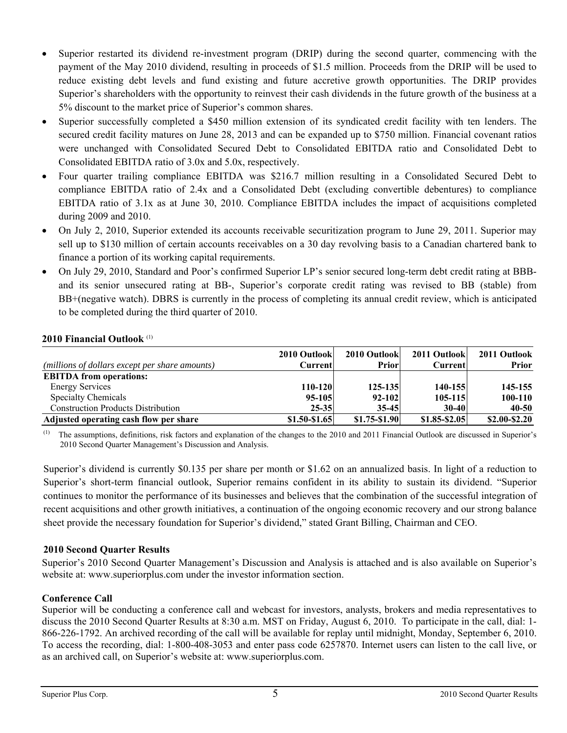- Superior restarted its dividend re-investment program (DRIP) during the second quarter, commencing with the payment of the May 2010 dividend, resulting in proceeds of \$1.5 million. Proceeds from the DRIP will be used to reduce existing debt levels and fund existing and future accretive growth opportunities. The DRIP provides Superior's shareholders with the opportunity to reinvest their cash dividends in the future growth of the business at a 5% discount to the market price of Superior's common shares.
- Superior successfully completed a \$450 million extension of its syndicated credit facility with ten lenders. The secured credit facility matures on June 28, 2013 and can be expanded up to \$750 million. Financial covenant ratios were unchanged with Consolidated Secured Debt to Consolidated EBITDA ratio and Consolidated Debt to Consolidated EBITDA ratio of 3.0x and 5.0x, respectively.
- Four quarter trailing compliance EBITDA was \$216.7 million resulting in a Consolidated Secured Debt to compliance EBITDA ratio of 2.4x and a Consolidated Debt (excluding convertible debentures) to compliance EBITDA ratio of 3.1x as at June 30, 2010. Compliance EBITDA includes the impact of acquisitions completed during 2009 and 2010.
- On July 2, 2010, Superior extended its accounts receivable securitization program to June 29, 2011. Superior may sell up to \$130 million of certain accounts receivables on a 30 day revolving basis to a Canadian chartered bank to finance a portion of its working capital requirements.
- On July 29, 2010, Standard and Poor's confirmed Superior LP's senior secured long-term debt credit rating at BBBand its senior unsecured rating at BB-, Superior's corporate credit rating was revised to BB (stable) from BB+(negative watch). DBRS is currently in the process of completing its annual credit review, which is anticipated to be completed during the third quarter of 2010.

## **2010 Financial Outlook** (1)

| sviv i mančan vagova                           |                          |                        |                         |                       |
|------------------------------------------------|--------------------------|------------------------|-------------------------|-----------------------|
| (millions of dollars except per share amounts) | 2010 Outlook<br>Currentl | 2010 Outlook<br>Priorl | 2011 Outlook<br>Current | 2011 Outlook<br>Prior |
| <b>EBITDA</b> from operations:                 |                          |                        |                         |                       |
| <b>Energy Services</b>                         | 110-120                  | 125-135                | 140-155                 | 145-155               |
| <b>Specialty Chemicals</b>                     | 95-105                   | $92 - 102$             | 105-115                 | 100-110               |
| <b>Construction Products Distribution</b>      | $25 - 35$                | $35 - 45$              | $30 - 40$               | $40 - 50$             |
| Adjusted operating cash flow per share         | $$1.50-S1.65$            | $$1.75 - $1.90$        | $$1.85 - $2.05$         | $$2.00-S2.20$         |

(1) The assumptions, definitions, risk factors and explanation of the changes to the 2010 and 2011 Financial Outlook are discussed in Superior's 2010 Second Quarter Management's Discussion and Analysis.

Superior's dividend is currently \$0.135 per share per month or \$1.62 on an annualized basis. In light of a reduction to Superior's short-term financial outlook, Superior remains confident in its ability to sustain its dividend. "Superior continues to monitor the performance of its businesses and believes that the combination of the successful integration of recent acquisitions and other growth initiatives, a continuation of the ongoing economic recovery and our strong balance sheet provide the necessary foundation for Superior's dividend," stated Grant Billing, Chairman and CEO.

## **2010 Second Quarter Results**

Superior's 2010 Second Quarter Management's Discussion and Analysis is attached and is also available on Superior's website at: www.superiorplus.com under the investor information section.

## **Conference Call**

Superior will be conducting a conference call and webcast for investors, analysts, brokers and media representatives to discuss the 2010 Second Quarter Results at 8:30 a.m. MST on Friday, August 6, 2010. To participate in the call, dial: 1- 866-226-1792. An archived recording of the call will be available for replay until midnight, Monday, September 6, 2010. To access the recording, dial: 1-800-408-3053 and enter pass code 6257870. Internet users can listen to the call live, or as an archived call, on Superior's website at: www.superiorplus.com.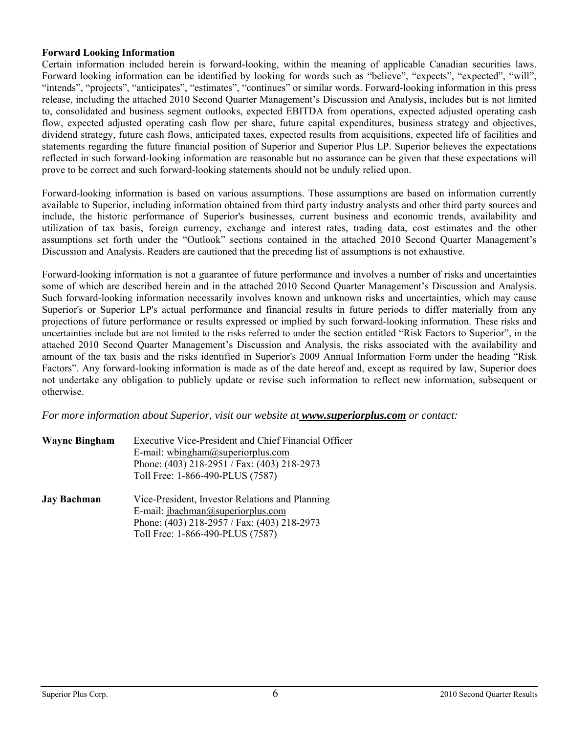### **Forward Looking Information**

Certain information included herein is forward-looking, within the meaning of applicable Canadian securities laws. Forward looking information can be identified by looking for words such as "believe", "expects", "expected", "will", "intends", "projects", "anticipates", "estimates", "continues" or similar words. Forward-looking information in this press release, including the attached 2010 Second Quarter Management's Discussion and Analysis, includes but is not limited to, consolidated and business segment outlooks, expected EBITDA from operations, expected adjusted operating cash flow, expected adjusted operating cash flow per share, future capital expenditures, business strategy and objectives, dividend strategy, future cash flows, anticipated taxes, expected results from acquisitions, expected life of facilities and statements regarding the future financial position of Superior and Superior Plus LP. Superior believes the expectations reflected in such forward-looking information are reasonable but no assurance can be given that these expectations will prove to be correct and such forward-looking statements should not be unduly relied upon.

Forward-looking information is based on various assumptions. Those assumptions are based on information currently available to Superior, including information obtained from third party industry analysts and other third party sources and include, the historic performance of Superior's businesses, current business and economic trends, availability and utilization of tax basis, foreign currency, exchange and interest rates, trading data, cost estimates and the other assumptions set forth under the "Outlook" sections contained in the attached 2010 Second Quarter Management's Discussion and Analysis. Readers are cautioned that the preceding list of assumptions is not exhaustive.

Forward-looking information is not a guarantee of future performance and involves a number of risks and uncertainties some of which are described herein and in the attached 2010 Second Quarter Management's Discussion and Analysis. Such forward-looking information necessarily involves known and unknown risks and uncertainties, which may cause Superior's or Superior LP's actual performance and financial results in future periods to differ materially from any projections of future performance or results expressed or implied by such forward-looking information. These risks and uncertainties include but are not limited to the risks referred to under the section entitled "Risk Factors to Superior", in the attached 2010 Second Quarter Management's Discussion and Analysis, the risks associated with the availability and amount of the tax basis and the risks identified in Superior's 2009 Annual Information Form under the heading "Risk Factors". Any forward-looking information is made as of the date hereof and, except as required by law, Superior does not undertake any obligation to publicly update or revise such information to reflect new information, subsequent or otherwise.

*For more information about Superior, visit our website at www.superiorplus.com or contact:* 

| <b>Executive Vice-President and Chief Financial Officer</b><br>E-mail: whingham@superiorplus.com                                                                               |
|--------------------------------------------------------------------------------------------------------------------------------------------------------------------------------|
| Phone: (403) 218-2951 / Fax: (403) 218-2973<br>Toll Free: 1-866-490-PLUS (7587)                                                                                                |
| Vice-President, Investor Relations and Planning<br>E-mail: $\beta$ bachman@superiorplus.com<br>Phone: (403) 218-2957 / Fax: (403) 218-2973<br>Toll Free: 1-866-490-PLUS (7587) |
|                                                                                                                                                                                |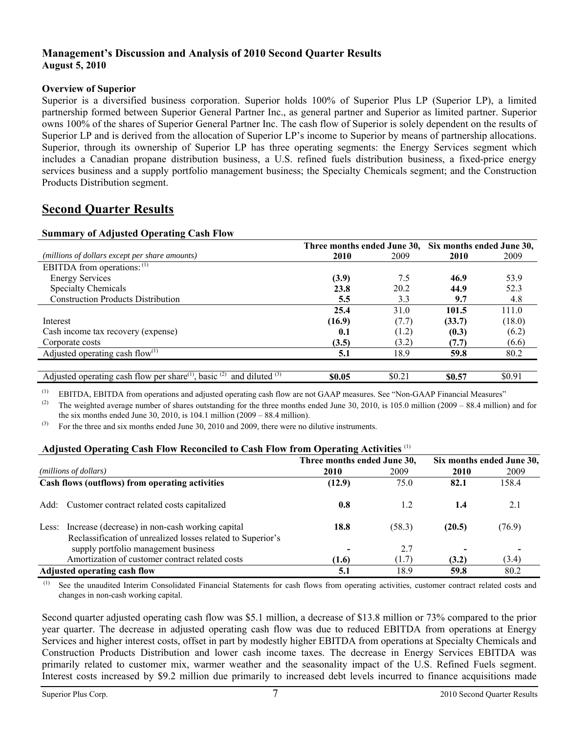## **Management's Discussion and Analysis of 2010 Second Quarter Results August 5, 2010**

## **Overview of Superior**

Superior is a diversified business corporation. Superior holds 100% of Superior Plus LP (Superior LP), a limited partnership formed between Superior General Partner Inc., as general partner and Superior as limited partner. Superior owns 100% of the shares of Superior General Partner Inc. The cash flow of Superior is solely dependent on the results of Superior LP and is derived from the allocation of Superior LP's income to Superior by means of partnership allocations. Superior, through its ownership of Superior LP has three operating segments: the Energy Services segment which includes a Canadian propane distribution business, a U.S. refined fuels distribution business, a fixed-price energy services business and a supply portfolio management business; the Specialty Chemicals segment; and the Construction Products Distribution segment.

# **Second Quarter Results**

### **Summary of Adjusted Operating Cash Flow**

| $\overline{\phantom{a}}$                                                                                | Three months ended June 30, | Six months ended June 30, |        |        |
|---------------------------------------------------------------------------------------------------------|-----------------------------|---------------------------|--------|--------|
| (millions of dollars except per share amounts)                                                          | 2010                        | 2009                      | 2010   | 2009   |
| EBITDA from operations: $(1)$                                                                           |                             |                           |        |        |
| <b>Energy Services</b>                                                                                  | (3.9)                       | 7.5                       | 46.9   | 53.9   |
| <b>Specialty Chemicals</b>                                                                              | 23.8                        | 20.2                      | 44.9   | 52.3   |
| <b>Construction Products Distribution</b>                                                               | 5.5                         | 3.3                       | 9.7    | 4.8    |
|                                                                                                         | 25.4                        | 31.0                      | 101.5  | 111.0  |
| Interest                                                                                                | (16.9)                      | (7.7)                     | (33.7) | (18.0) |
| Cash income tax recovery (expense)                                                                      | 0.1                         | (1.2)                     | (0.3)  | (6.2)  |
| Corporate costs                                                                                         | (3.5)                       | (3.2)                     | (7.7)  | (6.6)  |
| Adjusted operating cash flow $^{(1)}$                                                                   | 5.1                         | 18.9                      | 59.8   | 80.2   |
|                                                                                                         |                             |                           |        |        |
| Adjusted operating cash flow per share <sup>(1)</sup> , basic <sup>(2)</sup> and diluted <sup>(3)</sup> | \$0.05                      | \$0.21                    | \$0.57 | \$0.91 |

(1) EBITDA, EBITDA from operations and adjusted operating cash flow are not GAAP measures. See "Non-GAAP Financial Measures"

<sup>(2)</sup> The weighted average number of shares outstanding for the three months ended June 30, 2010, is 105.0 million (2009 – 88.4 million) and for the six months ended June 30, 2010, is 104.1 million (2009 – 88.4 million).

 $^{(3)}$  For the three and six months ended June 30, 2010 and 2009, there were no dilutive instruments.

### **Adjusted Operating Cash Flow Reconciled to Cash Flow from Operating Activities** (1)

|       | OWDER THE REPORT OF OWDER THE HIGHE OPERATOR THEORY                                                            |                             |        |                           |        |  |
|-------|----------------------------------------------------------------------------------------------------------------|-----------------------------|--------|---------------------------|--------|--|
|       |                                                                                                                | Three months ended June 30, |        | Six months ended June 30, |        |  |
|       | ( <i>millions of dollars</i> )                                                                                 | 2010                        | 2009   | 2010                      | 2009   |  |
|       | Cash flows (outflows) from operating activities                                                                | (12.9)                      | 75.0   | 82.1                      | 158.4  |  |
| Add:  | Customer contract related costs capitalized                                                                    | 0.8                         | 1.2    | 1.4                       | 2.1    |  |
| Less: | Increase (decrease) in non-cash working capital<br>Reclassification of unrealized losses related to Superior's | 18.8                        | (58.3) | (20.5)                    | (76.9) |  |
|       | supply portfolio management business                                                                           |                             | 2.7    |                           |        |  |
|       | Amortization of customer contract related costs                                                                | (1.6)                       | (1.7)  | (3.2)                     | (3.4)  |  |
|       | <b>Adjusted operating cash flow</b>                                                                            | 5.1                         | 18.9   | 59.8                      | 80.2   |  |

 (1) See the unaudited Interim Consolidated Financial Statements for cash flows from operating activities, customer contract related costs and changes in non-cash working capital.

Second quarter adjusted operating cash flow was \$5.1 million, a decrease of \$13.8 million or 73% compared to the prior year quarter. The decrease in adjusted operating cash flow was due to reduced EBITDA from operations at Energy Services and higher interest costs, offset in part by modestly higher EBITDA from operations at Specialty Chemicals and Construction Products Distribution and lower cash income taxes. The decrease in Energy Services EBITDA was primarily related to customer mix, warmer weather and the seasonality impact of the U.S. Refined Fuels segment. Interest costs increased by \$9.2 million due primarily to increased debt levels incurred to finance acquisitions made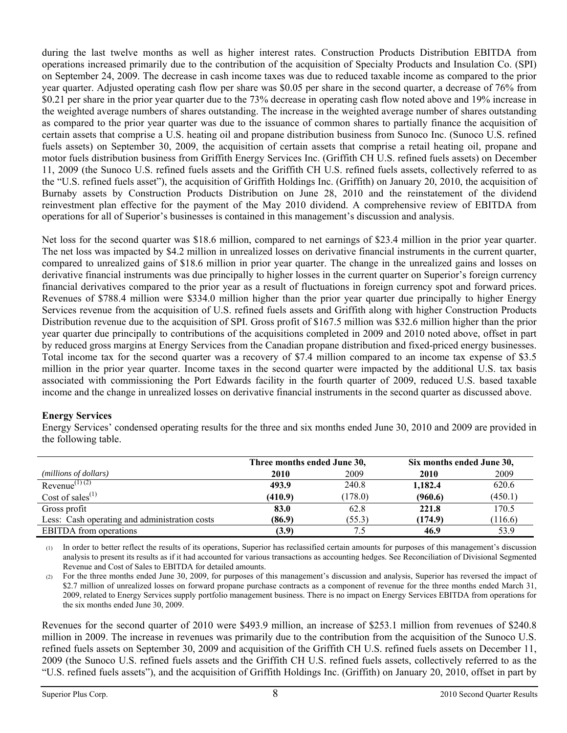during the last twelve months as well as higher interest rates. Construction Products Distribution EBITDA from operations increased primarily due to the contribution of the acquisition of Specialty Products and Insulation Co. (SPI) on September 24, 2009. The decrease in cash income taxes was due to reduced taxable income as compared to the prior year quarter. Adjusted operating cash flow per share was \$0.05 per share in the second quarter, a decrease of 76% from \$0.21 per share in the prior year quarter due to the 73% decrease in operating cash flow noted above and 19% increase in the weighted average numbers of shares outstanding. The increase in the weighted average number of shares outstanding as compared to the prior year quarter was due to the issuance of common shares to partially finance the acquisition of certain assets that comprise a U.S. heating oil and propane distribution business from Sunoco Inc. (Sunoco U.S. refined fuels assets) on September 30, 2009, the acquisition of certain assets that comprise a retail heating oil, propane and motor fuels distribution business from Griffith Energy Services Inc. (Griffith CH U.S. refined fuels assets) on December 11, 2009 (the Sunoco U.S. refined fuels assets and the Griffith CH U.S. refined fuels assets, collectively referred to as the "U.S. refined fuels asset"), the acquisition of Griffith Holdings Inc. (Griffith) on January 20, 2010, the acquisition of Burnaby assets by Construction Products Distribution on June 28, 2010 and the reinstatement of the dividend reinvestment plan effective for the payment of the May 2010 dividend. A comprehensive review of EBITDA from operations for all of Superior's businesses is contained in this management's discussion and analysis.

Net loss for the second quarter was \$18.6 million, compared to net earnings of \$23.4 million in the prior year quarter. The net loss was impacted by \$4.2 million in unrealized losses on derivative financial instruments in the current quarter, compared to unrealized gains of \$18.6 million in prior year quarter. The change in the unrealized gains and losses on derivative financial instruments was due principally to higher losses in the current quarter on Superior's foreign currency financial derivatives compared to the prior year as a result of fluctuations in foreign currency spot and forward prices. Revenues of \$788.4 million were \$334.0 million higher than the prior year quarter due principally to higher Energy Services revenue from the acquisition of U.S. refined fuels assets and Griffith along with higher Construction Products Distribution revenue due to the acquisition of SPI. Gross profit of \$167.5 million was \$32.6 million higher than the prior year quarter due principally to contributions of the acquisitions completed in 2009 and 2010 noted above, offset in part by reduced gross margins at Energy Services from the Canadian propane distribution and fixed-priced energy businesses. Total income tax for the second quarter was a recovery of \$7.4 million compared to an income tax expense of \$3.5 million in the prior year quarter. Income taxes in the second quarter were impacted by the additional U.S. tax basis associated with commissioning the Port Edwards facility in the fourth quarter of 2009, reduced U.S. based taxable income and the change in unrealized losses on derivative financial instruments in the second quarter as discussed above.

### **Energy Services**

Energy Services' condensed operating results for the three and six months ended June 30, 2010 and 2009 are provided in the following table.

|                                               | Three months ended June 30, |         | Six months ended June 30, |         |
|-----------------------------------------------|-----------------------------|---------|---------------------------|---------|
| (millions of dollars)                         | 2010                        | 2009    | 2010                      | 2009    |
| Revenue <sup>(1)(2)</sup>                     | 493.9                       | 240.8   | 1.182.4                   | 620.6   |
| Cost of sales <sup><math>(1)</math></sup>     | (410.9)                     | (178.0) | (960.6)                   | (450.1) |
| Gross profit                                  | 83.0                        | 62.8    | 221.8                     | 170.5   |
| Less: Cash operating and administration costs | (86.9)                      | (55.3)  | (174.9)                   | (116.6) |
| <b>EBITDA</b> from operations                 | (3.9)                       | 7.5     | 46.9                      | 53.9    |

(1) In order to better reflect the results of its operations, Superior has reclassified certain amounts for purposes of this management's discussion analysis to present its results as if it had accounted for various transactions as accounting hedges. See Reconciliation of Divisional Segmented Revenue and Cost of Sales to EBITDA for detailed amounts.

(2) For the three months ended June 30, 2009, for purposes of this management's discussion and analysis, Superior has reversed the impact of \$2.7 million of unrealized losses on forward propane purchase contracts as a component of revenue for the three months ended March 31, 2009, related to Energy Services supply portfolio management business. There is no impact on Energy Services EBITDA from operations for the six months ended June 30, 2009.

Revenues for the second quarter of 2010 were \$493.9 million, an increase of \$253.1 million from revenues of \$240.8 million in 2009. The increase in revenues was primarily due to the contribution from the acquisition of the Sunoco U.S. refined fuels assets on September 30, 2009 and acquisition of the Griffith CH U.S. refined fuels assets on December 11, 2009 (the Sunoco U.S. refined fuels assets and the Griffith CH U.S. refined fuels assets, collectively referred to as the "U.S. refined fuels assets"), and the acquisition of Griffith Holdings Inc. (Griffith) on January 20, 2010, offset in part by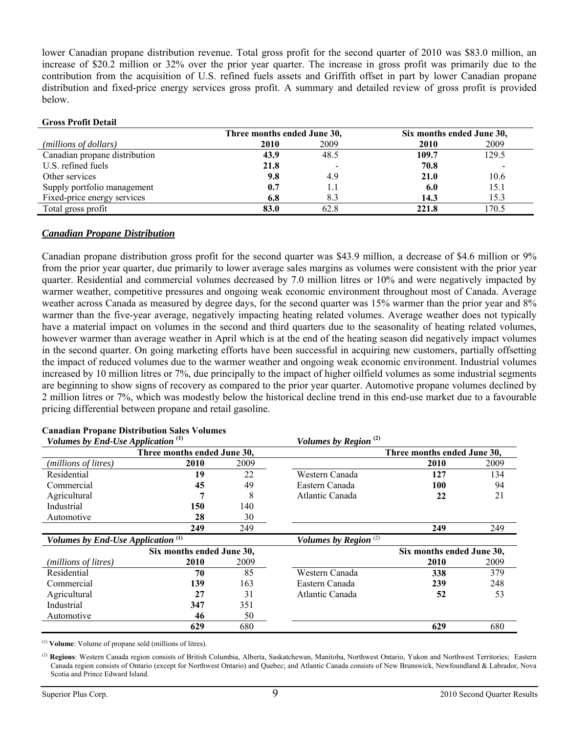lower Canadian propane distribution revenue. Total gross profit for the second quarter of 2010 was \$83.0 million, an increase of \$20.2 million or 32% over the prior year quarter. The increase in gross profit was primarily due to the contribution from the acquisition of U.S. refined fuels assets and Griffith offset in part by lower Canadian propane distribution and fixed-price energy services gross profit. A summary and detailed review of gross profit is provided below.

#### **Gross Profit Detail**

|                               | Three months ended June 30, |                          | Six months ended June 30, |       |
|-------------------------------|-----------------------------|--------------------------|---------------------------|-------|
| (millions of dollars)         | 2010                        | 2009                     | 2010                      | 2009  |
| Canadian propane distribution | 43.9                        | 48.5                     | 109.7                     | 129.5 |
| U.S. refined fuels            | 21.8                        | $\overline{\phantom{a}}$ | 70.8                      |       |
| Other services                | 9.8                         | 4.9                      | 21.0                      | 10.6  |
| Supply portfolio management   | 0.7                         | IJ                       | 6.0                       | 15.1  |
| Fixed-price energy services   | 6.8                         | 8.3                      | 14.3                      | 15.3  |
| Total gross profit            | 83.0                        | 62.8                     | 221.8                     | 170.5 |

### *Canadian Propane Distribution*

Canadian propane distribution gross profit for the second quarter was \$43.9 million, a decrease of \$4.6 million or 9% from the prior year quarter, due primarily to lower average sales margins as volumes were consistent with the prior year quarter. Residential and commercial volumes decreased by 7.0 million litres or 10% and were negatively impacted by warmer weather, competitive pressures and ongoing weak economic environment throughout most of Canada. Average weather across Canada as measured by degree days, for the second quarter was 15% warmer than the prior year and 8% warmer than the five-year average, negatively impacting heating related volumes. Average weather does not typically have a material impact on volumes in the second and third quarters due to the seasonality of heating related volumes, however warmer than average weather in April which is at the end of the heating season did negatively impact volumes in the second quarter. On going marketing efforts have been successful in acquiring new customers, partially offsetting the impact of reduced volumes due to the warmer weather and ongoing weak economic environment. Industrial volumes increased by 10 million litres or 7%, due principally to the impact of higher oilfield volumes as some industrial segments are beginning to show signs of recovery as compared to the prior year quarter. Automotive propane volumes declined by 2 million litres or 7%, which was modestly below the historical decline trend in this end-use market due to a favourable pricing differential between propane and retail gasoline.

| Volumes by End-Use Application $(1)$ |                           |      | Volumes by Region <sup>(2)</sup>        |                           |      |
|--------------------------------------|---------------------------|------|-----------------------------------------|---------------------------|------|
| Three months ended June 30,          |                           |      | Three months ended June 30,             |                           |      |
| (millions of litres)                 | 2010                      | 2009 |                                         | 2010                      | 2009 |
| Residential                          | 19                        | 22   | Western Canada                          | 127                       | 134  |
| Commercial                           | 45                        | 49   | Eastern Canada                          | 100                       | 94   |
| Agricultural                         |                           | 8    | Atlantic Canada                         | 22                        | 21   |
| Industrial                           | 150                       | 140  |                                         |                           |      |
| Automotive                           | 28                        | 30   |                                         |                           |      |
|                                      | 249                       | 249  |                                         | 249                       | 249  |
|                                      |                           |      |                                         |                           |      |
| Volumes by End-Use Application $(1)$ |                           |      | <b>Volumes by Region</b> <sup>(2)</sup> |                           |      |
|                                      | Six months ended June 30, |      |                                         | Six months ended June 30, |      |
| ( <i>millions of litres</i> )        | 2010                      | 2009 |                                         | 2010                      | 2009 |
| Residential                          | 70                        | 85   | Western Canada                          | 338                       | 379  |
| Commercial                           | 139                       | 163  | Eastern Canada                          | 239                       | 248  |
| Agricultural                         | 27                        | 31   | Atlantic Canada                         | 52                        | 53   |
| Industrial                           | 347                       | 351  |                                         |                           |      |
| Automotive                           | 46                        | 50   |                                         |                           |      |

# **Canadian Propane Distribution Sales Volumes**

(1) **Volume**: Volume of propane sold (millions of litres).

(2) **Regions**: Western Canada region consists of British Columbia, Alberta, Saskatchewan, Manitoba, Northwest Ontario, Yukon and Northwest Territories; Eastern Canada region consists of Ontario (except for Northwest Ontario) and Quebec; and Atlantic Canada consists of New Brunswick, Newfoundland & Labrador, Nova Scotia and Prince Edward Island.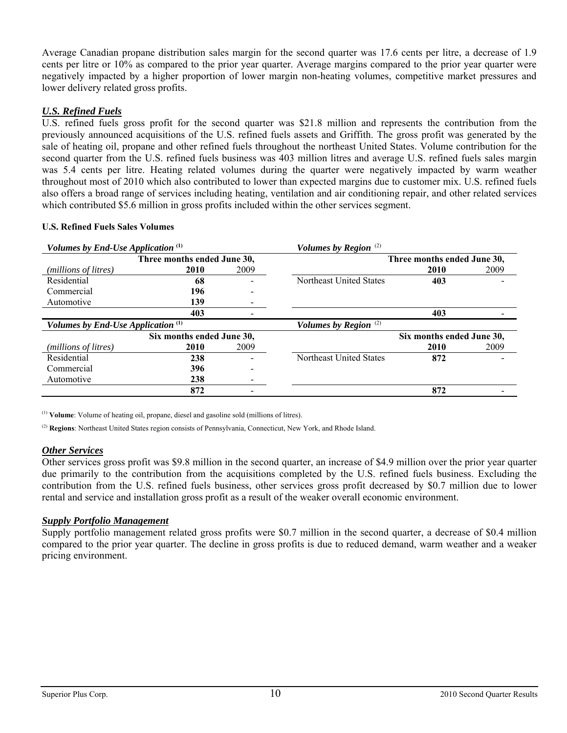Average Canadian propane distribution sales margin for the second quarter was 17.6 cents per litre, a decrease of 1.9 cents per litre or 10% as compared to the prior year quarter. Average margins compared to the prior year quarter were negatively impacted by a higher proportion of lower margin non-heating volumes, competitive market pressures and lower delivery related gross profits.

## *U.S. Refined Fuels*

U.S. refined fuels gross profit for the second quarter was \$21.8 million and represents the contribution from the previously announced acquisitions of the U.S. refined fuels assets and Griffith. The gross profit was generated by the sale of heating oil, propane and other refined fuels throughout the northeast United States. Volume contribution for the second quarter from the U.S. refined fuels business was 403 million litres and average U.S. refined fuels sales margin was 5.4 cents per litre. Heating related volumes during the quarter were negatively impacted by warm weather throughout most of 2010 which also contributed to lower than expected margins due to customer mix. U.S. refined fuels also offers a broad range of services including heating, ventilation and air conditioning repair, and other related services which contributed \$5.6 million in gross profits included within the other services segment.

### **U.S. Refined Fuels Sales Volumes**

| Volumes by End-Use Application <sup>(1)</sup> |                             |      | Volumes by Region $(2)$          |                             |      |
|-----------------------------------------------|-----------------------------|------|----------------------------------|-----------------------------|------|
|                                               | Three months ended June 30, |      |                                  | Three months ended June 30, |      |
| ( <i>millions of litres</i> )                 | 2010                        | 2009 |                                  | 2010                        | 2009 |
| Residential                                   | 68                          |      | Northeast United States          | 403                         |      |
| Commercial                                    | 196                         |      |                                  |                             |      |
| Automotive                                    | 139                         |      |                                  |                             |      |
|                                               | 403                         |      |                                  | 403                         |      |
|                                               |                             |      |                                  |                             |      |
| Volumes by End-Use Application $(1)$          |                             |      | Volumes by Region <sup>(2)</sup> |                             |      |
|                                               | Six months ended June 30,   |      |                                  | Six months ended June 30,   |      |
| ( <i>millions of litres</i> )                 | 2010                        | 2009 |                                  | 2010                        | 2009 |
| Residential                                   | 238                         |      | Northeast United States          | 872                         |      |
| Commercial                                    | 396                         |      |                                  |                             |      |
| Automotive                                    | 238                         |      |                                  |                             |      |

(1) **Volume**: Volume of heating oil, propane, diesel and gasoline sold (millions of litres).

(2) **Regions**: Northeast United States region consists of Pennsylvania, Connecticut, New York, and Rhode Island.

## *Other Services*

Other services gross profit was \$9.8 million in the second quarter, an increase of \$4.9 million over the prior year quarter due primarily to the contribution from the acquisitions completed by the U.S. refined fuels business. Excluding the contribution from the U.S. refined fuels business, other services gross profit decreased by \$0.7 million due to lower rental and service and installation gross profit as a result of the weaker overall economic environment.

## *Supply Portfolio Management*

Supply portfolio management related gross profits were \$0.7 million in the second quarter, a decrease of \$0.4 million compared to the prior year quarter. The decline in gross profits is due to reduced demand, warm weather and a weaker pricing environment.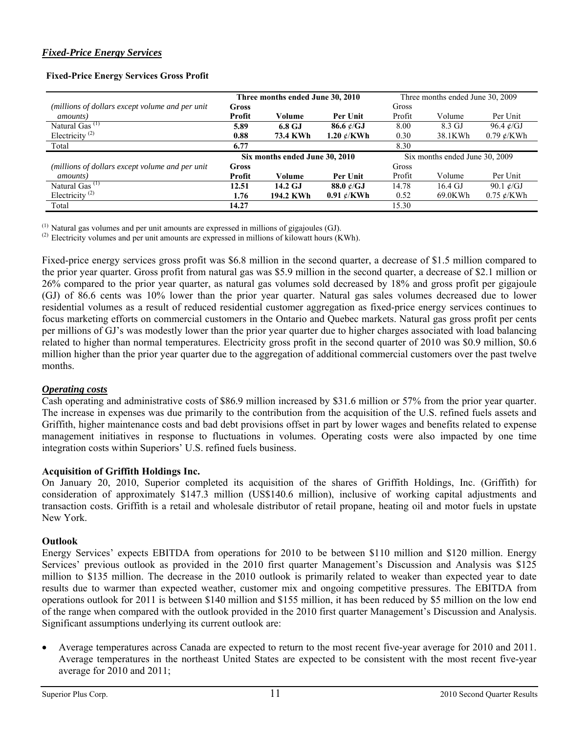## *Fixed-Price Energy Services*

|                                                  | Three months ended June 30, 2010 |                                |                      |        | Three months ended June 30, 2009 |                                |
|--------------------------------------------------|----------------------------------|--------------------------------|----------------------|--------|----------------------------------|--------------------------------|
| (millions of dollars except volume and per unit) | Gross                            |                                |                      | Gross  |                                  |                                |
| <i>amounts</i> )                                 | Profit                           | Volume                         | Per Unit             | Profit | Volume                           | Per Unit                       |
| Natural Gas <sup>(1)</sup>                       | 5.89                             | 6.8 GJ                         | 86.6 $\ell$ /GJ      | 8.00   | 8.3 GJ                           | 96.4 $\mathcal{C}/\text{GJ}$   |
| Electricity <sup><math>(2)</math></sup>          | 0.88                             | <b>73.4 KWh</b>                | 1.20 $\ell$ /KWh     | 0.30   | 38.1KWh                          | $0.79 \text{ }\mathcal{C}/KWh$ |
| Total                                            | 6.77                             |                                |                      | 8.30   |                                  |                                |
|                                                  |                                  | Six months ended June 30, 2010 |                      |        | Six months ended June 30, 2009   |                                |
| (millions of dollars except volume and per unit  | <b>Gross</b>                     |                                |                      | Gross  |                                  |                                |
| <i>amounts</i> )                                 | Profit                           | Volume                         | Per Unit             | Profit | Volume                           | Per Unit                       |
| Natural Gas <sup>(I)</sup>                       | 12.51                            | $14.2 \text{ GJ}$              | 88.0 $\ell$ /GJ      | 14.78  | $16.4 \text{ GJ}$                | 90.1 $\epsilon$ /GJ            |
| Electricity <sup>(2)</sup>                       | 1.76                             | 194.2 KWh                      | 0.91 $\epsilon$ /KWh | 0.52   | 69.0KWh                          | $0.75 \text{ }\mathcal{C}/KWh$ |
| Total                                            | 14.27                            |                                |                      | 15.30  |                                  |                                |

### **Fixed-Price Energy Services Gross Profit**

 $<sup>(1)</sup>$  Natural gas volumes and per unit amounts are expressed in millions of gigajoules (GJ).</sup>

 $^{(2)}$  Electricity volumes and per unit amounts are expressed in millions of kilowatt hours (KWh).

Fixed-price energy services gross profit was \$6.8 million in the second quarter, a decrease of \$1.5 million compared to the prior year quarter. Gross profit from natural gas was \$5.9 million in the second quarter, a decrease of \$2.1 million or 26% compared to the prior year quarter, as natural gas volumes sold decreased by 18% and gross profit per gigajoule (GJ) of 86.6 cents was 10% lower than the prior year quarter. Natural gas sales volumes decreased due to lower residential volumes as a result of reduced residential customer aggregation as fixed-price energy services continues to focus marketing efforts on commercial customers in the Ontario and Quebec markets. Natural gas gross profit per cents per millions of GJ's was modestly lower than the prior year quarter due to higher charges associated with load balancing related to higher than normal temperatures. Electricity gross profit in the second quarter of 2010 was \$0.9 million, \$0.6 million higher than the prior year quarter due to the aggregation of additional commercial customers over the past twelve months.

### *Operating costs*

Cash operating and administrative costs of \$86.9 million increased by \$31.6 million or 57% from the prior year quarter. The increase in expenses was due primarily to the contribution from the acquisition of the U.S. refined fuels assets and Griffith, higher maintenance costs and bad debt provisions offset in part by lower wages and benefits related to expense management initiatives in response to fluctuations in volumes. Operating costs were also impacted by one time integration costs within Superiors' U.S. refined fuels business.

### **Acquisition of Griffith Holdings Inc.**

On January 20, 2010, Superior completed its acquisition of the shares of Griffith Holdings, Inc. (Griffith) for consideration of approximately \$147.3 million (US\$140.6 million), inclusive of working capital adjustments and transaction costs. Griffith is a retail and wholesale distributor of retail propane, heating oil and motor fuels in upstate New York.

### **Outlook**

Energy Services' expects EBITDA from operations for 2010 to be between \$110 million and \$120 million. Energy Services' previous outlook as provided in the 2010 first quarter Management's Discussion and Analysis was \$125 million to \$135 million. The decrease in the 2010 outlook is primarily related to weaker than expected year to date results due to warmer than expected weather, customer mix and ongoing competitive pressures. The EBITDA from operations outlook for 2011 is between \$140 million and \$155 million, it has been reduced by \$5 million on the low end of the range when compared with the outlook provided in the 2010 first quarter Management's Discussion and Analysis. Significant assumptions underlying its current outlook are:

• Average temperatures across Canada are expected to return to the most recent five-year average for 2010 and 2011. Average temperatures in the northeast United States are expected to be consistent with the most recent five-year average for 2010 and 2011;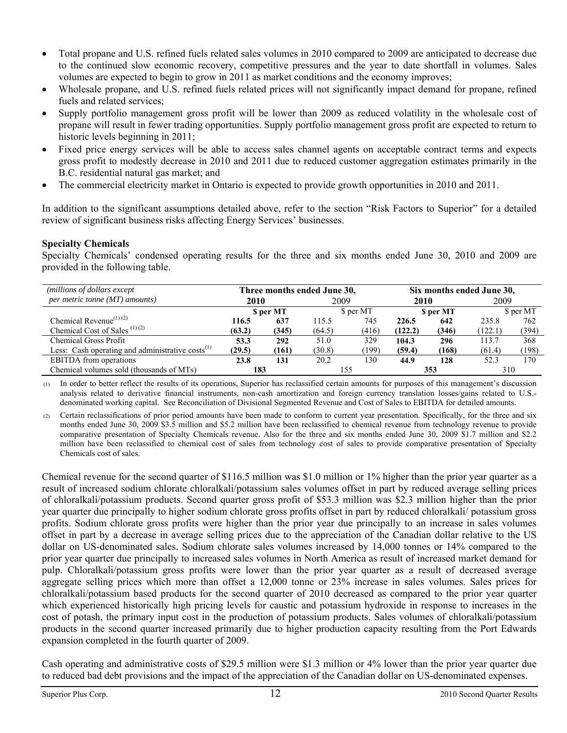- Total propane and U.S. refined fuels related sales volumes in 2010 compared to 2009 are anticipated to decrease due to the continued slow economic recovery, competitive pressures and the year to date shortfall in volumes. Sales volumes are expected to begin to grow in 2011 as market conditions and the economy improves;
- Wholesale propane, and U.S. refined fuels related prices will not significantly impact demand for propane, refined fuels and related services;
- Supply portfolio management gross profit will be lower than 2009 as reduced volatility in the wholesale cost of propane will result in fewer trading opportunities. Supply portfolio management gross profit are expected to return to historic levels beginning in 2011;
- Fixed price energy services will be able to access sales channel agents on acceptable contract terms and expects gross profit to modestly decrease in 2010 and 2011 due to reduced customer aggregation estimates primarily in the B.C. residential natural gas market; and
- The commercial electricity market in Ontario is expected to provide growth opportunities in 2010 and 2011.

In addition to the significant assumptions detailed above, refer to the section "Risk Factors to Superior" for a detailed review of significant business risks affecting Energy Services' businesses.

## **Specialty Chemicals**

Specialty Chemicals' condensed operating results for the three and six months ended June 30, 2010 and 2009 are provided in the following table.

| (millions of dollars except)                          | Three months ended June 30, |                 |        |           | Six months ended June 30, |          |         |           |
|-------------------------------------------------------|-----------------------------|-----------------|--------|-----------|---------------------------|----------|---------|-----------|
| per metric tonne (MT) amounts)                        | 2010                        |                 | 2009   |           | 2010                      |          | 2009    |           |
|                                                       |                             | <b>S</b> per MT |        | \$ per MT |                           | S per MT |         | \$ per MT |
| Chemical Revenue <sup>(1)(2)</sup>                    | 116.5                       | 637             | 115.5  | 745       | 226.5                     | 642      | 235.8   | 762       |
| Chemical Cost of Sales $(1)(2)$                       | (63.2)                      | (345)           | (64.5) | (416)     | (122.2)                   | (346)    | (122.1) | (394)     |
| Chemical Gross Profit                                 | 53.3                        | 292             | 51.0   | 329       | 104.3                     | 296      | 113.7   | 368       |
| Less: Cash operating and administrative $costs^{(1)}$ | (29.5)                      | (161)           | (30.8) | (199)     | (59.4)                    | (168)    | (61.4)  | (198)     |
| <b>EBITDA</b> from operations                         | 23.8                        | 131             | 20.2   | 130       | 44.9                      | 128      | 52.3    | 170       |
| Chemical volumes sold (thousands of MTs)              | 183                         |                 | 155    |           |                           | 353      | 310     |           |

(1) In order to better reflect the results of its operations, Superior has reclassified certain amounts for purposes of this management's discussion analysis related to derivative financial instruments, non-cash amortization and foreign currency translation losses/gains related to U.S. denominated working capital. See Reconciliation of Divisional Segmented Revenue and Cost of Sales to EBITDA for detailed amounts.

(2) Certain reclassifications of prior period amounts have been made to conform to current year presentation. Specifically, for the three and six months ended June 30, 2009 \$3.5 million and \$5.2 million have been reclassified to chemical revenue from technology revenue to provide comparative presentation of Specialty Chemicals revenue. Also for the three and six months ended June 30, 2009 \$1.7 million and \$2.2 million have been reclassified to chemical cost of sales from technology cost of sales to provide comparative presentation of Specialty Chemicals cost of sales.

Chemical revenue for the second quarter of \$116.5 million was \$1.0 million or 1% higher than the prior year quarter as a result of increased sodium chlorate chloralkali/potassium sales volumes offset in part by reduced average selling prices of chloralkali/potassium products. Second quarter gross profit of \$53.3 million was \$2.3 million higher than the prior year quarter due principally to higher sodium chlorate gross profits offset in part by reduced chloralkali/ potassium gross profits. Sodium chlorate gross profits were higher than the prior year due principally to an increase in sales volumes offset in part by a decrease in average selling prices due to the appreciation of the Canadian dollar relative to the US dollar on US-denominated sales. Sodium chlorate sales volumes increased by 14,000 tonnes or 14% compared to the prior year quarter due principally to increased sales volumes in North America as result of increased market demand for pulp. Chloralkali/potassium gross profits were lower than the prior year quarter as a result of decreased average aggregate selling prices which more than offset a 12,000 tonne or 23% increase in sales volumes. Sales prices for chloralkali/potassium based products for the second quarter of 2010 decreased as compared to the prior year quarter which experienced historically high pricing levels for caustic and potassium hydroxide in response to increases in the cost of potash, the primary input cost in the production of potassium products. Sales volumes of chloralkali/potassium products in the second quarter increased primarily due to higher production capacity resulting from the Port Edwards expansion completed in the fourth quarter of 2009.

Cash operating and administrative costs of \$29.5 million were \$1.3 million or 4% lower than the prior year quarter due to reduced bad debt provisions and the impact of the appreciation of the Canadian dollar on US-denominated expenses.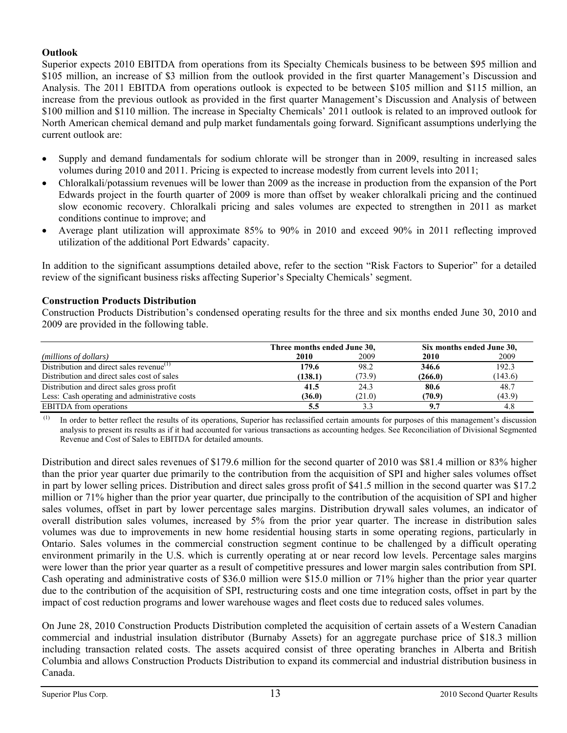## **Outlook**

Superior expects 2010 EBITDA from operations from its Specialty Chemicals business to be between \$95 million and \$105 million, an increase of \$3 million from the outlook provided in the first quarter Management's Discussion and Analysis. The 2011 EBITDA from operations outlook is expected to be between \$105 million and \$115 million, an increase from the previous outlook as provided in the first quarter Management's Discussion and Analysis of between \$100 million and \$110 million. The increase in Specialty Chemicals' 2011 outlook is related to an improved outlook for North American chemical demand and pulp market fundamentals going forward. Significant assumptions underlying the current outlook are:

- Supply and demand fundamentals for sodium chlorate will be stronger than in 2009, resulting in increased sales volumes during 2010 and 2011. Pricing is expected to increase modestly from current levels into 2011;
- Chloralkali/potassium revenues will be lower than 2009 as the increase in production from the expansion of the Port Edwards project in the fourth quarter of 2009 is more than offset by weaker chloralkali pricing and the continued slow economic recovery. Chloralkali pricing and sales volumes are expected to strengthen in 2011 as market conditions continue to improve; and
- Average plant utilization will approximate 85% to 90% in 2010 and exceed 90% in 2011 reflecting improved utilization of the additional Port Edwards' capacity.

In addition to the significant assumptions detailed above, refer to the section "Risk Factors to Superior" for a detailed review of the significant business risks affecting Superior's Specialty Chemicals' segment.

## **Construction Products Distribution**

Construction Products Distribution's condensed operating results for the three and six months ended June 30, 2010 and 2009 are provided in the following table.

|                                               | Three months ended June 30, |        | Six months ended June 30, |         |  |
|-----------------------------------------------|-----------------------------|--------|---------------------------|---------|--|
| ( <i>millions of dollars</i> )                | 2010                        | 2009   | 2010                      | 2009    |  |
| Distribution and direct sales revenue $(1)$   | 179.6                       | 98.2   | 346.6                     | 192.3   |  |
| Distribution and direct sales cost of sales   | (138.1)                     | (73.9) | (266.0)                   | (143.6) |  |
| Distribution and direct sales gross profit    | 41.5                        | 24.3   | 80.6                      | 48.7    |  |
| Less: Cash operating and administrative costs | (36.0)                      | (21.0) | (70.9)                    | (43.9)  |  |
| <b>EBITDA</b> from operations                 |                             |        | 9.7                       | 4.8     |  |

(1) In order to better reflect the results of its operations, Superior has reclassified certain amounts for purposes of this management's discussion analysis to present its results as if it had accounted for various transactions as accounting hedges. See Reconciliation of Divisional Segmented Revenue and Cost of Sales to EBITDA for detailed amounts.

Distribution and direct sales revenues of \$179.6 million for the second quarter of 2010 was \$81.4 million or 83% higher than the prior year quarter due primarily to the contribution from the acquisition of SPI and higher sales volumes offset in part by lower selling prices. Distribution and direct sales gross profit of \$41.5 million in the second quarter was \$17.2 million or 71% higher than the prior year quarter, due principally to the contribution of the acquisition of SPI and higher sales volumes, offset in part by lower percentage sales margins. Distribution drywall sales volumes, an indicator of overall distribution sales volumes, increased by 5% from the prior year quarter. The increase in distribution sales volumes was due to improvements in new home residential housing starts in some operating regions, particularly in Ontario. Sales volumes in the commercial construction segment continue to be challenged by a difficult operating environment primarily in the U.S. which is currently operating at or near record low levels. Percentage sales margins were lower than the prior year quarter as a result of competitive pressures and lower margin sales contribution from SPI. Cash operating and administrative costs of \$36.0 million were \$15.0 million or 71% higher than the prior year quarter due to the contribution of the acquisition of SPI, restructuring costs and one time integration costs, offset in part by the impact of cost reduction programs and lower warehouse wages and fleet costs due to reduced sales volumes.

On June 28, 2010 Construction Products Distribution completed the acquisition of certain assets of a Western Canadian commercial and industrial insulation distributor (Burnaby Assets) for an aggregate purchase price of \$18.3 million including transaction related costs. The assets acquired consist of three operating branches in Alberta and British Columbia and allows Construction Products Distribution to expand its commercial and industrial distribution business in Canada.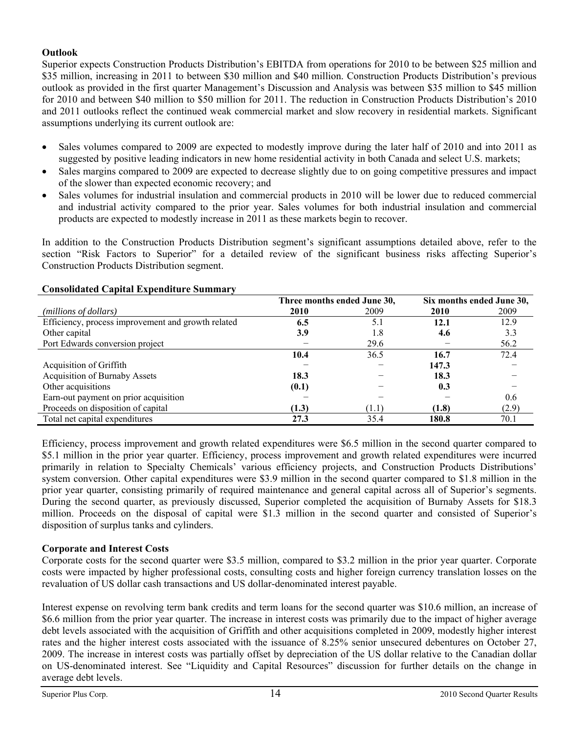## **Outlook**

Superior expects Construction Products Distribution's EBITDA from operations for 2010 to be between \$25 million and \$35 million, increasing in 2011 to between \$30 million and \$40 million. Construction Products Distribution's previous outlook as provided in the first quarter Management's Discussion and Analysis was between \$35 million to \$45 million for 2010 and between \$40 million to \$50 million for 2011. The reduction in Construction Products Distribution's 2010 and 2011 outlooks reflect the continued weak commercial market and slow recovery in residential markets. Significant assumptions underlying its current outlook are:

- Sales volumes compared to 2009 are expected to modestly improve during the later half of 2010 and into 2011 as suggested by positive leading indicators in new home residential activity in both Canada and select U.S. markets;
- Sales margins compared to 2009 are expected to decrease slightly due to on going competitive pressures and impact of the slower than expected economic recovery; and
- Sales volumes for industrial insulation and commercial products in 2010 will be lower due to reduced commercial and industrial activity compared to the prior year. Sales volumes for both industrial insulation and commercial products are expected to modestly increase in 2011 as these markets begin to recover.

In addition to the Construction Products Distribution segment's significant assumptions detailed above, refer to the section "Risk Factors to Superior" for a detailed review of the significant business risks affecting Superior's Construction Products Distribution segment.

|                                                    |       | Three months ended June 30, | Six months ended June 30, |       |  |
|----------------------------------------------------|-------|-----------------------------|---------------------------|-------|--|
| (millions of dollars)                              | 2010  | 2009                        | 2010                      | 2009  |  |
| Efficiency, process improvement and growth related | 6.5   | 5.1                         | 12.1                      | 12.9  |  |
| Other capital                                      | 3.9   | 1.8                         | 4.6                       | 3.3   |  |
| Port Edwards conversion project                    |       | 29.6                        |                           | 56.2  |  |
|                                                    | 10.4  | 36.5                        | 16.7                      | 72.4  |  |
| Acquisition of Griffith                            |       |                             | 147.3                     |       |  |
| <b>Acquisition of Burnaby Assets</b>               | 18.3  |                             | 18.3                      |       |  |
| Other acquisitions                                 | (0.1) |                             | 0.3                       |       |  |
| Earn-out payment on prior acquisition              |       |                             |                           | 0.6   |  |
| Proceeds on disposition of capital                 | (1.3) | (1.1)                       | (1.8)                     | (2.9) |  |
| Total net capital expenditures                     | 27.3  | 35.4                        | 180.8                     | 70.1  |  |

## **Consolidated Capital Expenditure Summary**

Efficiency, process improvement and growth related expenditures were \$6.5 million in the second quarter compared to \$5.1 million in the prior year quarter. Efficiency, process improvement and growth related expenditures were incurred primarily in relation to Specialty Chemicals' various efficiency projects, and Construction Products Distributions' system conversion. Other capital expenditures were \$3.9 million in the second quarter compared to \$1.8 million in the prior year quarter, consisting primarily of required maintenance and general capital across all of Superior's segments. During the second quarter, as previously discussed, Superior completed the acquisition of Burnaby Assets for \$18.3 million. Proceeds on the disposal of capital were \$1.3 million in the second quarter and consisted of Superior's disposition of surplus tanks and cylinders.

## **Corporate and Interest Costs**

Corporate costs for the second quarter were \$3.5 million, compared to \$3.2 million in the prior year quarter. Corporate costs were impacted by higher professional costs, consulting costs and higher foreign currency translation losses on the revaluation of US dollar cash transactions and US dollar-denominated interest payable.

Interest expense on revolving term bank credits and term loans for the second quarter was \$10.6 million, an increase of \$6.6 million from the prior year quarter. The increase in interest costs was primarily due to the impact of higher average debt levels associated with the acquisition of Griffith and other acquisitions completed in 2009, modestly higher interest rates and the higher interest costs associated with the issuance of 8.25% senior unsecured debentures on October 27, 2009. The increase in interest costs was partially offset by depreciation of the US dollar relative to the Canadian dollar on US-denominated interest. See "Liquidity and Capital Resources" discussion for further details on the change in average debt levels.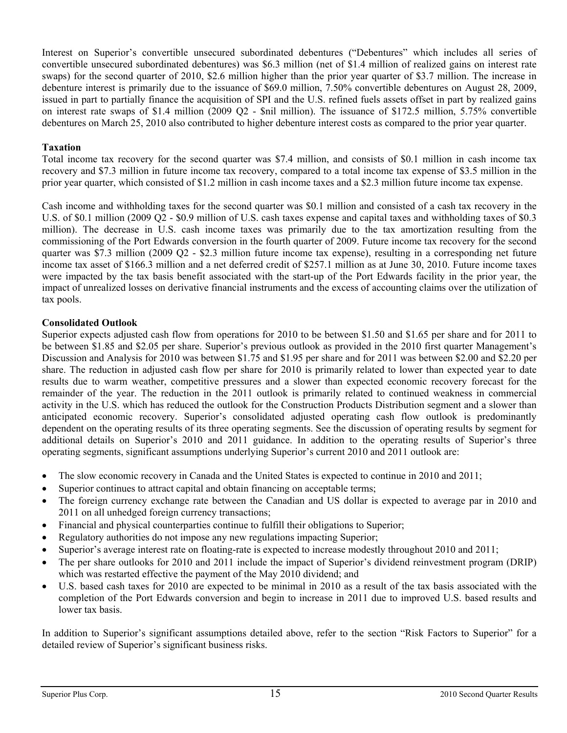Interest on Superior's convertible unsecured subordinated debentures ("Debentures" which includes all series of convertible unsecured subordinated debentures) was \$6.3 million (net of \$1.4 million of realized gains on interest rate swaps) for the second quarter of 2010, \$2.6 million higher than the prior year quarter of \$3.7 million. The increase in debenture interest is primarily due to the issuance of \$69.0 million,  $7.50\%$  convertible debentures on August 28, 2009, issued in part to partially finance the acquisition of SPI and the U.S. refined fuels assets offset in part by realized gains on interest rate swaps of \$1.4 million (2009 Q2 - \$nil million). The issuance of \$172.5 million, 5.75% convertible debentures on March 25, 2010 also contributed to higher debenture interest costs as compared to the prior year quarter.

## **Taxation**

Total income tax recovery for the second quarter was \$7.4 million, and consists of \$0.1 million in cash income tax recovery and \$7.3 million in future income tax recovery, compared to a total income tax expense of \$3.5 million in the prior year quarter, which consisted of \$1.2 million in cash income taxes and a \$2.3 million future income tax expense.

Cash income and withholding taxes for the second quarter was \$0.1 million and consisted of a cash tax recovery in the U.S. of \$0.1 million (2009 Q2 - \$0.9 million of U.S. cash taxes expense and capital taxes and withholding taxes of \$0.3 million). The decrease in U.S. cash income taxes was primarily due to the tax amortization resulting from the commissioning of the Port Edwards conversion in the fourth quarter of 2009. Future income tax recovery for the second quarter was \$7.3 million (2009 Q2 - \$2.3 million future income tax expense), resulting in a corresponding net future income tax asset of \$166.3 million and a net deferred credit of \$257.1 million as at June 30, 2010. Future income taxes were impacted by the tax basis benefit associated with the start-up of the Port Edwards facility in the prior year, the impact of unrealized losses on derivative financial instruments and the excess of accounting claims over the utilization of tax pools.

## **Consolidated Outlook**

Superior expects adjusted cash flow from operations for 2010 to be between \$1.50 and \$1.65 per share and for 2011 to be between \$1.85 and \$2.05 per share. Superior's previous outlook as provided in the 2010 first quarter Management's Discussion and Analysis for 2010 was between \$1.75 and \$1.95 per share and for 2011 was between \$2.00 and \$2.20 per share. The reduction in adjusted cash flow per share for 2010 is primarily related to lower than expected year to date results due to warm weather, competitive pressures and a slower than expected economic recovery forecast for the remainder of the year. The reduction in the 2011 outlook is primarily related to continued weakness in commercial activity in the U.S. which has reduced the outlook for the Construction Products Distribution segment and a slower than anticipated economic recovery. Superior's consolidated adjusted operating cash flow outlook is predominantly dependent on the operating results of its three operating segments. See the discussion of operating results by segment for additional details on Superior's 2010 and 2011 guidance. In addition to the operating results of Superior's three operating segments, significant assumptions underlying Superior's current 2010 and 2011 outlook are:

- The slow economic recovery in Canada and the United States is expected to continue in 2010 and 2011;
- Superior continues to attract capital and obtain financing on acceptable terms;
- The foreign currency exchange rate between the Canadian and US dollar is expected to average par in 2010 and 2011 on all unhedged foreign currency transactions;
- Financial and physical counterparties continue to fulfill their obligations to Superior;
- Regulatory authorities do not impose any new regulations impacting Superior;
- Superior's average interest rate on floating-rate is expected to increase modestly throughout 2010 and 2011;
- The per share outlooks for 2010 and 2011 include the impact of Superior's dividend reinvestment program (DRIP) which was restarted effective the payment of the May 2010 dividend; and
- U.S. based cash taxes for 2010 are expected to be minimal in 2010 as a result of the tax basis associated with the completion of the Port Edwards conversion and begin to increase in 2011 due to improved U.S. based results and lower tax basis.

In addition to Superior's significant assumptions detailed above, refer to the section "Risk Factors to Superior" for a detailed review of Superior's significant business risks.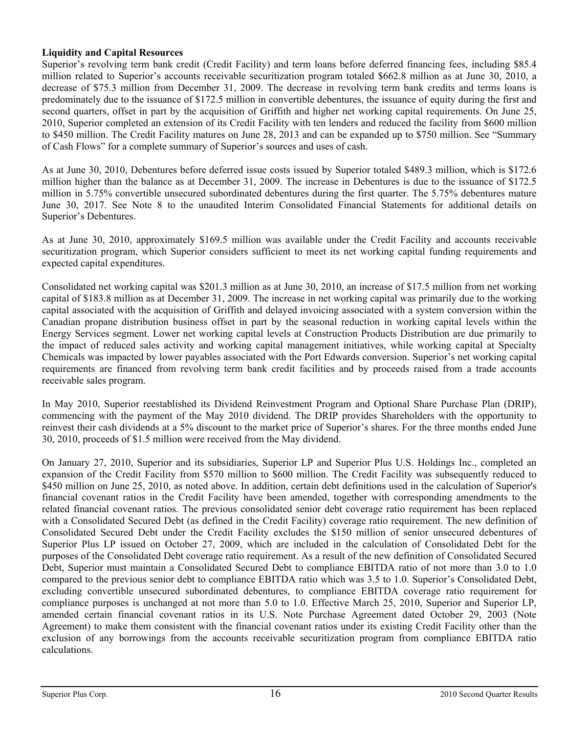## **Liquidity and Capital Resources**

Superior's revolving term bank credit (Credit Facility) and term loans before deferred financing fees, including \$85.4 million related to Superior's accounts receivable securitization program totaled \$662.8 million as at June 30, 2010, a decrease of \$75.3 million from December 31, 2009. The decrease in revolving term bank credits and terms loans is predominately due to the issuance of \$172.5 million in convertible debentures, the issuance of equity during the first and second quarters, offset in part by the acquisition of Griffith and higher net working capital requirements. On June 25, 2010, Superior completed an extension of its Credit Facility with ten lenders and reduced the facility from \$600 million to \$450 million. The Credit Facility matures on June 28, 2013 and can be expanded up to \$750 million. See "Summary of Cash Flows" for a complete summary of Superior's sources and uses of cash.

As at June 30, 2010, Debentures before deferred issue costs issued by Superior totaled \$489.3 million, which is \$172.6 million higher than the balance as at December 31, 2009. The increase in Debentures is due to the issuance of \$172.5 million in 5.75% convertible unsecured subordinated debentures during the first quarter. The 5.75% debentures mature June 30, 2017. See Note 8 to the unaudited Interim Consolidated Financial Statements for additional details on Superior's Debentures.

As at June 30, 2010, approximately \$169.5 million was available under the Credit Facility and accounts receivable securitization program, which Superior considers sufficient to meet its net working capital funding requirements and expected capital expenditures.

Consolidated net working capital was \$201.3 million as at June 30, 2010, an increase of \$17.5 million from net working capital of \$183.8 million as at December 31, 2009. The increase in net working capital was primarily due to the working capital associated with the acquisition of Griffith and delayed invoicing associated with a system conversion within the Canadian propane distribution business offset in part by the seasonal reduction in working capital levels within the Energy Services segment. Lower net working capital levels at Construction Products Distribution are due primarily to the impact of reduced sales activity and working capital management initiatives, while working capital at Specialty Chemicals was impacted by lower payables associated with the Port Edwards conversion. Superior's net working capital requirements are financed from revolving term bank credit facilities and by proceeds raised from a trade accounts receivable sales program.

In May 2010, Superior reestablished its Dividend Reinvestment Program and Optional Share Purchase Plan (DRIP), commencing with the payment of the May 2010 dividend. The DRIP provides Shareholders with the opportunity to reinvest their cash dividends at a 5% discount to the market price of Superior's shares. For the three months ended June 30, 2010, proceeds of \$1.5 million were received from the May dividend.

On January 27, 2010, Superior and its subsidiaries, Superior LP and Superior Plus U.S. Holdings Inc., completed an expansion of the Credit Facility from \$570 million to \$600 million. The Credit Facility was subsequently reduced to \$450 million on June 25, 2010, as noted above. In addition, certain debt definitions used in the calculation of Superior's financial covenant ratios in the Credit Facility have been amended, together with corresponding amendments to the related financial covenant ratios. The previous consolidated senior debt coverage ratio requirement has been replaced with a Consolidated Secured Debt (as defined in the Credit Facility) coverage ratio requirement. The new definition of Consolidated Secured Debt under the Credit Facility excludes the \$150 million of senior unsecured debentures of Superior Plus LP issued on October 27, 2009, which are included in the calculation of Consolidated Debt for the purposes of the Consolidated Debt coverage ratio requirement. As a result of the new definition of Consolidated Secured Debt, Superior must maintain a Consolidated Secured Debt to compliance EBITDA ratio of not more than 3.0 to 1.0 compared to the previous senior debt to compliance EBITDA ratio which was 3.5 to 1.0. Superior's Consolidated Debt, excluding convertible unsecured subordinated debentures, to compliance EBITDA coverage ratio requirement for compliance purposes is unchanged at not more than 5.0 to 1.0. Effective March 25, 2010, Superior and Superior LP, amended certain financial covenant ratios in its U.S. Note Purchase Agreement dated October 29, 2003 (Note Agreement) to make them consistent with the financial covenant ratios under its existing Credit Facility other than the exclusion of any borrowings from the accounts receivable securitization program from compliance EBITDA ratio calculations.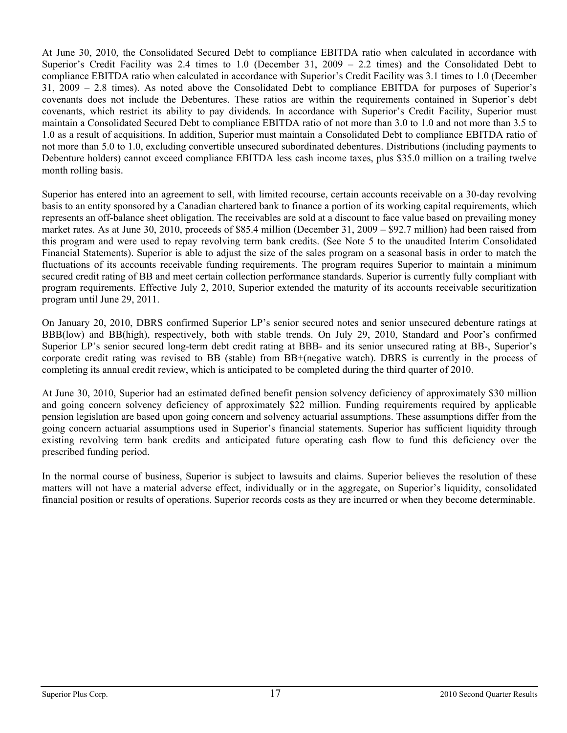At June 30, 2010, the Consolidated Secured Debt to compliance EBITDA ratio when calculated in accordance with Superior's Credit Facility was 2.4 times to 1.0 (December 31, 2009 – 2.2 times) and the Consolidated Debt to compliance EBITDA ratio when calculated in accordance with Superior's Credit Facility was 3.1 times to 1.0 (December 31, 2009 – 2.8 times). As noted above the Consolidated Debt to compliance EBITDA for purposes of Superior's covenants does not include the Debentures. These ratios are within the requirements contained in Superior's debt covenants, which restrict its ability to pay dividends. In accordance with Superior's Credit Facility, Superior must maintain a Consolidated Secured Debt to compliance EBITDA ratio of not more than 3.0 to 1.0 and not more than 3.5 to 1.0 as a result of acquisitions. In addition, Superior must maintain a Consolidated Debt to compliance EBITDA ratio of not more than 5.0 to 1.0, excluding convertible unsecured subordinated debentures. Distributions (including payments to Debenture holders) cannot exceed compliance EBITDA less cash income taxes, plus \$35.0 million on a trailing twelve month rolling basis.

Superior has entered into an agreement to sell, with limited recourse, certain accounts receivable on a 30-day revolving basis to an entity sponsored by a Canadian chartered bank to finance a portion of its working capital requirements, which represents an off-balance sheet obligation. The receivables are sold at a discount to face value based on prevailing money market rates. As at June 30, 2010, proceeds of \$85.4 million (December 31, 2009 – \$92.7 million) had been raised from this program and were used to repay revolving term bank credits. (See Note 5 to the unaudited Interim Consolidated Financial Statements). Superior is able to adjust the size of the sales program on a seasonal basis in order to match the fluctuations of its accounts receivable funding requirements. The program requires Superior to maintain a minimum secured credit rating of BB and meet certain collection performance standards. Superior is currently fully compliant with program requirements. Effective July 2, 2010, Superior extended the maturity of its accounts receivable securitization program until June 29, 2011.

On January 20, 2010, DBRS confirmed Superior LP's senior secured notes and senior unsecured debenture ratings at BBB(low) and BB(high), respectively, both with stable trends. On July 29, 2010, Standard and Poor's confirmed Superior LP's senior secured long-term debt credit rating at BBB- and its senior unsecured rating at BB-, Superior's corporate credit rating was revised to BB (stable) from BB+(negative watch). DBRS is currently in the process of completing its annual credit review, which is anticipated to be completed during the third quarter of 2010.

At June 30, 2010, Superior had an estimated defined benefit pension solvency deficiency of approximately \$30 million and going concern solvency deficiency of approximately \$22 million. Funding requirements required by applicable pension legislation are based upon going concern and solvency actuarial assumptions. These assumptions differ from the going concern actuarial assumptions used in Superior's financial statements. Superior has sufficient liquidity through existing revolving term bank credits and anticipated future operating cash flow to fund this deficiency over the prescribed funding period.

In the normal course of business, Superior is subject to lawsuits and claims. Superior believes the resolution of these matters will not have a material adverse effect, individually or in the aggregate, on Superior's liquidity, consolidated financial position or results of operations. Superior records costs as they are incurred or when they become determinable.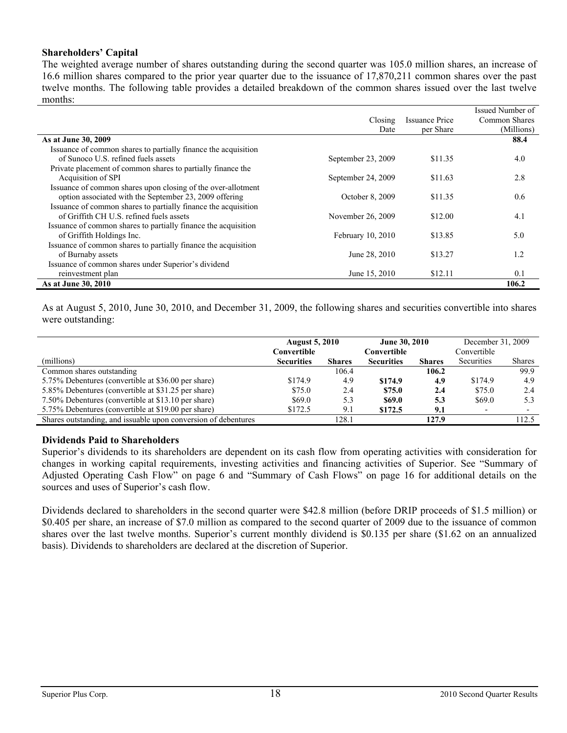## **Shareholders' Capital**

The weighted average number of shares outstanding during the second quarter was 105.0 million shares, an increase of 16.6 million shares compared to the prior year quarter due to the issuance of 17,870,211 common shares over the past twelve months. The following table provides a detailed breakdown of the common shares issued over the last twelve months:

|                                                                |                    |                | Issued Number of |
|----------------------------------------------------------------|--------------------|----------------|------------------|
|                                                                | Closing            | Issuance Price | Common Shares    |
|                                                                | Date               | per Share      | (Millions)       |
| As at June 30, 2009                                            |                    |                | 88.4             |
| Issuance of common shares to partially finance the acquisition |                    |                |                  |
| of Sunoco U.S. refined fuels assets                            | September 23, 2009 | \$11.35        | 4.0              |
| Private placement of common shares to partially finance the    |                    |                |                  |
| Acquisition of SPI                                             | September 24, 2009 | \$11.63        | 2.8              |
| Issuance of common shares upon closing of the over-allotment   |                    |                |                  |
| option associated with the September 23, 2009 offering         | October 8, 2009    | \$11.35        | 0.6              |
| Issuance of common shares to partially finance the acquisition |                    |                |                  |
| of Griffith CH U.S. refined fuels assets                       | November 26, 2009  | \$12.00        | 4.1              |
| Issuance of common shares to partially finance the acquisition |                    |                |                  |
| of Griffith Holdings Inc.                                      | February 10, 2010  | \$13.85        | 5.0              |
| Issuance of common shares to partially finance the acquisition |                    |                |                  |
| of Burnaby assets                                              | June 28, 2010      | \$13.27        | 1.2              |
| Issuance of common shares under Superior's dividend            |                    |                |                  |
| reinvestment plan                                              | June 15, 2010      | \$12.11        | 0.1              |
| As at June 30, 2010                                            |                    |                | 106.2            |

As at August 5, 2010, June 30, 2010, and December 31, 2009, the following shares and securities convertible into shares were outstanding:

|                                                                | <b>August 5, 2010</b> |               | June 30, 2010     |               | December 31, 2009 |               |
|----------------------------------------------------------------|-----------------------|---------------|-------------------|---------------|-------------------|---------------|
|                                                                | Convertible           |               | Convertible       |               | Convertible       |               |
| (millions)                                                     | <b>Securities</b>     | <b>Shares</b> | <b>Securities</b> | <b>Shares</b> | Securities        | <b>Shares</b> |
| Common shares outstanding                                      |                       | 106.4         |                   | 106.2         |                   | 99.9          |
| 5.75% Debentures (convertible at \$36.00 per share)            | \$174.9               | 4.9           | \$174.9           | 4.9           | \$174.9           | 4.9           |
| 5.85% Debentures (convertible at \$31.25 per share)            | \$75.0                | 2.4           | \$75.0            | 2.4           | \$75.0            | 2.4           |
| 7.50% Debentures (convertible at \$13.10 per share)            | \$69.0                | 5.3           | \$69.0            | 5.3           | \$69.0            | 5.3           |
| 5.75% Debentures (convertible at \$19.00 per share)            | \$172.5               | 9.1           | \$172.5           | 9.1           |                   |               |
| Shares outstanding, and issuable upon conversion of debentures |                       | 128.1         |                   | 127.9         |                   | 112.5         |

### **Dividends Paid to Shareholders**

Superior's dividends to its shareholders are dependent on its cash flow from operating activities with consideration for changes in working capital requirements, investing activities and financing activities of Superior. See "Summary of Adjusted Operating Cash Flow" on page 6 and "Summary of Cash Flows" on page 16 for additional details on the sources and uses of Superior's cash flow.

Dividends declared to shareholders in the second quarter were \$42.8 million (before DRIP proceeds of \$1.5 million) or \$0.405 per share, an increase of \$7.0 million as compared to the second quarter of 2009 due to the issuance of common shares over the last twelve months. Superior's current monthly dividend is \$0.135 per share (\$1.62 on an annualized basis). Dividends to shareholders are declared at the discretion of Superior.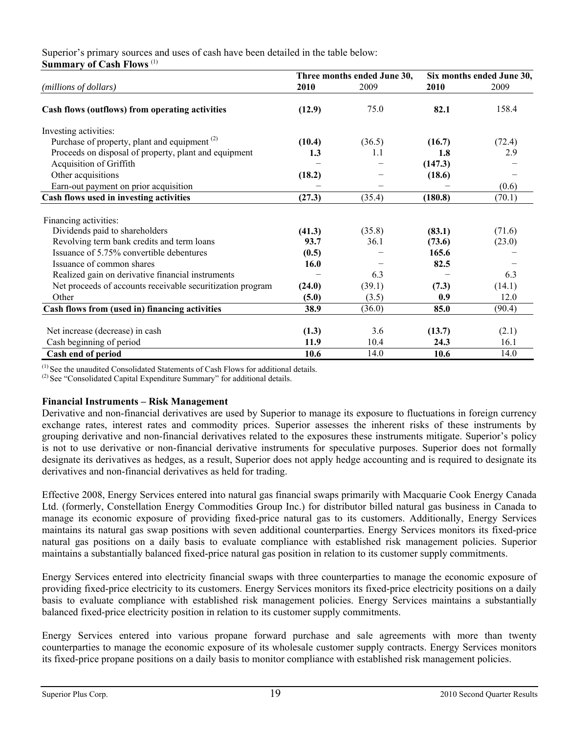Superior's primary sources and uses of cash have been detailed in the table below: **Summary of Cash Flows** (1)

|                                                            |        | Three months ended June 30, | Six months ended June 30, |        |  |
|------------------------------------------------------------|--------|-----------------------------|---------------------------|--------|--|
| (millions of dollars)                                      | 2010   | 2009                        | 2010                      | 2009   |  |
| Cash flows (outflows) from operating activities            | (12.9) | 75.0                        | 82.1                      | 158.4  |  |
| Investing activities:                                      |        |                             |                           |        |  |
| Purchase of property, plant and equipment $(2)$            | (10.4) | (36.5)                      | (16.7)                    | (72.4) |  |
| Proceeds on disposal of property, plant and equipment      | 1.3    | 1.1                         | 1.8                       | 2.9    |  |
| Acquisition of Griffith                                    |        |                             | (147.3)                   |        |  |
| Other acquisitions                                         | (18.2) |                             | (18.6)                    |        |  |
| Earn-out payment on prior acquisition                      |        |                             |                           | (0.6)  |  |
| Cash flows used in investing activities                    | (27.3) | (35.4)                      | (180.8)                   | (70.1) |  |
| Financing activities:                                      |        |                             |                           |        |  |
| Dividends paid to shareholders                             | (41.3) | (35.8)                      | (83.1)                    | (71.6) |  |
| Revolving term bank credits and term loans                 | 93.7   | 36.1                        | (73.6)                    | (23.0) |  |
| Issuance of 5.75% convertible debentures                   | (0.5)  |                             | 165.6                     |        |  |
| Issuance of common shares                                  | 16.0   |                             | 82.5                      |        |  |
| Realized gain on derivative financial instruments          |        | 6.3                         |                           | 6.3    |  |
| Net proceeds of accounts receivable securitization program | (24.0) | (39.1)                      | (7.3)                     | (14.1) |  |
| Other                                                      | (5.0)  | (3.5)                       | 0.9                       | 12.0   |  |
| Cash flows from (used in) financing activities             | 38.9   | (36.0)                      | 85.0                      | (90.4) |  |
| Net increase (decrease) in cash                            | (1.3)  | 3.6                         | (13.7)                    | (2.1)  |  |
| Cash beginning of period                                   | 11.9   | 10.4                        | 24.3                      | 16.1   |  |
| Cash end of period                                         | 10.6   | 14.0                        | 10.6                      | 14.0   |  |

 $<sup>(1)</sup>$  See the unaudited Consolidated Statements of Cash Flows for additional details.</sup>

 $^{(2)}$  See "Consolidated Capital Expenditure Summary" for additional details.

## **Financial Instruments – Risk Management**

Derivative and non-financial derivatives are used by Superior to manage its exposure to fluctuations in foreign currency exchange rates, interest rates and commodity prices. Superior assesses the inherent risks of these instruments by grouping derivative and non-financial derivatives related to the exposures these instruments mitigate. Superior's policy is not to use derivative or non-financial derivative instruments for speculative purposes. Superior does not formally designate its derivatives as hedges, as a result, Superior does not apply hedge accounting and is required to designate its derivatives and non-financial derivatives as held for trading.

Effective 2008, Energy Services entered into natural gas financial swaps primarily with Macquarie Cook Energy Canada Ltd. (formerly, Constellation Energy Commodities Group Inc.) for distributor billed natural gas business in Canada to manage its economic exposure of providing fixed-price natural gas to its customers. Additionally, Energy Services maintains its natural gas swap positions with seven additional counterparties. Energy Services monitors its fixed-price natural gas positions on a daily basis to evaluate compliance with established risk management policies. Superior maintains a substantially balanced fixed-price natural gas position in relation to its customer supply commitments.

Energy Services entered into electricity financial swaps with three counterparties to manage the economic exposure of providing fixed-price electricity to its customers. Energy Services monitors its fixed-price electricity positions on a daily basis to evaluate compliance with established risk management policies. Energy Services maintains a substantially balanced fixed-price electricity position in relation to its customer supply commitments.

Energy Services entered into various propane forward purchase and sale agreements with more than twenty counterparties to manage the economic exposure of its wholesale customer supply contracts. Energy Services monitors its fixed-price propane positions on a daily basis to monitor compliance with established risk management policies.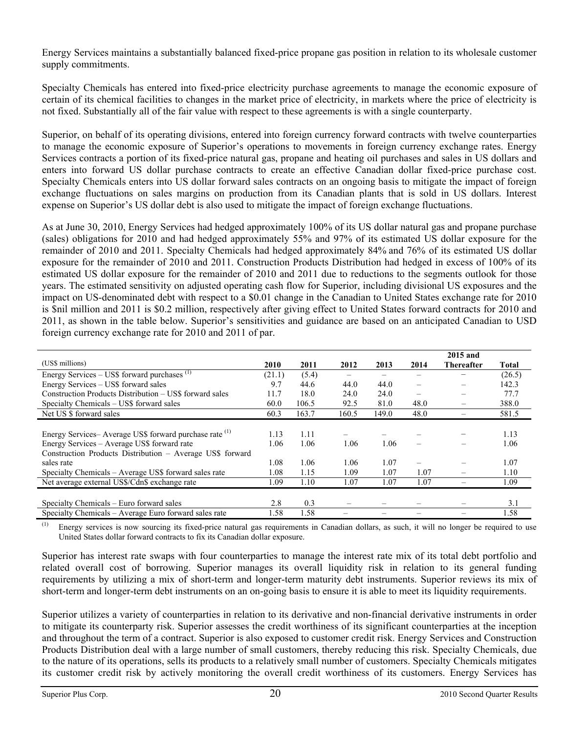Energy Services maintains a substantially balanced fixed-price propane gas position in relation to its wholesale customer supply commitments.

Specialty Chemicals has entered into fixed-price electricity purchase agreements to manage the economic exposure of certain of its chemical facilities to changes in the market price of electricity, in markets where the price of electricity is not fixed. Substantially all of the fair value with respect to these agreements is with a single counterparty.

Superior, on behalf of its operating divisions, entered into foreign currency forward contracts with twelve counterparties to manage the economic exposure of Superior's operations to movements in foreign currency exchange rates. Energy Services contracts a portion of its fixed-price natural gas, propane and heating oil purchases and sales in US dollars and enters into forward US dollar purchase contracts to create an effective Canadian dollar fixed-price purchase cost. Specialty Chemicals enters into US dollar forward sales contracts on an ongoing basis to mitigate the impact of foreign exchange fluctuations on sales margins on production from its Canadian plants that is sold in US dollars. Interest expense on Superior's US dollar debt is also used to mitigate the impact of foreign exchange fluctuations.

As at June 30, 2010, Energy Services had hedged approximately 100% of its US dollar natural gas and propane purchase (sales) obligations for 2010 and had hedged approximately 55% and 97% of its estimated US dollar exposure for the remainder of 2010 and 2011. Specialty Chemicals had hedged approximately 84% and 76% of its estimated US dollar exposure for the remainder of 2010 and 2011. Construction Products Distribution had hedged in excess of 100% of its estimated US dollar exposure for the remainder of 2010 and 2011 due to reductions to the segments outlook for those years. The estimated sensitivity on adjusted operating cash flow for Superior, including divisional US exposures and the impact on US-denominated debt with respect to a \$0.01 change in the Canadian to United States exchange rate for 2010 is \$nil million and 2011 is \$0.2 million, respectively after giving effect to United States forward contracts for 2010 and 2011, as shown in the table below. Superior's sensitivities and guidance are based on an anticipated Canadian to USD foreign currency exchange rate for 2010 and 2011 of par.

|                                                                   |        |       |       |       |      | 2015 and                 |              |
|-------------------------------------------------------------------|--------|-------|-------|-------|------|--------------------------|--------------|
| (US\$ millions)                                                   | 2010   | 2011  | 2012  | 2013  | 2014 | <b>Thereafter</b>        | <b>Total</b> |
| Energy Services – US\$ forward purchases $(1)$                    | (21.1) | (5.4) |       |       |      |                          | (26.5)       |
| Energy Services – US\$ forward sales                              | 9.7    | 44.6  | 44.0  | 44.0  |      |                          | 142.3        |
| Construction Products Distribution – US\$ forward sales           | 11.7   | 18.0  | 24.0  | 24.0  |      | $\overline{\phantom{0}}$ | 77.7         |
| Specialty Chemicals – US\$ forward sales                          | 60.0   | 106.5 | 92.5  | 81.0  | 48.0 |                          | 388.0        |
| Net US \$ forward sales                                           | 60.3   | 163.7 | 160.5 | 149.0 | 48.0 |                          | 581.5        |
|                                                                   |        |       |       |       |      |                          |              |
| Energy Services–Average US\$ forward purchase rate <sup>(1)</sup> | 1.13   | 1.11  |       |       |      |                          | 1.13         |
| Energy Services – Average US\$ forward rate                       | 1.06   | 1.06  | 1.06  | 1.06  |      |                          | 1.06         |
| Construction Products Distribution – Average US\$ forward         |        |       |       |       |      |                          |              |
| sales rate                                                        | 1.08   | 1.06  | 1.06  | 1.07  |      |                          | 1.07         |
| Specialty Chemicals - Average US\$ forward sales rate             | 1.08   | 1.15  | 1.09  | 1.07  | 1.07 |                          | 1.10         |
| Net average external US\$/Cdn\$ exchange rate                     | 1.09   | 1.10  | 1.07  | 1.07  | 1.07 |                          | 1.09         |
|                                                                   |        |       |       |       |      |                          |              |
| Specialty Chemicals – Euro forward sales                          | 2.8    | 0.3   |       |       |      |                          | 3.1          |
| Specialty Chemicals – Average Euro forward sales rate             | 1.58   | 1.58  |       |       |      |                          | 1.58         |

(1) Energy services is now sourcing its fixed-price natural gas requirements in Canadian dollars, as such, it will no longer be required to use United States dollar forward contracts to fix its Canadian dollar exposure.

Superior has interest rate swaps with four counterparties to manage the interest rate mix of its total debt portfolio and related overall cost of borrowing. Superior manages its overall liquidity risk in relation to its general funding requirements by utilizing a mix of short-term and longer-term maturity debt instruments. Superior reviews its mix of short-term and longer-term debt instruments on an on-going basis to ensure it is able to meet its liquidity requirements.

Superior utilizes a variety of counterparties in relation to its derivative and non-financial derivative instruments in order to mitigate its counterparty risk. Superior assesses the credit worthiness of its significant counterparties at the inception and throughout the term of a contract. Superior is also exposed to customer credit risk. Energy Services and Construction Products Distribution deal with a large number of small customers, thereby reducing this risk. Specialty Chemicals, due to the nature of its operations, sells its products to a relatively small number of customers. Specialty Chemicals mitigates its customer credit risk by actively monitoring the overall credit worthiness of its customers. Energy Services has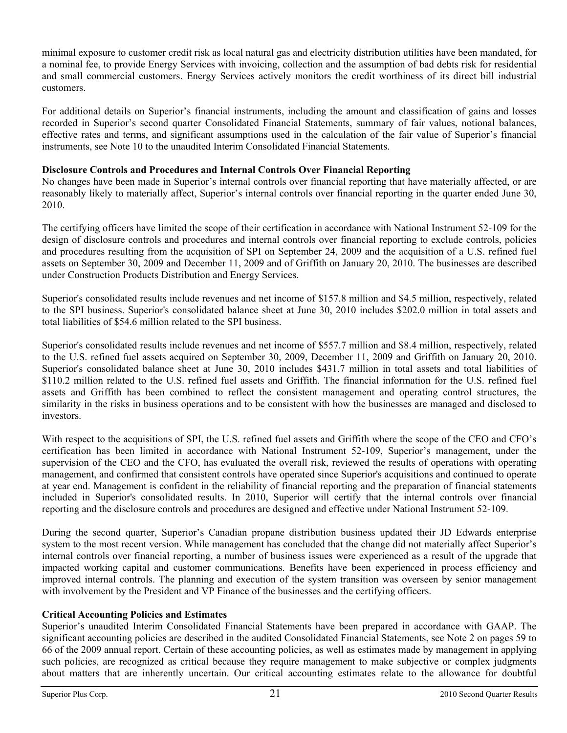minimal exposure to customer credit risk as local natural gas and electricity distribution utilities have been mandated, for a nominal fee, to provide Energy Services with invoicing, collection and the assumption of bad debts risk for residential and small commercial customers. Energy Services actively monitors the credit worthiness of its direct bill industrial customers.

For additional details on Superior's financial instruments, including the amount and classification of gains and losses recorded in Superior's second quarter Consolidated Financial Statements, summary of fair values, notional balances, effective rates and terms, and significant assumptions used in the calculation of the fair value of Superior's financial instruments, see Note 10 to the unaudited Interim Consolidated Financial Statements.

## **Disclosure Controls and Procedures and Internal Controls Over Financial Reporting**

No changes have been made in Superior's internal controls over financial reporting that have materially affected, or are reasonably likely to materially affect, Superior's internal controls over financial reporting in the quarter ended June 30, 2010.

The certifying officers have limited the scope of their certification in accordance with National Instrument 52-109 for the design of disclosure controls and procedures and internal controls over financial reporting to exclude controls, policies and procedures resulting from the acquisition of SPI on September 24, 2009 and the acquisition of a U.S. refined fuel assets on September 30, 2009 and December 11, 2009 and of Griffith on January 20, 2010. The businesses are described under Construction Products Distribution and Energy Services.

Superior's consolidated results include revenues and net income of \$157.8 million and \$4.5 million, respectively, related to the SPI business. Superior's consolidated balance sheet at June 30, 2010 includes \$202.0 million in total assets and total liabilities of \$54.6 million related to the SPI business.

Superior's consolidated results include revenues and net income of \$557.7 million and \$8.4 million, respectively, related to the U.S. refined fuel assets acquired on September 30, 2009, December 11, 2009 and Griffith on January 20, 2010. Superior's consolidated balance sheet at June 30, 2010 includes \$431.7 million in total assets and total liabilities of \$110.2 million related to the U.S. refined fuel assets and Griffith. The financial information for the U.S. refined fuel assets and Griffith has been combined to reflect the consistent management and operating control structures, the similarity in the risks in business operations and to be consistent with how the businesses are managed and disclosed to investors.

With respect to the acquisitions of SPI, the U.S. refined fuel assets and Griffith where the scope of the CEO and CFO's certification has been limited in accordance with National Instrument 52-109, Superior's management, under the supervision of the CEO and the CFO, has evaluated the overall risk, reviewed the results of operations with operating management, and confirmed that consistent controls have operated since Superior's acquisitions and continued to operate at year end. Management is confident in the reliability of financial reporting and the preparation of financial statements included in Superior's consolidated results. In 2010, Superior will certify that the internal controls over financial reporting and the disclosure controls and procedures are designed and effective under National Instrument 52-109.

During the second quarter, Superior's Canadian propane distribution business updated their JD Edwards enterprise system to the most recent version. While management has concluded that the change did not materially affect Superior's internal controls over financial reporting, a number of business issues were experienced as a result of the upgrade that impacted working capital and customer communications. Benefits have been experienced in process efficiency and improved internal controls. The planning and execution of the system transition was overseen by senior management with involvement by the President and VP Finance of the businesses and the certifying officers.

## **Critical Accounting Policies and Estimates**

Superior's unaudited Interim Consolidated Financial Statements have been prepared in accordance with GAAP. The significant accounting policies are described in the audited Consolidated Financial Statements, see Note 2 on pages 59 to 66 of the 2009 annual report. Certain of these accounting policies, as well as estimates made by management in applying such policies, are recognized as critical because they require management to make subjective or complex judgments about matters that are inherently uncertain. Our critical accounting estimates relate to the allowance for doubtful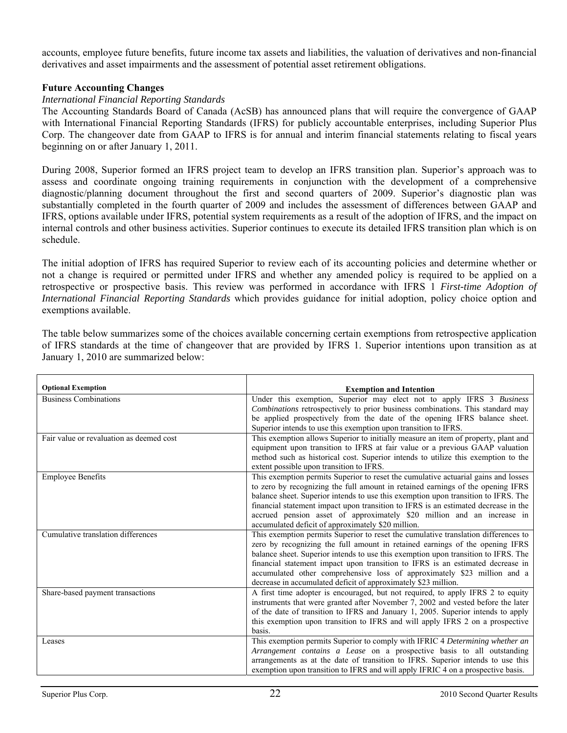accounts, employee future benefits, future income tax assets and liabilities, the valuation of derivatives and non-financial derivatives and asset impairments and the assessment of potential asset retirement obligations.

### **Future Accounting Changes**

### *International Financial Reporting Standards*

The Accounting Standards Board of Canada (AcSB) has announced plans that will require the convergence of GAAP with International Financial Reporting Standards (IFRS) for publicly accountable enterprises, including Superior Plus Corp. The changeover date from GAAP to IFRS is for annual and interim financial statements relating to fiscal years beginning on or after January 1, 2011.

During 2008, Superior formed an IFRS project team to develop an IFRS transition plan. Superior's approach was to assess and coordinate ongoing training requirements in conjunction with the development of a comprehensive diagnostic/planning document throughout the first and second quarters of 2009. Superior's diagnostic plan was substantially completed in the fourth quarter of 2009 and includes the assessment of differences between GAAP and IFRS, options available under IFRS, potential system requirements as a result of the adoption of IFRS, and the impact on internal controls and other business activities. Superior continues to execute its detailed IFRS transition plan which is on schedule.

The initial adoption of IFRS has required Superior to review each of its accounting policies and determine whether or not a change is required or permitted under IFRS and whether any amended policy is required to be applied on a retrospective or prospective basis. This review was performed in accordance with IFRS 1 *First-time Adoption of International Financial Reporting Standards* which provides guidance for initial adoption, policy choice option and exemptions available.

The table below summarizes some of the choices available concerning certain exemptions from retrospective application of IFRS standards at the time of changeover that are provided by IFRS 1. Superior intentions upon transition as at January 1, 2010 are summarized below:

| <b>Optional Exemption</b>                | <b>Exemption and Intention</b>                                                                                                                                           |
|------------------------------------------|--------------------------------------------------------------------------------------------------------------------------------------------------------------------------|
| <b>Business Combinations</b>             | Under this exemption, Superior may elect not to apply IFRS 3 Business                                                                                                    |
|                                          | Combinations retrospectively to prior business combinations. This standard may                                                                                           |
|                                          | be applied prospectively from the date of the opening IFRS balance sheet.                                                                                                |
|                                          | Superior intends to use this exemption upon transition to IFRS.                                                                                                          |
| Fair value or revaluation as deemed cost | This exemption allows Superior to initially measure an item of property, plant and                                                                                       |
|                                          | equipment upon transition to IFRS at fair value or a previous GAAP valuation                                                                                             |
|                                          | method such as historical cost. Superior intends to utilize this exemption to the                                                                                        |
|                                          | extent possible upon transition to IFRS.                                                                                                                                 |
| <b>Employee Benefits</b>                 | This exemption permits Superior to reset the cumulative actuarial gains and losses                                                                                       |
|                                          | to zero by recognizing the full amount in retained earnings of the opening IFRS                                                                                          |
|                                          | balance sheet. Superior intends to use this exemption upon transition to IFRS. The<br>financial statement impact upon transition to IFRS is an estimated decrease in the |
|                                          | accrued pension asset of approximately \$20 million and an increase in                                                                                                   |
|                                          | accumulated deficit of approximately \$20 million.                                                                                                                       |
| Cumulative translation differences       | This exemption permits Superior to reset the cumulative translation differences to                                                                                       |
|                                          | zero by recognizing the full amount in retained earnings of the opening IFRS                                                                                             |
|                                          | balance sheet. Superior intends to use this exemption upon transition to IFRS. The                                                                                       |
|                                          | financial statement impact upon transition to IFRS is an estimated decrease in                                                                                           |
|                                          | accumulated other comprehensive loss of approximately \$23 million and a                                                                                                 |
|                                          | decrease in accumulated deficit of approximately \$23 million.                                                                                                           |
| Share-based payment transactions         | A first time adopter is encouraged, but not required, to apply IFRS 2 to equity                                                                                          |
|                                          | instruments that were granted after November 7, 2002 and vested before the later                                                                                         |
|                                          | of the date of transition to IFRS and January 1, 2005. Superior intends to apply                                                                                         |
|                                          | this exemption upon transition to IFRS and will apply IFRS 2 on a prospective                                                                                            |
|                                          | basis.                                                                                                                                                                   |
| Leases                                   | This exemption permits Superior to comply with IFRIC 4 Determining whether an                                                                                            |
|                                          | Arrangement contains a Lease on a prospective basis to all outstanding                                                                                                   |
|                                          | arrangements as at the date of transition to IFRS. Superior intends to use this                                                                                          |
|                                          | exemption upon transition to IFRS and will apply IFRIC 4 on a prospective basis.                                                                                         |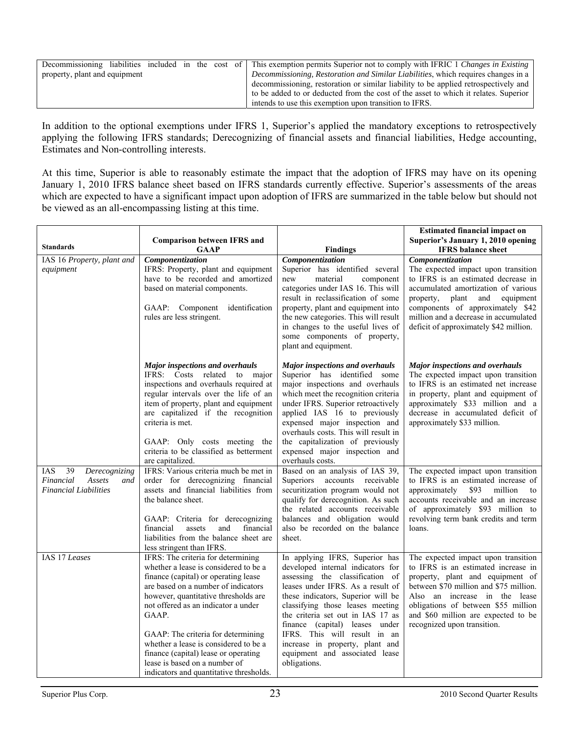|                               |  |  | Decommissioning liabilities included in the cost of This exemption permits Superior not to comply with IFRIC 1 Changes in Existing |
|-------------------------------|--|--|------------------------------------------------------------------------------------------------------------------------------------|
| property, plant and equipment |  |  | Decommissioning, Restoration and Similar Liabilities, which requires changes in a                                                  |
|                               |  |  | decommissioning, restoration or similar liability to be applied retrospectively and                                                |
|                               |  |  | to be added to or deducted from the cost of the asset to which it relates. Superior                                                |
|                               |  |  | intends to use this exemption upon transition to IFRS.                                                                             |

In addition to the optional exemptions under IFRS 1, Superior's applied the mandatory exceptions to retrospectively applying the following IFRS standards; Derecognizing of financial assets and financial liabilities, Hedge accounting, Estimates and Non-controlling interests.

At this time, Superior is able to reasonably estimate the impact that the adoption of IFRS may have on its opening January 1, 2010 IFRS balance sheet based on IFRS standards currently effective. Superior's assessments of the areas which are expected to have a significant impact upon adoption of IFRS are summarized in the table below but should not be viewed as an all-encompassing listing at this time.

|                                                                                                 | <b>Comparison between IFRS and</b>                                                                                                                                                                                                                                                                                                                                                                                                                    |                                                                                                                                                                                                                                                                                                                                                                                                                   | <b>Estimated financial impact on</b><br>Superior's January 1, 2010 opening                                                                                                                                                                                                                             |
|-------------------------------------------------------------------------------------------------|-------------------------------------------------------------------------------------------------------------------------------------------------------------------------------------------------------------------------------------------------------------------------------------------------------------------------------------------------------------------------------------------------------------------------------------------------------|-------------------------------------------------------------------------------------------------------------------------------------------------------------------------------------------------------------------------------------------------------------------------------------------------------------------------------------------------------------------------------------------------------------------|--------------------------------------------------------------------------------------------------------------------------------------------------------------------------------------------------------------------------------------------------------------------------------------------------------|
| <b>Standards</b>                                                                                | <b>GAAP</b>                                                                                                                                                                                                                                                                                                                                                                                                                                           | <b>Findings</b>                                                                                                                                                                                                                                                                                                                                                                                                   | <b>IFRS</b> balance sheet                                                                                                                                                                                                                                                                              |
| IAS 16 Property, plant and<br>equipment                                                         | Componentization<br>IFRS: Property, plant and equipment<br>have to be recorded and amortized<br>based on material components.<br>GAAP: Component identification<br>rules are less stringent.                                                                                                                                                                                                                                                          | Componentization<br>Superior has identified several<br>material<br>new<br>component<br>categories under IAS 16. This will<br>result in reclassification of some<br>property, plant and equipment into<br>the new categories. This will result<br>in changes to the useful lives of<br>some components of property,<br>plant and equipment.                                                                        | Componentization<br>The expected impact upon transition<br>to IFRS is an estimated decrease in<br>accumulated amortization of various<br>equipment<br>property,<br>plant and<br>components of approximately \$42<br>million and a decrease in accumulated<br>deficit of approximately \$42 million.    |
|                                                                                                 | <b>Major inspections and overhauls</b><br>IFRS: Costs related to major<br>inspections and overhauls required at<br>regular intervals over the life of an<br>item of property, plant and equipment<br>are capitalized if the recognition<br>criteria is met.<br>GAAP: Only costs meeting the<br>criteria to be classified as betterment<br>are capitalized.                                                                                            | <b>Major</b> inspections and overhauls<br>Superior has identified some<br>major inspections and overhauls<br>which meet the recognition criteria<br>under IFRS. Superior retroactively<br>applied IAS 16 to previously<br>expensed major inspection and<br>overhauls costs. This will result in<br>the capitalization of previously<br>expensed major inspection and<br>overhauls costs.                          | <b>Major</b> inspections and overhauls<br>The expected impact upon transition<br>to IFRS is an estimated net increase<br>in property, plant and equipment of<br>approximately \$33 million and a<br>decrease in accumulated deficit of<br>approximately \$33 million.                                  |
| <b>IAS</b><br>39<br>Derecognizing<br>Financial<br>Assets<br>and<br><b>Financial Liabilities</b> | IFRS: Various criteria much be met in<br>order for derecognizing financial<br>assets and financial liabilities from<br>the balance sheet.<br>GAAP: Criteria for derecognizing<br>financial<br>assets<br>and<br>financial<br>liabilities from the balance sheet are<br>less stringent than IFRS.                                                                                                                                                       | Based on an analysis of IAS 39,<br>Superiors accounts<br>receivable<br>securitization program would not<br>qualify for derecognition. As such<br>the related accounts receivable<br>balances and obligation would<br>also be recorded on the balance<br>sheet.                                                                                                                                                    | The expected impact upon transition<br>to IFRS is an estimated increase of<br>\$93<br>million<br>approximately<br>to<br>accounts receivable and an increase<br>of approximately \$93 million to<br>revolving term bank credits and term<br>loans.                                                      |
| IAS 17 Leases                                                                                   | IFRS: The criteria for determining<br>whether a lease is considered to be a<br>finance (capital) or operating lease<br>are based on a number of indicators<br>however, quantitative thresholds are<br>not offered as an indicator a under<br>GAAP.<br>GAAP: The criteria for determining<br>whether a lease is considered to be a<br>finance (capital) lease or operating<br>lease is based on a number of<br>indicators and quantitative thresholds. | In applying IFRS, Superior has<br>developed internal indicators for<br>assessing the classification of<br>leases under IFRS. As a result of<br>these indicators, Superior will be<br>classifying those leases meeting<br>the criteria set out in IAS 17 as<br>finance (capital) leases under<br>IFRS. This will result in an<br>increase in property, plant and<br>equipment and associated lease<br>obligations. | The expected impact upon transition<br>to IFRS is an estimated increase in<br>property, plant and equipment of<br>between \$70 million and \$75 million.<br>Also an increase in the lease<br>obligations of between \$55 million<br>and \$60 million are expected to be<br>recognized upon transition. |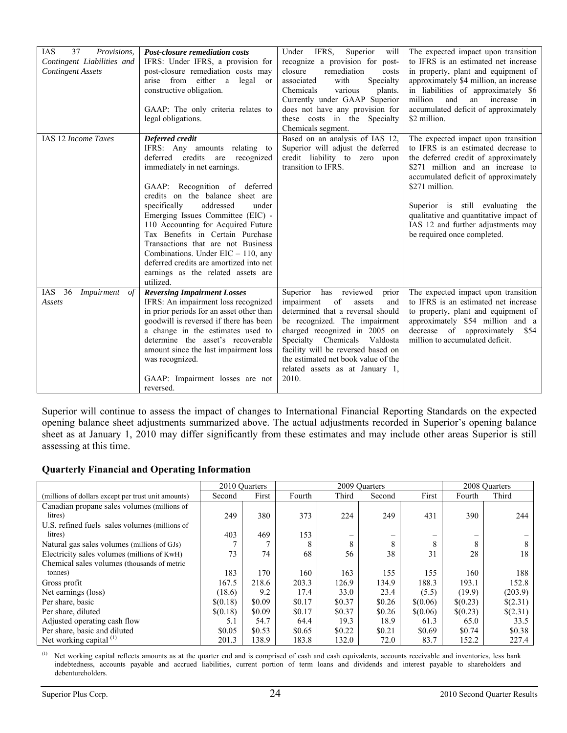| <b>IAS</b><br>37<br>Provisions,<br>Contingent Liabilities and<br><b>Contingent Assets</b> | <b>Post-closure remediation costs</b><br>IFRS: Under IFRS, a provision for<br>post-closure remediation costs may<br>arise from either a<br>legal or<br>constructive obligation.<br>GAAP: The only criteria relates to<br>legal obligations.                                                                                                                                                                                                                                                                                   | Superior<br>Under IFRS.<br>will<br>recognize a provision for post-<br>closure<br>remediation<br>costs<br>Specialty<br>associated<br>with<br>Chemicals<br>various<br>plants.<br>Currently under GAAP Superior<br>does not have any provision for<br>these costs in the Specialty<br>Chemicals segment.                               | The expected impact upon transition<br>to IFRS is an estimated net increase<br>in property, plant and equipment of<br>approximately \$4 million, an increase<br>in liabilities of approximately \$6<br>million<br>and<br>an<br>increase<br>1n<br>accumulated deficit of approximately<br>\$2 million.                                                                  |
|-------------------------------------------------------------------------------------------|-------------------------------------------------------------------------------------------------------------------------------------------------------------------------------------------------------------------------------------------------------------------------------------------------------------------------------------------------------------------------------------------------------------------------------------------------------------------------------------------------------------------------------|-------------------------------------------------------------------------------------------------------------------------------------------------------------------------------------------------------------------------------------------------------------------------------------------------------------------------------------|------------------------------------------------------------------------------------------------------------------------------------------------------------------------------------------------------------------------------------------------------------------------------------------------------------------------------------------------------------------------|
| IAS 12 Income Taxes                                                                       | Deferred credit<br>IFRS: Any amounts relating to<br>deferred credits<br>are recognized<br>immediately in net earnings.<br>GAAP: Recognition of deferred<br>credits on the balance sheet are<br>addressed<br>specifically<br>under<br>Emerging Issues Committee (EIC) -<br>110 Accounting for Acquired Future<br>Tax Benefits in Certain Purchase<br>Transactions that are not Business<br>Combinations. Under $EIC - 110$ , any<br>deferred credits are amortized into net<br>earnings as the related assets are<br>utilized. | Based on an analysis of IAS 12,<br>Superior will adjust the deferred<br>credit liability to zero upon<br>transition to IFRS.                                                                                                                                                                                                        | The expected impact upon transition<br>to IFRS is an estimated decrease to<br>the deferred credit of approximately<br>\$271 million and an increase to<br>accumulated deficit of approximately<br>\$271 million.<br>Superior is still evaluating<br>the<br>qualitative and quantitative impact of<br>IAS 12 and further adjustments may<br>be required once completed. |
| IAS 36 Impairment<br>of<br>Assets                                                         | <b>Reversing Impairment Losses</b><br>IFRS: An impairment loss recognized<br>in prior periods for an asset other than<br>goodwill is reversed if there has been<br>a change in the estimates used to<br>determine the asset's recoverable<br>amount since the last impairment loss<br>was recognized.<br>GAAP: Impairment losses are not<br>reversed.                                                                                                                                                                         | Superior has reviewed<br>prior<br>impairment<br>of<br>assets<br>and<br>determined that a reversal should<br>be recognized. The impairment<br>charged recognized in 2005 on<br>Specialty Chemicals Valdosta<br>facility will be reversed based on<br>the estimated net book value of the<br>related assets as at January 1,<br>2010. | The expected impact upon transition<br>to IFRS is an estimated net increase<br>to property, plant and equipment of<br>approximately \$54 million and a<br>decrease of approximately<br>\$54<br>million to accumulated deficit.                                                                                                                                         |

Superior will continue to assess the impact of changes to International Financial Reporting Standards on the expected opening balance sheet adjustments summarized above. The actual adjustments recorded in Superior's opening balance sheet as at January 1, 2010 may differ significantly from these estimates and may include other areas Superior is still assessing at this time.

## **Quarterly Financial and Operating Information**

|                                                     | 2010 Ouarters |        |        | 2009 Ouarters | 2008 Ouarters |          |          |          |
|-----------------------------------------------------|---------------|--------|--------|---------------|---------------|----------|----------|----------|
| (millions of dollars except per trust unit amounts) | Second        | First  | Fourth | Third         | Second        | First    | Fourth   | Third    |
| Canadian propane sales volumes (millions of         |               |        |        |               |               |          |          |          |
| litres)                                             | 249           | 380    | 373    | 224           | 249           | 431      | 390      | 244      |
| U.S. refined fuels sales volumes (millions of       |               |        |        |               |               |          |          |          |
| litres)                                             | 403           | 469    | 153    | —             |               |          | -        |          |
| Natural gas sales volumes (millions of GJs)         |               |        |        | 8             |               |          | 8        |          |
| Electricity sales volumes (millions of KwH)         | 73            | 74     | 68     | 56            | 38            | 31       | 28       | 18       |
| Chemical sales volumes (thousands of metric         |               |        |        |               |               |          |          |          |
| tonnes)                                             | 183           | 170    | 160    | 163           | 155           | 155      | 160      | 188      |
| Gross profit                                        | 167.5         | 218.6  | 203.3  | 126.9         | 134.9         | 188.3    | 193.1    | 152.8    |
| Net earnings (loss)                                 | (18.6)        | 9.2    | 17.4   | 33.0          | 23.4          | (5.5)    | (19.9)   | (203.9)  |
| Per share, basic                                    | \$(0.18)      | \$0.09 | \$0.17 | \$0.37        | \$0.26        | \$(0.06) | \$(0.23) | \$(2.31) |
| Per share, diluted                                  | \$(0.18)      | \$0.09 | \$0.17 | \$0.37        | \$0.26        | \$(0.06) | \$(0.23) | \$(2.31) |
| Adjusted operating cash flow                        | 5.1           | 54.7   | 64.4   | 19.3          | 18.9          | 61.3     | 65.0     | 33.5     |
| Per share, basic and diluted                        | \$0.05        | \$0.53 | \$0.65 | \$0.22        | \$0.21        | \$0.69   | \$0.74   | \$0.38   |
| Net working capital $(1)$                           | 201.3         | 138.9  | 183.8  | 132.0         | 72.0          | 83.7     | 152.2    | 227.4    |

<sup>(1)</sup> Net working capital reflects amounts as at the quarter end and is comprised of cash and cash equivalents, accounts receivable and inventories, less bank indebtedness, accounts payable and accrued liabilities, current portion of term loans and dividends and interest payable to shareholders and debentureholders.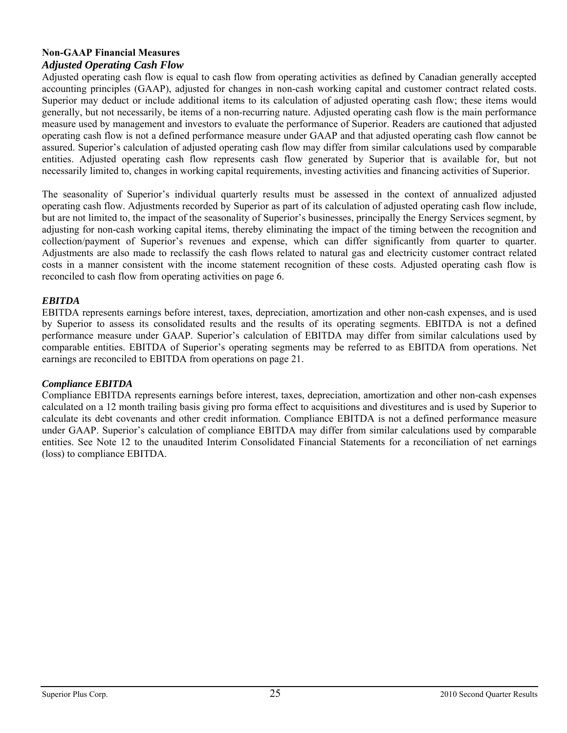## **Non-GAAP Financial Measures**  *Adjusted Operating Cash Flow*

Adjusted operating cash flow is equal to cash flow from operating activities as defined by Canadian generally accepted accounting principles (GAAP), adjusted for changes in non-cash working capital and customer contract related costs. Superior may deduct or include additional items to its calculation of adjusted operating cash flow; these items would generally, but not necessarily, be items of a non-recurring nature. Adjusted operating cash flow is the main performance measure used by management and investors to evaluate the performance of Superior. Readers are cautioned that adjusted operating cash flow is not a defined performance measure under GAAP and that adjusted operating cash flow cannot be assured. Superior's calculation of adjusted operating cash flow may differ from similar calculations used by comparable entities. Adjusted operating cash flow represents cash flow generated by Superior that is available for, but not necessarily limited to, changes in working capital requirements, investing activities and financing activities of Superior.

The seasonality of Superior's individual quarterly results must be assessed in the context of annualized adjusted operating cash flow. Adjustments recorded by Superior as part of its calculation of adjusted operating cash flow include, but are not limited to, the impact of the seasonality of Superior's businesses, principally the Energy Services segment, by adjusting for non-cash working capital items, thereby eliminating the impact of the timing between the recognition and collection/payment of Superior's revenues and expense, which can differ significantly from quarter to quarter. Adjustments are also made to reclassify the cash flows related to natural gas and electricity customer contract related costs in a manner consistent with the income statement recognition of these costs. Adjusted operating cash flow is reconciled to cash flow from operating activities on page 6.

## *EBITDA*

EBITDA represents earnings before interest, taxes, depreciation, amortization and other non-cash expenses, and is used by Superior to assess its consolidated results and the results of its operating segments. EBITDA is not a defined performance measure under GAAP. Superior's calculation of EBITDA may differ from similar calculations used by comparable entities. EBITDA of Superior's operating segments may be referred to as EBITDA from operations. Net earnings are reconciled to EBITDA from operations on page 21.

## *Compliance EBITDA*

Compliance EBITDA represents earnings before interest, taxes, depreciation, amortization and other non-cash expenses calculated on a 12 month trailing basis giving pro forma effect to acquisitions and divestitures and is used by Superior to calculate its debt covenants and other credit information. Compliance EBITDA is not a defined performance measure under GAAP. Superior's calculation of compliance EBITDA may differ from similar calculations used by comparable entities. See Note 12 to the unaudited Interim Consolidated Financial Statements for a reconciliation of net earnings (loss) to compliance EBITDA.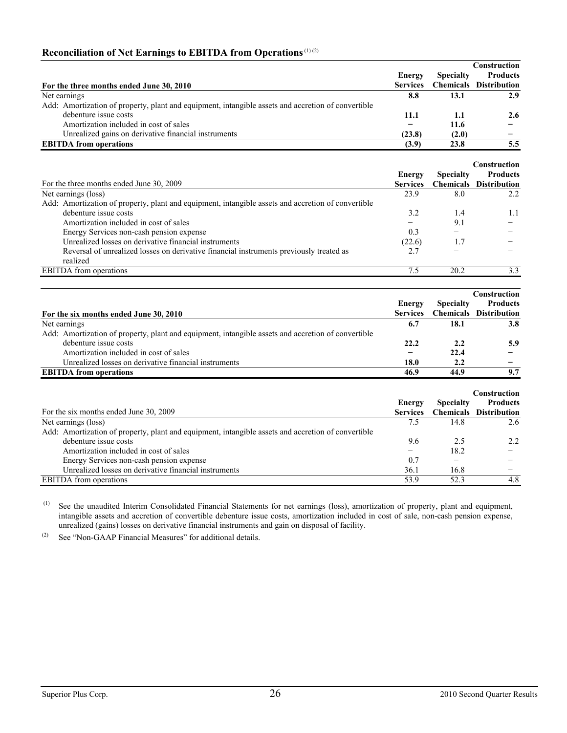### **Reconciliation of Net Earnings to EBITDA from Operations** (1) (2)

|                                                                                                    |                 |                  | Construction                  |
|----------------------------------------------------------------------------------------------------|-----------------|------------------|-------------------------------|
|                                                                                                    | Energy          | <b>Specialty</b> | <b>Products</b>               |
| For the three months ended June 30, 2010                                                           | <b>Services</b> |                  | <b>Chemicals Distribution</b> |
| Net earnings                                                                                       | 8.8             | 13.1             | 2.9                           |
| Add: Amortization of property, plant and equipment, intangible assets and accretion of convertible |                 |                  |                               |
| debenture issue costs                                                                              | 11.1            | 1.1              | 2.6                           |
| Amortization included in cost of sales                                                             |                 | 11.6             |                               |
| Unrealized gains on derivative financial instruments                                               | (23.8)          | (2.0)            |                               |
| <b>EBITDA</b> from operations                                                                      | (3.9)           | 23.8             | 5.5                           |

|                                                                                                    |                 |                  | <b>Construction</b>           |
|----------------------------------------------------------------------------------------------------|-----------------|------------------|-------------------------------|
|                                                                                                    | Energy          | <b>Specialty</b> | <b>Products</b>               |
| For the three months ended June 30, 2009                                                           | <b>Services</b> |                  | <b>Chemicals Distribution</b> |
| Net earnings (loss)                                                                                | 23.9            | 8.0              | 2.2                           |
| Add: Amortization of property, plant and equipment, intangible assets and accretion of convertible |                 |                  |                               |
| debenture issue costs                                                                              | 3.2             | 1.4              | 1.1                           |
| Amortization included in cost of sales                                                             |                 | 9.1              |                               |
| Energy Services non-cash pension expense                                                           | 0.3             | -                |                               |
| Unrealized losses on derivative financial instruments                                              | (22.6)          |                  |                               |
| Reversal of unrealized losses on derivative financial instruments previously treated as            | 2.7             |                  |                               |
| realized                                                                                           |                 |                  |                               |
| <b>EBITDA</b> from operations                                                                      |                 | 20.2             | 33                            |

|                                                                                                    | Energy          | <b>Specialty</b> | Construction<br><b>Products</b> |
|----------------------------------------------------------------------------------------------------|-----------------|------------------|---------------------------------|
| For the six months ended June 30, 2010                                                             | <b>Services</b> | <b>Chemicals</b> | <b>Distribution</b>             |
| Net earnings                                                                                       | 6.7             | 18.1             | 3.8                             |
| Add: Amortization of property, plant and equipment, intangible assets and accretion of convertible |                 |                  |                                 |
| debenture issue costs                                                                              | 22.2            | $2.2\phantom{0}$ | 5.9                             |
| Amortization included in cost of sales                                                             |                 | 22.4             |                                 |
| Unrealized losses on derivative financial instruments                                              | 18.0            | $2.2\phantom{0}$ |                                 |
| <b>EBITDA</b> from operations                                                                      | 46.9            | 44.9             | 9.7                             |
|                                                                                                    |                 |                  |                                 |
|                                                                                                    |                 |                  | Construction                    |
|                                                                                                    | Energy          | <b>Specialty</b> | <b>Products</b>                 |
| For the six months ended June 30, 2009                                                             | <b>Services</b> | <b>Chemicals</b> | <b>Distribution</b>             |
| Net earnings (loss)                                                                                | 7.5             | 14.8             | 2.6                             |
| Add: Amortization of property, plant and equipment, intangible assets and accretion of convertible |                 |                  |                                 |
| debenture issue costs                                                                              | 9.6             | 2.5              | 2.2                             |
| Amortization included in cost of sales                                                             |                 | 18.2             |                                 |
| Energy Services non-cash pension expense                                                           | 0.7             |                  |                                 |

 (1) See the unaudited Interim Consolidated Financial Statements for net earnings (loss), amortization of property, plant and equipment, intangible assets and accretion of convertible debenture issue costs, amortization included in cost of sale, non-cash pension expense, unrealized (gains) losses on derivative financial instruments and gain on disposal of facility.

EBITDA from operations 53.9 52.3 4.8

Unrealized losses on derivative financial instruments 36.1 16.8  $\frac{36.1}{53.9}$ 

(2) See "Non-GAAP Financial Measures" for additional details.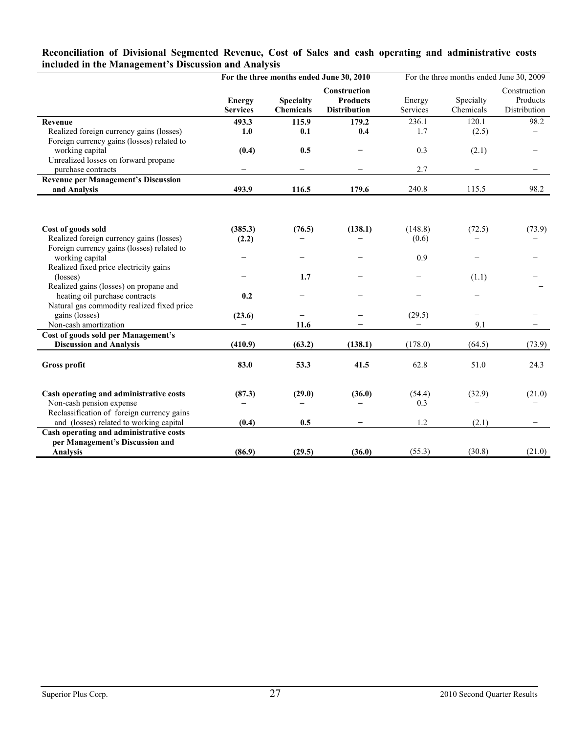## **Reconciliation of Divisional Segmented Revenue, Cost of Sales and cash operating and administrative costs included in the Management's Discussion and Analysis**

|                                                               | For the three months ended June 30, 2010 |                          |                     | For the three months ended June 30, 2009 |           |              |
|---------------------------------------------------------------|------------------------------------------|--------------------------|---------------------|------------------------------------------|-----------|--------------|
|                                                               |                                          |                          | <b>Construction</b> |                                          |           | Construction |
|                                                               | <b>Energy</b>                            | <b>Specialty</b>         | <b>Products</b>     | Energy                                   | Specialty | Products     |
|                                                               | <b>Services</b>                          | <b>Chemicals</b>         | <b>Distribution</b> | Services                                 | Chemicals | Distribution |
| Revenue                                                       | 493.3                                    | 115.9                    | 179.2               | 236.1                                    | 120.1     | 98.2         |
| Realized foreign currency gains (losses)                      | 1.0                                      | 0.1                      | 0.4                 | 1.7                                      | (2.5)     |              |
| Foreign currency gains (losses) related to                    |                                          |                          |                     |                                          |           |              |
| working capital                                               | (0.4)                                    | 0.5                      |                     | 0.3                                      | (2.1)     |              |
| Unrealized losses on forward propane                          |                                          |                          |                     |                                          |           |              |
| purchase contracts                                            |                                          | $\overline{\phantom{0}}$ |                     | 2.7                                      |           |              |
| <b>Revenue per Management's Discussion</b>                    |                                          |                          |                     |                                          |           |              |
| and Analysis                                                  | 493.9                                    | 116.5                    | 179.6               | 240.8                                    | 115.5     | 98.2         |
|                                                               |                                          |                          |                     |                                          |           |              |
|                                                               |                                          |                          |                     |                                          |           |              |
| Cost of goods sold                                            | (385.3)                                  | (76.5)                   | (138.1)             | (148.8)                                  | (72.5)    | (73.9)       |
| Realized foreign currency gains (losses)                      | (2.2)                                    |                          |                     | (0.6)                                    |           |              |
| Foreign currency gains (losses) related to<br>working capital |                                          |                          |                     | 0.9                                      |           |              |
| Realized fixed price electricity gains                        |                                          |                          |                     |                                          |           |              |
| $(\text{losses})$                                             |                                          | 1.7                      |                     |                                          | (1.1)     |              |
| Realized gains (losses) on propane and                        |                                          |                          |                     |                                          |           |              |
| heating oil purchase contracts                                | 0.2                                      |                          |                     |                                          |           |              |
| Natural gas commodity realized fixed price                    |                                          |                          |                     |                                          |           |              |
| gains (losses)                                                | (23.6)                                   |                          |                     | (29.5)                                   |           |              |
| Non-cash amortization                                         |                                          | 11.6                     |                     |                                          | 9.1       |              |
| Cost of goods sold per Management's                           |                                          |                          |                     |                                          |           |              |
| <b>Discussion and Analysis</b>                                | (410.9)                                  | (63.2)                   | (138.1)             | (178.0)                                  | (64.5)    | (73.9)       |
| <b>Gross profit</b>                                           | 83.0                                     | 53.3                     | 41.5                | 62.8                                     | 51.0      | 24.3         |
|                                                               |                                          |                          |                     |                                          |           |              |
| Cash operating and administrative costs                       | (87.3)                                   | (29.0)                   | (36.0)              | (54.4)                                   | (32.9)    | (21.0)       |
| Non-cash pension expense                                      |                                          |                          |                     | 0.3                                      |           |              |
| Reclassification of foreign currency gains                    |                                          |                          |                     |                                          |           |              |
| and (losses) related to working capital                       | (0.4)                                    | 0.5                      |                     | 1.2                                      | (2.1)     |              |
| Cash operating and administrative costs                       |                                          |                          |                     |                                          |           |              |
| per Management's Discussion and                               | (86.9)                                   |                          |                     | (55.3)                                   | (30.8)    | (21.0)       |
| <b>Analysis</b>                                               |                                          | (29.5)                   | (36.0)              |                                          |           |              |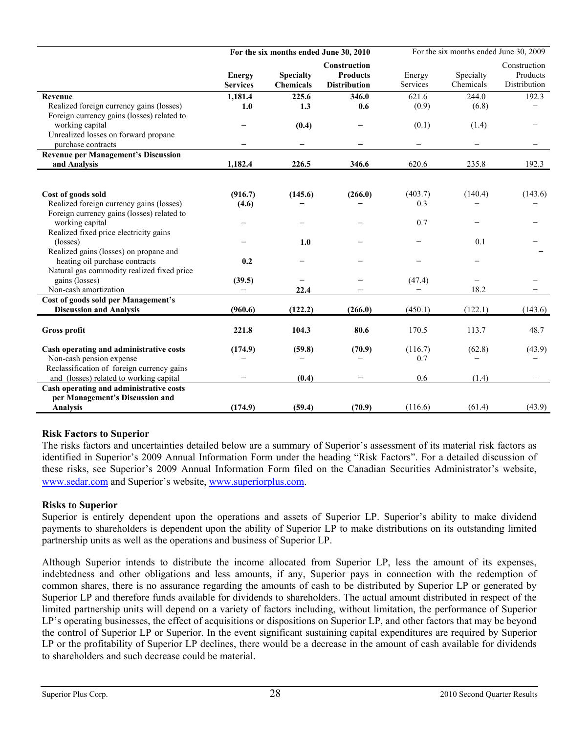|                                            | For the six months ended June 30, 2010 |                  |                     | For the six months ended June 30, 2009 |           |              |
|--------------------------------------------|----------------------------------------|------------------|---------------------|----------------------------------------|-----------|--------------|
|                                            |                                        |                  | Construction        |                                        |           | Construction |
|                                            | Energy                                 | <b>Specialty</b> | <b>Products</b>     | Energy                                 | Specialty | Products     |
|                                            | <b>Services</b>                        | <b>Chemicals</b> | <b>Distribution</b> | Services                               | Chemicals | Distribution |
| Revenue                                    | 1,181.4                                | 225.6            | 346.0               | 621.6                                  | 244.0     | 192.3        |
| Realized foreign currency gains (losses)   | 1.0                                    | 1.3              | 0.6                 | (0.9)                                  | (6.8)     |              |
| Foreign currency gains (losses) related to |                                        |                  |                     |                                        |           |              |
| working capital                            |                                        | (0.4)            |                     | (0.1)                                  | (1.4)     |              |
| Unrealized losses on forward propane       |                                        |                  |                     |                                        |           |              |
| purchase contracts                         |                                        |                  |                     | -                                      |           |              |
| <b>Revenue per Management's Discussion</b> |                                        |                  |                     |                                        |           |              |
| and Analysis                               | 1,182.4                                | 226.5            | 346.6               | 620.6                                  | 235.8     | 192.3        |
|                                            |                                        |                  |                     |                                        |           |              |
| Cost of goods sold                         | (916.7)                                | (145.6)          | (266.0)             | (403.7)                                | (140.4)   | (143.6)      |
| Realized foreign currency gains (losses)   | (4.6)                                  |                  |                     | 0.3                                    |           |              |
| Foreign currency gains (losses) related to |                                        |                  |                     |                                        |           |              |
| working capital                            |                                        |                  |                     | 0.7                                    |           |              |
| Realized fixed price electricity gains     |                                        |                  |                     |                                        |           |              |
| (losses)                                   |                                        | 1.0              |                     |                                        | 0.1       |              |
| Realized gains (losses) on propane and     |                                        |                  |                     |                                        |           |              |
| heating oil purchase contracts             | 0.2                                    |                  |                     |                                        |           |              |
| Natural gas commodity realized fixed price |                                        |                  |                     |                                        |           |              |
| gains (losses)                             | (39.5)                                 |                  |                     | (47.4)                                 |           |              |
| Non-cash amortization                      |                                        | 22.4             |                     |                                        | 18.2      |              |
| <b>Cost of goods sold per Management's</b> |                                        |                  |                     |                                        |           |              |
| <b>Discussion and Analysis</b>             | (960.6)                                | (122.2)          | (266.0)             | (450.1)                                | (122.1)   | (143.6)      |
| <b>Gross profit</b>                        | 221.8                                  | 104.3            | 80.6                | 170.5                                  | 113.7     | 48.7         |
|                                            |                                        |                  |                     |                                        |           |              |
| Cash operating and administrative costs    | (174.9)                                | (59.8)           | (70.9)              | (116.7)                                | (62.8)    | (43.9)       |
| Non-cash pension expense                   |                                        |                  |                     | 0.7                                    |           |              |
| Reclassification of foreign currency gains |                                        |                  |                     |                                        |           |              |
| and (losses) related to working capital    |                                        | (0.4)            |                     | 0.6                                    | (1.4)     |              |
| Cash operating and administrative costs    |                                        |                  |                     |                                        |           |              |
| per Management's Discussion and            |                                        |                  |                     |                                        |           |              |
| <b>Analysis</b>                            | (174.9)                                | (59.4)           | (70.9)              | (116.6)                                | (61.4)    | (43.9)       |

## **Risk Factors to Superior**

The risks factors and uncertainties detailed below are a summary of Superior's assessment of its material risk factors as identified in Superior's 2009 Annual Information Form under the heading "Risk Factors". For a detailed discussion of these risks, see Superior's 2009 Annual Information Form filed on the Canadian Securities Administrator's website, www.sedar.com and Superior's website, www.superiorplus.com.

## **Risks to Superior**

Superior is entirely dependent upon the operations and assets of Superior LP. Superior's ability to make dividend payments to shareholders is dependent upon the ability of Superior LP to make distributions on its outstanding limited partnership units as well as the operations and business of Superior LP.

Although Superior intends to distribute the income allocated from Superior LP, less the amount of its expenses, indebtedness and other obligations and less amounts, if any, Superior pays in connection with the redemption of common shares, there is no assurance regarding the amounts of cash to be distributed by Superior LP or generated by Superior LP and therefore funds available for dividends to shareholders. The actual amount distributed in respect of the limited partnership units will depend on a variety of factors including, without limitation, the performance of Superior LP's operating businesses, the effect of acquisitions or dispositions on Superior LP, and other factors that may be beyond the control of Superior LP or Superior. In the event significant sustaining capital expenditures are required by Superior LP or the profitability of Superior LP declines, there would be a decrease in the amount of cash available for dividends to shareholders and such decrease could be material.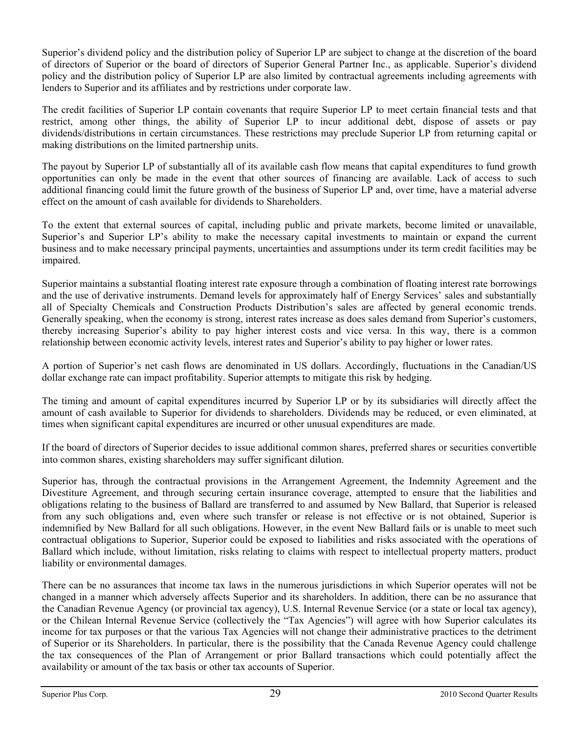Superior's dividend policy and the distribution policy of Superior LP are subject to change at the discretion of the board of directors of Superior or the board of directors of Superior General Partner Inc., as applicable. Superior's dividend policy and the distribution policy of Superior LP are also limited by contractual agreements including agreements with lenders to Superior and its affiliates and by restrictions under corporate law.

The credit facilities of Superior LP contain covenants that require Superior LP to meet certain financial tests and that restrict, among other things, the ability of Superior LP to incur additional debt, dispose of assets or pay dividends/distributions in certain circumstances. These restrictions may preclude Superior LP from returning capital or making distributions on the limited partnership units.

The payout by Superior LP of substantially all of its available cash flow means that capital expenditures to fund growth opportunities can only be made in the event that other sources of financing are available. Lack of access to such additional financing could limit the future growth of the business of Superior LP and, over time, have a material adverse effect on the amount of cash available for dividends to Shareholders.

To the extent that external sources of capital, including public and private markets, become limited or unavailable, Superior's and Superior LP's ability to make the necessary capital investments to maintain or expand the current business and to make necessary principal payments, uncertainties and assumptions under its term credit facilities may be impaired.

Superior maintains a substantial floating interest rate exposure through a combination of floating interest rate borrowings and the use of derivative instruments. Demand levels for approximately half of Energy Services' sales and substantially all of Specialty Chemicals and Construction Products Distribution's sales are affected by general economic trends. Generally speaking, when the economy is strong, interest rates increase as does sales demand from Superior's customers, thereby increasing Superior's ability to pay higher interest costs and vice versa. In this way, there is a common relationship between economic activity levels, interest rates and Superior's ability to pay higher or lower rates.

A portion of Superior's net cash flows are denominated in US dollars. Accordingly, fluctuations in the Canadian/US dollar exchange rate can impact profitability. Superior attempts to mitigate this risk by hedging.

The timing and amount of capital expenditures incurred by Superior LP or by its subsidiaries will directly affect the amount of cash available to Superior for dividends to shareholders. Dividends may be reduced, or even eliminated, at times when significant capital expenditures are incurred or other unusual expenditures are made.

If the board of directors of Superior decides to issue additional common shares, preferred shares or securities convertible into common shares, existing shareholders may suffer significant dilution.

Superior has, through the contractual provisions in the Arrangement Agreement, the Indemnity Agreement and the Divestiture Agreement, and through securing certain insurance coverage, attempted to ensure that the liabilities and obligations relating to the business of Ballard are transferred to and assumed by New Ballard, that Superior is released from any such obligations and, even where such transfer or release is not effective or is not obtained, Superior is indemnified by New Ballard for all such obligations. However, in the event New Ballard fails or is unable to meet such contractual obligations to Superior, Superior could be exposed to liabilities and risks associated with the operations of Ballard which include, without limitation, risks relating to claims with respect to intellectual property matters, product liability or environmental damages.

There can be no assurances that income tax laws in the numerous jurisdictions in which Superior operates will not be changed in a manner which adversely affects Superior and its shareholders. In addition, there can be no assurance that the Canadian Revenue Agency (or provincial tax agency), U.S. Internal Revenue Service (or a state or local tax agency), or the Chilean Internal Revenue Service (collectively the "Tax Agencies") will agree with how Superior calculates its income for tax purposes or that the various Tax Agencies will not change their administrative practices to the detriment of Superior or its Shareholders. In particular, there is the possibility that the Canada Revenue Agency could challenge the tax consequences of the Plan of Arrangement or prior Ballard transactions which could potentially affect the availability or amount of the tax basis or other tax accounts of Superior.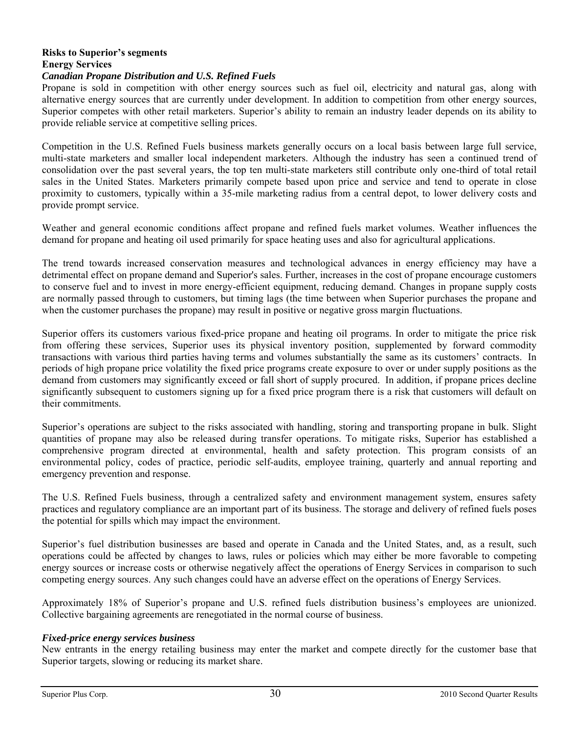## **Risks to Superior's segments Energy Services**

### *Canadian Propane Distribution and U.S. Refined Fuels*

Propane is sold in competition with other energy sources such as fuel oil, electricity and natural gas, along with alternative energy sources that are currently under development. In addition to competition from other energy sources, Superior competes with other retail marketers. Superior's ability to remain an industry leader depends on its ability to provide reliable service at competitive selling prices.

Competition in the U.S. Refined Fuels business markets generally occurs on a local basis between large full service, multi-state marketers and smaller local independent marketers. Although the industry has seen a continued trend of consolidation over the past several years, the top ten multi-state marketers still contribute only one-third of total retail sales in the United States. Marketers primarily compete based upon price and service and tend to operate in close proximity to customers, typically within a 35-mile marketing radius from a central depot, to lower delivery costs and provide prompt service.

Weather and general economic conditions affect propane and refined fuels market volumes. Weather influences the demand for propane and heating oil used primarily for space heating uses and also for agricultural applications.

The trend towards increased conservation measures and technological advances in energy efficiency may have a detrimental effect on propane demand and Superior's sales. Further, increases in the cost of propane encourage customers to conserve fuel and to invest in more energy-efficient equipment, reducing demand. Changes in propane supply costs are normally passed through to customers, but timing lags (the time between when Superior purchases the propane and when the customer purchases the propane) may result in positive or negative gross margin fluctuations.

Superior offers its customers various fixed-price propane and heating oil programs. In order to mitigate the price risk from offering these services, Superior uses its physical inventory position, supplemented by forward commodity transactions with various third parties having terms and volumes substantially the same as its customers' contracts. In periods of high propane price volatility the fixed price programs create exposure to over or under supply positions as the demand from customers may significantly exceed or fall short of supply procured. In addition, if propane prices decline significantly subsequent to customers signing up for a fixed price program there is a risk that customers will default on their commitments.

Superior's operations are subject to the risks associated with handling, storing and transporting propane in bulk. Slight quantities of propane may also be released during transfer operations. To mitigate risks, Superior has established a comprehensive program directed at environmental, health and safety protection. This program consists of an environmental policy, codes of practice, periodic self-audits, employee training, quarterly and annual reporting and emergency prevention and response.

The U.S. Refined Fuels business, through a centralized safety and environment management system, ensures safety practices and regulatory compliance are an important part of its business. The storage and delivery of refined fuels poses the potential for spills which may impact the environment.

Superior's fuel distribution businesses are based and operate in Canada and the United States, and, as a result, such operations could be affected by changes to laws, rules or policies which may either be more favorable to competing energy sources or increase costs or otherwise negatively affect the operations of Energy Services in comparison to such competing energy sources. Any such changes could have an adverse effect on the operations of Energy Services.

Approximately 18% of Superior's propane and U.S. refined fuels distribution business's employees are unionized. Collective bargaining agreements are renegotiated in the normal course of business.

## *Fixed-price energy services business*

New entrants in the energy retailing business may enter the market and compete directly for the customer base that Superior targets, slowing or reducing its market share.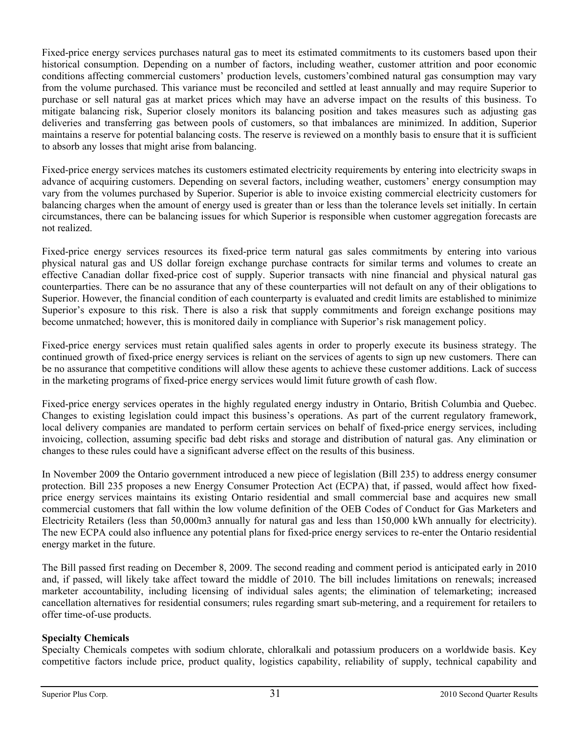Fixed-price energy services purchases natural gas to meet its estimated commitments to its customers based upon their historical consumption. Depending on a number of factors, including weather, customer attrition and poor economic conditions affecting commercial customers' production levels, customers'combined natural gas consumption may vary from the volume purchased. This variance must be reconciled and settled at least annually and may require Superior to purchase or sell natural gas at market prices which may have an adverse impact on the results of this business. To mitigate balancing risk, Superior closely monitors its balancing position and takes measures such as adjusting gas deliveries and transferring gas between pools of customers, so that imbalances are minimized. In addition, Superior maintains a reserve for potential balancing costs. The reserve is reviewed on a monthly basis to ensure that it is sufficient to absorb any losses that might arise from balancing.

Fixed-price energy services matches its customers estimated electricity requirements by entering into electricity swaps in advance of acquiring customers. Depending on several factors, including weather, customers' energy consumption may vary from the volumes purchased by Superior. Superior is able to invoice existing commercial electricity customers for balancing charges when the amount of energy used is greater than or less than the tolerance levels set initially. In certain circumstances, there can be balancing issues for which Superior is responsible when customer aggregation forecasts are not realized.

Fixed-price energy services resources its fixed-price term natural gas sales commitments by entering into various physical natural gas and US dollar foreign exchange purchase contracts for similar terms and volumes to create an effective Canadian dollar fixed-price cost of supply. Superior transacts with nine financial and physical natural gas counterparties. There can be no assurance that any of these counterparties will not default on any of their obligations to Superior. However, the financial condition of each counterparty is evaluated and credit limits are established to minimize Superior's exposure to this risk. There is also a risk that supply commitments and foreign exchange positions may become unmatched; however, this is monitored daily in compliance with Superior's risk management policy.

Fixed-price energy services must retain qualified sales agents in order to properly execute its business strategy. The continued growth of fixed-price energy services is reliant on the services of agents to sign up new customers. There can be no assurance that competitive conditions will allow these agents to achieve these customer additions. Lack of success in the marketing programs of fixed-price energy services would limit future growth of cash flow.

Fixed-price energy services operates in the highly regulated energy industry in Ontario, British Columbia and Quebec. Changes to existing legislation could impact this business's operations. As part of the current regulatory framework, local delivery companies are mandated to perform certain services on behalf of fixed-price energy services, including invoicing, collection, assuming specific bad debt risks and storage and distribution of natural gas. Any elimination or changes to these rules could have a significant adverse effect on the results of this business.

In November 2009 the Ontario government introduced a new piece of legislation (Bill 235) to address energy consumer protection. Bill 235 proposes a new Energy Consumer Protection Act (ECPA) that, if passed, would affect how fixedprice energy services maintains its existing Ontario residential and small commercial base and acquires new small commercial customers that fall within the low volume definition of the OEB Codes of Conduct for Gas Marketers and Electricity Retailers (less than 50,000m3 annually for natural gas and less than 150,000 kWh annually for electricity). The new ECPA could also influence any potential plans for fixed-price energy services to re-enter the Ontario residential energy market in the future.

The Bill passed first reading on December 8, 2009. The second reading and comment period is anticipated early in 2010 and, if passed, will likely take affect toward the middle of 2010. The bill includes limitations on renewals; increased marketer accountability, including licensing of individual sales agents; the elimination of telemarketing; increased cancellation alternatives for residential consumers; rules regarding smart sub-metering, and a requirement for retailers to offer time-of-use products.

## **Specialty Chemicals**

Specialty Chemicals competes with sodium chlorate, chloralkali and potassium producers on a worldwide basis. Key competitive factors include price, product quality, logistics capability, reliability of supply, technical capability and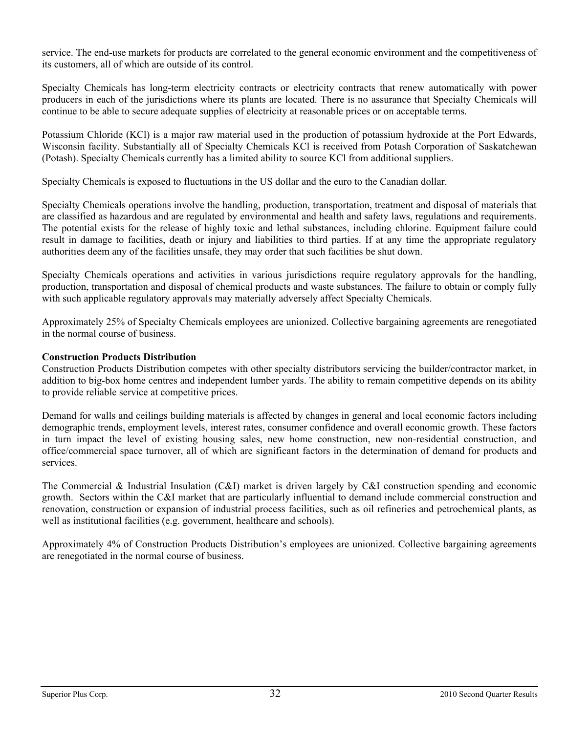service. The end-use markets for products are correlated to the general economic environment and the competitiveness of its customers, all of which are outside of its control.

Specialty Chemicals has long-term electricity contracts or electricity contracts that renew automatically with power producers in each of the jurisdictions where its plants are located. There is no assurance that Specialty Chemicals will continue to be able to secure adequate supplies of electricity at reasonable prices or on acceptable terms.

Potassium Chloride (KCl) is a major raw material used in the production of potassium hydroxide at the Port Edwards, Wisconsin facility. Substantially all of Specialty Chemicals KCl is received from Potash Corporation of Saskatchewan (Potash). Specialty Chemicals currently has a limited ability to source KCl from additional suppliers.

Specialty Chemicals is exposed to fluctuations in the US dollar and the euro to the Canadian dollar.

Specialty Chemicals operations involve the handling, production, transportation, treatment and disposal of materials that are classified as hazardous and are regulated by environmental and health and safety laws, regulations and requirements. The potential exists for the release of highly toxic and lethal substances, including chlorine. Equipment failure could result in damage to facilities, death or injury and liabilities to third parties. If at any time the appropriate regulatory authorities deem any of the facilities unsafe, they may order that such facilities be shut down.

Specialty Chemicals operations and activities in various jurisdictions require regulatory approvals for the handling, production, transportation and disposal of chemical products and waste substances. The failure to obtain or comply fully with such applicable regulatory approvals may materially adversely affect Specialty Chemicals.

Approximately 25% of Specialty Chemicals employees are unionized. Collective bargaining agreements are renegotiated in the normal course of business.

## **Construction Products Distribution**

Construction Products Distribution competes with other specialty distributors servicing the builder/contractor market, in addition to big-box home centres and independent lumber yards. The ability to remain competitive depends on its ability to provide reliable service at competitive prices.

Demand for walls and ceilings building materials is affected by changes in general and local economic factors including demographic trends, employment levels, interest rates, consumer confidence and overall economic growth. These factors in turn impact the level of existing housing sales, new home construction, new non-residential construction, and office/commercial space turnover, all of which are significant factors in the determination of demand for products and services.

The Commercial & Industrial Insulation (C&I) market is driven largely by C&I construction spending and economic growth. Sectors within the C&I market that are particularly influential to demand include commercial construction and renovation, construction or expansion of industrial process facilities, such as oil refineries and petrochemical plants, as well as institutional facilities (e.g. government, healthcare and schools).

Approximately 4% of Construction Products Distribution's employees are unionized. Collective bargaining agreements are renegotiated in the normal course of business.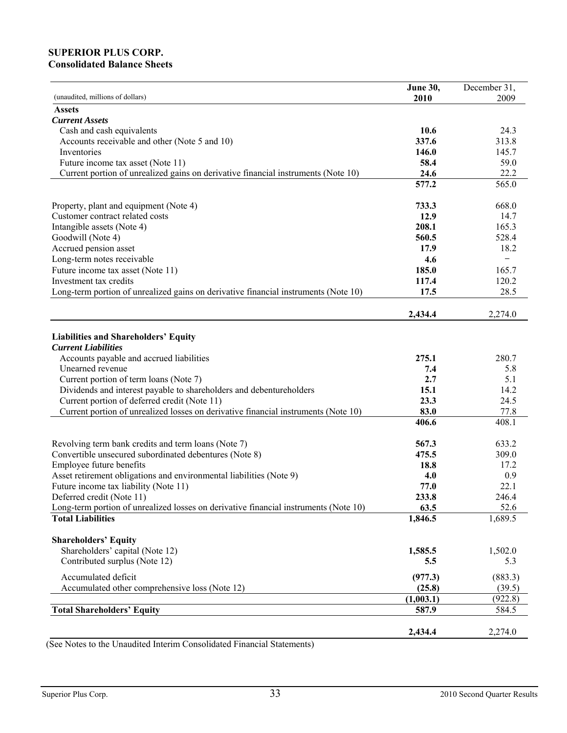## **SUPERIOR PLUS CORP. Consolidated Balance Sheets**

|                                                                                      | June 30,  | December 31,             |
|--------------------------------------------------------------------------------------|-----------|--------------------------|
| (unaudited, millions of dollars)                                                     | 2010      | 2009                     |
| <b>Assets</b>                                                                        |           |                          |
| <b>Current Assets</b>                                                                |           |                          |
| Cash and cash equivalents                                                            | 10.6      | 24.3                     |
| Accounts receivable and other (Note 5 and 10)                                        | 337.6     | 313.8                    |
| Inventories                                                                          | 146.0     | 145.7                    |
| Future income tax asset (Note 11)                                                    | 58.4      | 59.0                     |
| Current portion of unrealized gains on derivative financial instruments (Note 10)    | 24.6      | 22.2                     |
|                                                                                      | 577.2     | 565.0                    |
| Property, plant and equipment (Note 4)                                               | 733.3     | 668.0                    |
| Customer contract related costs                                                      | 12.9      | 14.7                     |
| Intangible assets (Note 4)                                                           | 208.1     | 165.3                    |
| Goodwill (Note 4)                                                                    | 560.5     | 528.4                    |
| Accrued pension asset                                                                | 17.9      | 18.2                     |
| Long-term notes receivable                                                           | 4.6       | $\overline{\phantom{0}}$ |
| Future income tax asset (Note 11)                                                    | 185.0     | 165.7                    |
| Investment tax credits                                                               | 117.4     | 120.2                    |
| Long-term portion of unrealized gains on derivative financial instruments (Note 10)  | 17.5      | 28.5                     |
|                                                                                      |           |                          |
|                                                                                      | 2,434.4   | 2,274.0                  |
|                                                                                      |           |                          |
| <b>Liabilities and Shareholders' Equity</b>                                          |           |                          |
| <b>Current Liabilities</b>                                                           |           |                          |
| Accounts payable and accrued liabilities                                             | 275.1     | 280.7                    |
| Unearned revenue                                                                     | 7.4       | 5.8                      |
| Current portion of term loans (Note 7)                                               | 2.7       | 5.1                      |
| Dividends and interest payable to shareholders and debentureholders                  | 15.1      | 14.2                     |
| Current portion of deferred credit (Note 11)                                         | 23.3      | 24.5                     |
| Current portion of unrealized losses on derivative financial instruments (Note 10)   | 83.0      | 77.8                     |
|                                                                                      | 406.6     | 408.1                    |
| Revolving term bank credits and term loans (Note 7)                                  | 567.3     | 633.2                    |
| Convertible unsecured subordinated debentures (Note 8)                               | 475.5     | 309.0                    |
| Employee future benefits                                                             | 18.8      | 17.2                     |
| Asset retirement obligations and environmental liabilities (Note 9)                  | 4.0       | 0.9                      |
| Future income tax liability (Note 11)                                                | 77.0      | 22.1                     |
| Deferred credit (Note 11)                                                            | 233.8     | 246.4                    |
| Long-term portion of unrealized losses on derivative financial instruments (Note 10) | 63.5      | 52.6                     |
| <b>Total Liabilities</b>                                                             | 1,846.5   | 1,689.5                  |
|                                                                                      |           |                          |
| <b>Shareholders' Equity</b>                                                          |           |                          |
| Shareholders' capital (Note 12)                                                      | 1,585.5   | 1,502.0                  |
| Contributed surplus (Note 12)                                                        | 5.5       | 5.3                      |
| Accumulated deficit                                                                  | (977.3)   | (883.3)                  |
| Accumulated other comprehensive loss (Note 12)                                       | (25.8)    | (39.5)                   |
|                                                                                      | (1,003.1) | (922.8)                  |
| <b>Total Shareholders' Equity</b>                                                    | 587.9     | 584.5                    |
|                                                                                      |           |                          |
|                                                                                      | 2,434.4   | 2,274.0                  |

(See Notes to the Unaudited Interim Consolidated Financial Statements)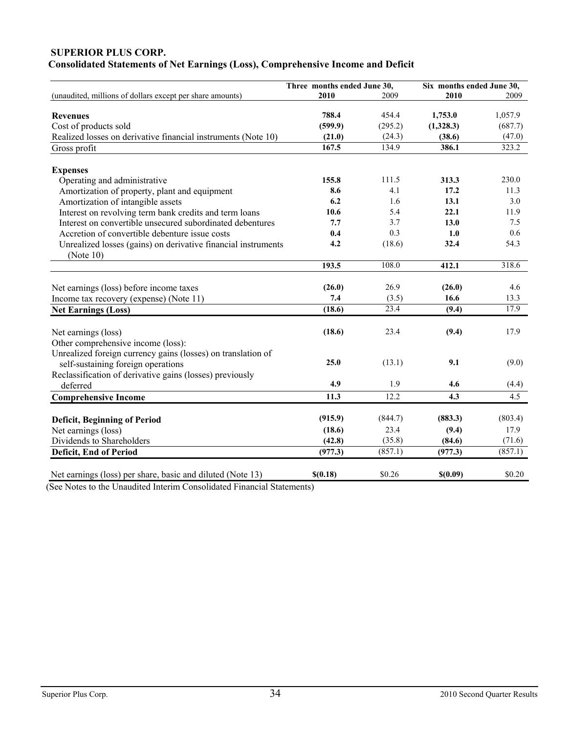## **SUPERIOR PLUS CORP. Consolidated Statements of Net Earnings (Loss), Comprehensive Income and Deficit**

|                                                                                    | Three months ended June 30, |         | Six months ended June 30, |         |  |
|------------------------------------------------------------------------------------|-----------------------------|---------|---------------------------|---------|--|
| (unaudited, millions of dollars except per share amounts)                          | 2010                        | 2009    | 2010                      | 2009    |  |
| <b>Revenues</b>                                                                    | 788.4                       | 454.4   | 1,753.0                   | 1,057.9 |  |
| Cost of products sold                                                              | (599.9)                     | (295.2) | (1,328.3)                 | (687.7) |  |
| Realized losses on derivative financial instruments (Note 10)                      | (21.0)                      | (24.3)  | (38.6)                    | (47.0)  |  |
| Gross profit                                                                       | 167.5                       | 134.9   | 386.1                     | 323.2   |  |
|                                                                                    |                             |         |                           |         |  |
| <b>Expenses</b>                                                                    |                             |         |                           |         |  |
| Operating and administrative                                                       | 155.8                       | 111.5   | 313.3                     | 230.0   |  |
| Amortization of property, plant and equipment                                      | 8.6                         | 4.1     | 17.2                      | 11.3    |  |
| Amortization of intangible assets                                                  | 6.2                         | 1.6     | 13.1                      | 3.0     |  |
| Interest on revolving term bank credits and term loans                             | 10.6                        | 5.4     | 22.1                      | 11.9    |  |
| Interest on convertible unsecured subordinated debentures                          | 7.7                         | 3.7     | 13.0                      | 7.5     |  |
| Accretion of convertible debenture issue costs                                     | 0.4                         | 0.3     | 1.0                       | 0.6     |  |
| Unrealized losses (gains) on derivative financial instruments<br>(Note 10)         | 4.2                         | (18.6)  | 32.4                      | 54.3    |  |
|                                                                                    | 193.5                       | 108.0   | 412.1                     | 318.6   |  |
|                                                                                    | (26.0)                      | 26.9    | (26.0)                    | 4.6     |  |
| Net earnings (loss) before income taxes<br>Income tax recovery (expense) (Note 11) | 7.4                         | (3.5)   | 16.6                      | 13.3    |  |
|                                                                                    | (18.6)                      | 23.4    | (9.4)                     | 17.9    |  |
| <b>Net Earnings (Loss)</b>                                                         |                             |         |                           |         |  |
| Net earnings (loss)                                                                | (18.6)                      | 23.4    | (9.4)                     | 17.9    |  |
| Other comprehensive income (loss):                                                 |                             |         |                           |         |  |
| Unrealized foreign currency gains (losses) on translation of                       |                             |         |                           |         |  |
| self-sustaining foreign operations                                                 | 25.0                        | (13.1)  | 9.1                       | (9.0)   |  |
| Reclassification of derivative gains (losses) previously                           |                             |         |                           |         |  |
| deferred                                                                           | 4.9                         | 1.9     | 4.6                       | (4.4)   |  |
| <b>Comprehensive Income</b>                                                        | 11.3                        | 12.2    | 4.3                       | 4.5     |  |
| <b>Deficit, Beginning of Period</b>                                                | (915.9)                     | (844.7) | (883.3)                   | (803.4) |  |
| Net earnings (loss)                                                                | (18.6)                      | 23.4    | (9.4)                     | 17.9    |  |
| Dividends to Shareholders                                                          | (42.8)                      | (35.8)  | (84.6)                    | (71.6)  |  |
| Deficit, End of Period                                                             | (977.3)                     | (857.1) | (977.3)                   | (857.1) |  |
|                                                                                    |                             |         |                           |         |  |
| Net earnings (loss) per share, basic and diluted (Note 13)                         | \$(0.18)                    | \$0.26  | \$(0.09)                  | \$0.20  |  |

(See Notes to the Unaudited Interim Consolidated Financial Statements)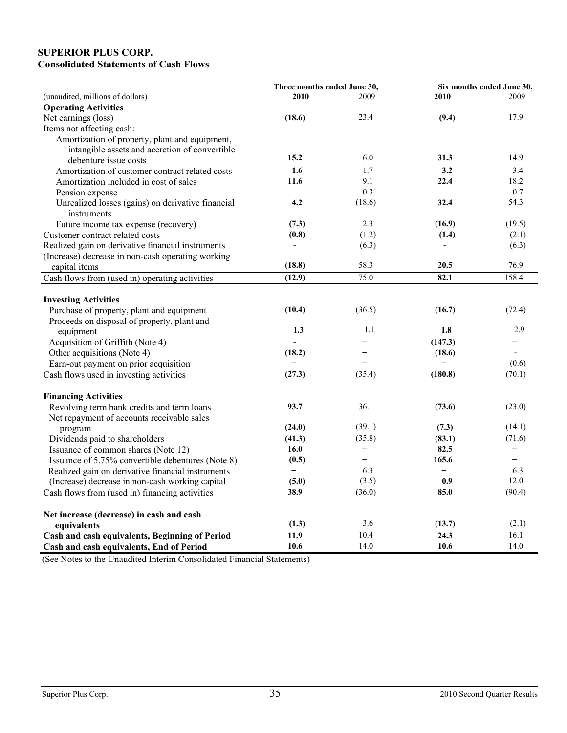## **SUPERIOR PLUS CORP. Consolidated Statements of Cash Flows**

|                                                                  | Three months ended June 30, |                          |                          | Six months ended June 30, |  |
|------------------------------------------------------------------|-----------------------------|--------------------------|--------------------------|---------------------------|--|
| (unaudited, millions of dollars)                                 | 2010                        | 2009                     | 2010                     | 2009                      |  |
| <b>Operating Activities</b>                                      |                             |                          |                          |                           |  |
| Net earnings (loss)                                              | (18.6)                      | 23.4                     | (9.4)                    | 17.9                      |  |
| Items not affecting cash:                                        |                             |                          |                          |                           |  |
| Amortization of property, plant and equipment,                   |                             |                          |                          |                           |  |
| intangible assets and accretion of convertible                   |                             |                          |                          |                           |  |
| debenture issue costs                                            | 15.2                        | 6.0                      | 31.3                     | 14.9                      |  |
| Amortization of customer contract related costs                  | 1.6                         | 1.7                      | 3.2                      | 3.4                       |  |
| Amortization included in cost of sales                           | 11.6                        | 9.1                      | 22.4                     | 18.2                      |  |
| Pension expense                                                  | $\overline{\phantom{0}}$    | 0.3                      | $\overline{\phantom{0}}$ | 0.7                       |  |
| Unrealized losses (gains) on derivative financial<br>instruments | 4.2                         | (18.6)                   | 32.4                     | 54.3                      |  |
| Future income tax expense (recovery)                             | (7.3)                       | 2.3                      | (16.9)                   | (19.5)                    |  |
| Customer contract related costs                                  | (0.8)                       | (1.2)                    | (1.4)                    | (2.1)                     |  |
| Realized gain on derivative financial instruments                | $\overline{\phantom{a}}$    | (6.3)                    |                          | (6.3)                     |  |
| (Increase) decrease in non-cash operating working                |                             |                          |                          |                           |  |
| capital items                                                    | (18.8)                      | 58.3                     | 20.5                     | 76.9                      |  |
| Cash flows from (used in) operating activities                   | (12.9)                      | 75.0                     | 82.1                     | 158.4                     |  |
|                                                                  |                             |                          |                          |                           |  |
| <b>Investing Activities</b>                                      |                             |                          |                          |                           |  |
| Purchase of property, plant and equipment                        | (10.4)                      | (36.5)                   | (16.7)                   | (72.4)                    |  |
| Proceeds on disposal of property, plant and                      |                             |                          |                          |                           |  |
| equipment                                                        | 1.3                         | 1.1                      | 1.8                      | 2.9                       |  |
| Acquisition of Griffith (Note 4)                                 |                             |                          | (147.3)                  |                           |  |
| Other acquisitions (Note 4)                                      | (18.2)                      |                          | (18.6)                   |                           |  |
| Earn-out payment on prior acquisition                            |                             |                          |                          | (0.6)                     |  |
| Cash flows used in investing activities                          | (27.3)                      | (35.4)                   | (180.8)                  | (70.1)                    |  |
|                                                                  |                             |                          |                          |                           |  |
| <b>Financing Activities</b>                                      |                             |                          |                          |                           |  |
| Revolving term bank credits and term loans                       | 93.7                        | 36.1                     | (73.6)                   | (23.0)                    |  |
| Net repayment of accounts receivable sales                       |                             |                          |                          |                           |  |
| program                                                          | (24.0)                      | (39.1)                   | (7.3)                    | (14.1)                    |  |
| Dividends paid to shareholders                                   | (41.3)                      | (35.8)                   | (83.1)                   | (71.6)                    |  |
| Issuance of common shares (Note 12)                              | 16.0                        | $\overline{\phantom{0}}$ | 82.5                     | -                         |  |
| Issuance of 5.75% convertible debentures (Note 8)                | (0.5)                       | $\equiv$                 | 165.6                    |                           |  |
| Realized gain on derivative financial instruments                | $\overline{\phantom{0}}$    | 6.3                      | $\equiv$                 | 6.3                       |  |
| (Increase) decrease in non-cash working capital                  | (5.0)                       | (3.5)                    | 0.9                      | 12.0                      |  |
| Cash flows from (used in) financing activities                   | 38.9                        | (36.0)                   | 85.0                     | (90.4)                    |  |
|                                                                  |                             |                          |                          |                           |  |
| Net increase (decrease) in cash and cash                         |                             |                          |                          |                           |  |
| equivalents                                                      | (1.3)                       | 3.6                      | (13.7)                   | (2.1)                     |  |
| Cash and cash equivalents, Beginning of Period                   | 11.9                        | 10.4                     | 24.3                     | 16.1                      |  |
| Cash and cash equivalents, End of Period                         | 10.6                        | 14.0                     | 10.6                     | 14.0                      |  |

(See Notes to the Unaudited Interim Consolidated Financial Statements)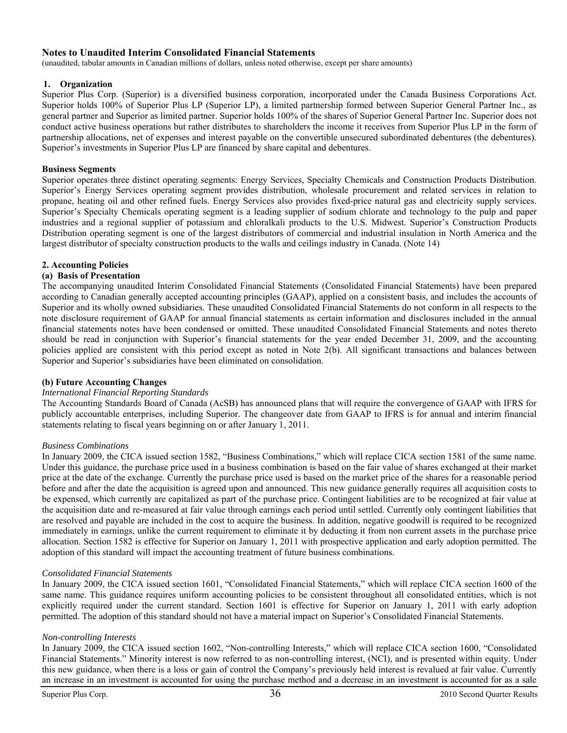### **Notes to Unaudited Interim Consolidated Financial Statements**

(unaudited, tabular amounts in Canadian millions of dollars, unless noted otherwise, except per share amounts)

#### **1. Organization**

Superior Plus Corp. (Superior) is a diversified business corporation, incorporated under the Canada Business Corporations Act. Superior holds 100% of Superior Plus LP (Superior LP), a limited partnership formed between Superior General Partner Inc., as general partner and Superior as limited partner. Superior holds 100% of the shares of Superior General Partner Inc. Superior does not conduct active business operations but rather distributes to shareholders the income it receives from Superior Plus LP in the form of partnership allocations, net of expenses and interest payable on the convertible unsecured subordinated debentures (the debentures). Superior's investments in Superior Plus LP are financed by share capital and debentures.

#### **Business Segments**

Superior operates three distinct operating segments: Energy Services, Specialty Chemicals and Construction Products Distribution. Superior's Energy Services operating segment provides distribution, wholesale procurement and related services in relation to propane, heating oil and other refined fuels. Energy Services also provides fixed-price natural gas and electricity supply services. Superior's Specialty Chemicals operating segment is a leading supplier of sodium chlorate and technology to the pulp and paper industries and a regional supplier of potassium and chloralkali products to the U.S. Midwest. Superior's Construction Products Distribution operating segment is one of the largest distributors of commercial and industrial insulation in North America and the largest distributor of specialty construction products to the walls and ceilings industry in Canada. (Note 14)

### **2. Accounting Policies**

#### **(a) Basis of Presentation**

The accompanying unaudited Interim Consolidated Financial Statements (Consolidated Financial Statements) have been prepared according to Canadian generally accepted accounting principles (GAAP), applied on a consistent basis, and includes the accounts of Superior and its wholly owned subsidiaries. These unaudited Consolidated Financial Statements do not conform in all respects to the note disclosure requirement of GAAP for annual financial statements as certain information and disclosures included in the annual financial statements notes have been condensed or omitted. These unaudited Consolidated Financial Statements and notes thereto should be read in conjunction with Superior's financial statements for the year ended December 31, 2009, and the accounting policies applied are consistent with this period except as noted in Note 2(b). All significant transactions and balances between Superior and Superior's subsidiaries have been eliminated on consolidation.

### **(b) Future Accounting Changes**

#### *International Financial Reporting Standards*

The Accounting Standards Board of Canada (AcSB) has announced plans that will require the convergence of GAAP with IFRS for publicly accountable enterprises, including Superior. The changeover date from GAAP to IFRS is for annual and interim financial statements relating to fiscal years beginning on or after January 1, 2011.

### *Business Combinations*

In January 2009, the CICA issued section 1582, "Business Combinations," which will replace CICA section 1581 of the same name. Under this guidance, the purchase price used in a business combination is based on the fair value of shares exchanged at their market price at the date of the exchange. Currently the purchase price used is based on the market price of the shares for a reasonable period before and after the date the acquisition is agreed upon and announced. This new guidance generally requires all acquisition costs to be expensed, which currently are capitalized as part of the purchase price. Contingent liabilities are to be recognized at fair value at the acquisition date and re-measured at fair value through earnings each period until settled. Currently only contingent liabilities that are resolved and payable are included in the cost to acquire the business. In addition, negative goodwill is required to be recognized immediately in earnings, unlike the current requirement to eliminate it by deducting it from non current assets in the purchase price allocation. Section 1582 is effective for Superior on January 1, 2011 with prospective application and early adoption permitted. The adoption of this standard will impact the accounting treatment of future business combinations.

#### *Consolidated Financial Statements*

In January 2009, the CICA issued section 1601, "Consolidated Financial Statements," which will replace CICA section 1600 of the same name. This guidance requires uniform accounting policies to be consistent throughout all consolidated entities, which is not explicitly required under the current standard. Section 1601 is effective for Superior on January 1, 2011 with early adoption permitted. The adoption of this standard should not have a material impact on Superior's Consolidated Financial Statements.

#### *Non-controlling Interests*

In January 2009, the CICA issued section 1602, "Non-controlling Interests," which will replace CICA section 1600, "Consolidated Financial Statements." Minority interest is now referred to as non-controlling interest, (NCI), and is presented within equity. Under this new guidance, when there is a loss or gain of control the Company's previously held interest is revalued at fair value. Currently an increase in an investment is accounted for using the purchase method and a decrease in an investment is accounted for as a sale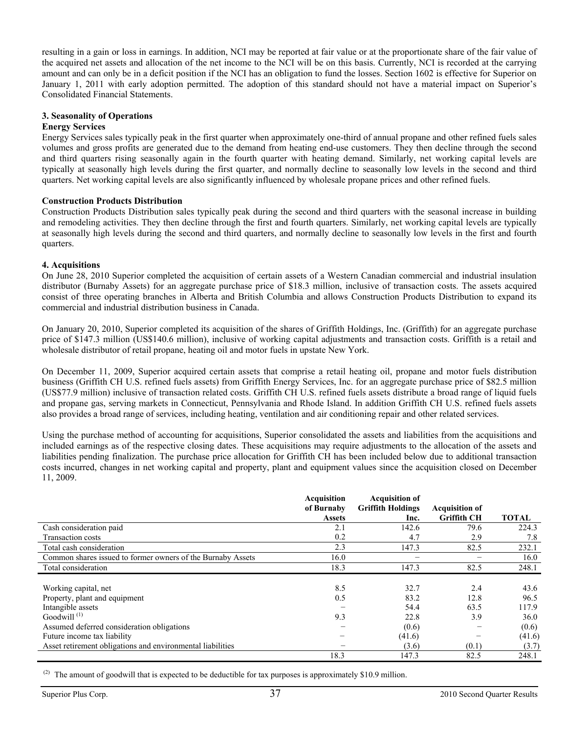resulting in a gain or loss in earnings. In addition, NCI may be reported at fair value or at the proportionate share of the fair value of the acquired net assets and allocation of the net income to the NCI will be on this basis. Currently, NCI is recorded at the carrying amount and can only be in a deficit position if the NCI has an obligation to fund the losses. Section 1602 is effective for Superior on January 1, 2011 with early adoption permitted. The adoption of this standard should not have a material impact on Superior's Consolidated Financial Statements.

### **3. Seasonality of Operations**

### **Energy Services**

Energy Services sales typically peak in the first quarter when approximately one-third of annual propane and other refined fuels sales volumes and gross profits are generated due to the demand from heating end-use customers. They then decline through the second and third quarters rising seasonally again in the fourth quarter with heating demand. Similarly, net working capital levels are typically at seasonally high levels during the first quarter, and normally decline to seasonally low levels in the second and third quarters. Net working capital levels are also significantly influenced by wholesale propane prices and other refined fuels.

### **Construction Products Distribution**

Construction Products Distribution sales typically peak during the second and third quarters with the seasonal increase in building and remodeling activities. They then decline through the first and fourth quarters. Similarly, net working capital levels are typically at seasonally high levels during the second and third quarters, and normally decline to seasonally low levels in the first and fourth quarters.

#### **4. Acquisitions**

On June 28, 2010 Superior completed the acquisition of certain assets of a Western Canadian commercial and industrial insulation distributor (Burnaby Assets) for an aggregate purchase price of \$18.3 million, inclusive of transaction costs. The assets acquired consist of three operating branches in Alberta and British Columbia and allows Construction Products Distribution to expand its commercial and industrial distribution business in Canada.

On January 20, 2010, Superior completed its acquisition of the shares of Griffith Holdings, Inc. (Griffith) for an aggregate purchase price of \$147.3 million (US\$140.6 million), inclusive of working capital adjustments and transaction costs. Griffith is a retail and wholesale distributor of retail propane, heating oil and motor fuels in upstate New York.

On December 11, 2009, Superior acquired certain assets that comprise a retail heating oil, propane and motor fuels distribution business (Griffith CH U.S. refined fuels assets) from Griffith Energy Services, Inc. for an aggregate purchase price of \$82.5 million (US\$77.9 million) inclusive of transaction related costs. Griffith CH U.S. refined fuels assets distribute a broad range of liquid fuels and propane gas, serving markets in Connecticut, Pennsylvania and Rhode Island. In addition Griffith CH U.S. refined fuels assets also provides a broad range of services, including heating, ventilation and air conditioning repair and other related services.

Using the purchase method of accounting for acquisitions, Superior consolidated the assets and liabilities from the acquisitions and included earnings as of the respective closing dates. These acquisitions may require adjustments to the allocation of the assets and liabilities pending finalization. The purchase price allocation for Griffith CH has been included below due to additional transaction costs incurred, changes in net working capital and property, plant and equipment values since the acquisition closed on December 11, 2009.

|                                                             | <b>Acquisition</b><br>of Burnaby | <b>Acquisition of</b><br><b>Griffith Holdings</b> | <b>Acquisition of</b> |              |
|-------------------------------------------------------------|----------------------------------|---------------------------------------------------|-----------------------|--------------|
|                                                             | <b>Assets</b>                    | Inc.                                              | <b>Griffith CH</b>    | <b>TOTAL</b> |
| Cash consideration paid                                     | 2.1                              | 142.6                                             | 79.6                  | 224.3        |
| Transaction costs                                           | 0.2                              | 4.7                                               | 2.9                   | 7.8          |
| Total cash consideration                                    | 2.3                              | 147.3                                             | 82.5                  | 232.1        |
| Common shares issued to former owners of the Burnaby Assets | 16.0                             |                                                   |                       | 16.0         |
| Total consideration                                         | 18.3                             | 147.3                                             | 82.5                  | 248.1        |
|                                                             |                                  |                                                   |                       |              |
| Working capital, net                                        | 8.5                              | 32.7                                              | 2.4                   | 43.6         |
| Property, plant and equipment                               | 0.5                              | 83.2                                              | 12.8                  | 96.5         |
| Intangible assets                                           |                                  | 54.4                                              | 63.5                  | 117.9        |
| Goodwill $(1)$                                              | 9.3                              | 22.8                                              | 3.9                   | 36.0         |
| Assumed deferred consideration obligations                  |                                  | (0.6)                                             |                       | (0.6)        |
| Future income tax liability                                 |                                  | (41.6)                                            |                       | (41.6)       |
| Asset retirement obligations and environmental liabilities  |                                  | (3.6)                                             | (0.1)                 | (3.7)        |
|                                                             | 18.3                             | 147.3                                             | 82.5                  | 248.1        |

 $(2)$  The amount of goodwill that is expected to be deductible for tax purposes is approximately \$10.9 million.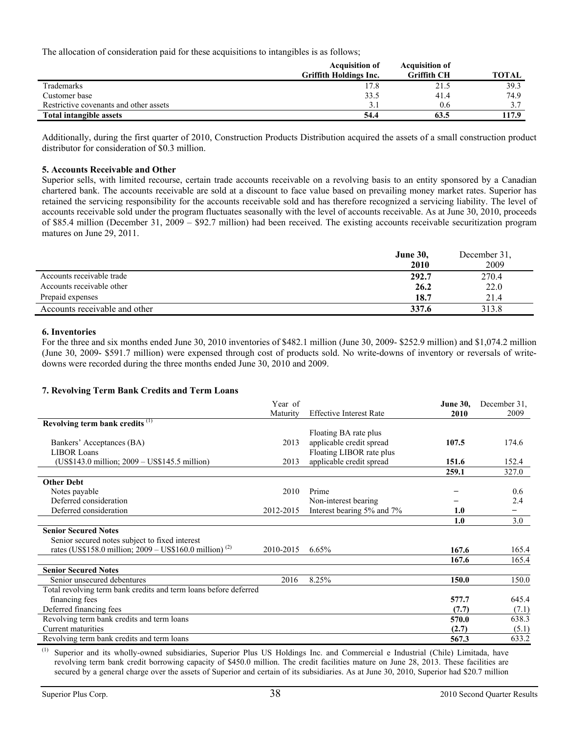The allocation of consideration paid for these acquisitions to intangibles is as follows;

|                                        | <b>Acquisition of</b><br><b>Griffith Holdings Inc.</b> | <b>Acquisition of</b><br><b>Griffith CH</b> | <b>TOTAL</b> |
|----------------------------------------|--------------------------------------------------------|---------------------------------------------|--------------|
|                                        |                                                        |                                             |              |
| Trademarks                             |                                                        | 21.5                                        | 39.3         |
| Customer base                          | 33.5                                                   | 41.4                                        | 74.9         |
| Restrictive covenants and other assets |                                                        | 0.6                                         |              |
| Total intangible assets                | 54.4                                                   | 63.5                                        | 117.9        |

Additionally, during the first quarter of 2010, Construction Products Distribution acquired the assets of a small construction product distributor for consideration of \$0.3 million.

#### **5. Accounts Receivable and Other**

Superior sells, with limited recourse, certain trade accounts receivable on a revolving basis to an entity sponsored by a Canadian chartered bank. The accounts receivable are sold at a discount to face value based on prevailing money market rates. Superior has retained the servicing responsibility for the accounts receivable sold and has therefore recognized a servicing liability. The level of accounts receivable sold under the program fluctuates seasonally with the level of accounts receivable. As at June 30, 2010, proceeds of \$85.4 million (December 31, 2009 – \$92.7 million) had been received. The existing accounts receivable securitization program matures on June 29, 2011.

|                               | <b>June 30,</b> | December 31. |
|-------------------------------|-----------------|--------------|
|                               | 2010            | 2009         |
| Accounts receivable trade     | 292.7           | 270.4        |
| Accounts receivable other     | 26.2            | 22.0         |
| Prepaid expenses              | 18.7            | 21.4         |
| Accounts receivable and other | 337.6           | 313.8        |

#### **6. Inventories**

For the three and six months ended June 30, 2010 inventories of \$482.1 million (June 30, 2009- \$252.9 million) and \$1,074.2 million (June 30, 2009- \$591.7 million) were expensed through cost of products sold. No write-downs of inventory or reversals of writedowns were recorded during the three months ended June 30, 2010 and 2009.

### **7. Revolving Term Bank Credits and Term Loans**

|                                                                     | Year of   |                                | <b>June 30,</b> | December 31, |
|---------------------------------------------------------------------|-----------|--------------------------------|-----------------|--------------|
|                                                                     | Maturity  | <b>Effective Interest Rate</b> | 2010            | 2009         |
| Revolving term bank credits <sup>(1)</sup>                          |           |                                |                 |              |
|                                                                     |           | Floating BA rate plus          |                 |              |
| Bankers' Acceptances (BA)                                           | 2013      | applicable credit spread       | 107.5           | 174.6        |
| <b>LIBOR Loans</b>                                                  |           | Floating LIBOR rate plus       |                 |              |
| (US\$143.0 million; 2009 – US\$145.5 million)                       | 2013      | applicable credit spread       | 151.6           | 152.4        |
|                                                                     |           |                                | 259.1           | 327.0        |
| <b>Other Debt</b>                                                   |           |                                |                 |              |
| Notes payable                                                       | 2010      | Prime                          |                 | 0.6          |
| Deferred consideration                                              |           | Non-interest bearing           |                 | 2.4          |
| Deferred consideration                                              | 2012-2015 | Interest bearing 5% and 7%     | 1.0             | -            |
|                                                                     |           |                                | 1.0             | 3.0          |
| <b>Senior Secured Notes</b>                                         |           |                                |                 |              |
| Senior secured notes subject to fixed interest                      |           |                                |                 |              |
| rates (US\$158.0 million; $2009 - US$160.0$ million) <sup>(2)</sup> | 2010-2015 | 6.65%                          | 167.6           | 165.4        |
|                                                                     |           |                                | 167.6           | 165.4        |
| <b>Senior Secured Notes</b>                                         |           |                                |                 |              |
| Senior unsecured debentures                                         | 2016      | 8.25%                          | 150.0           | 150.0        |
| Total revolving term bank credits and term loans before deferred    |           |                                |                 |              |
| financing fees                                                      |           |                                | 577.7           | 645.4        |
| Deferred financing fees                                             |           |                                | (7.7)           | (7.1)        |
| Revolving term bank credits and term loans                          |           |                                | 570.0           | 638.3        |
| Current maturities                                                  |           |                                | (2.7)           | (5.1)        |
| Revolving term bank credits and term loans                          |           |                                | 567.3           | 633.2        |

(1) Superior and its wholly-owned subsidiaries, Superior Plus US Holdings Inc. and Commercial e Industrial (Chile) Limitada, have revolving term bank credit borrowing capacity of \$450.0 million. The credit facilities mature on June 28, 2013. These facilities are secured by a general charge over the assets of Superior and certain of its subsidiaries. As at June 30, 2010, Superior had \$20.7 million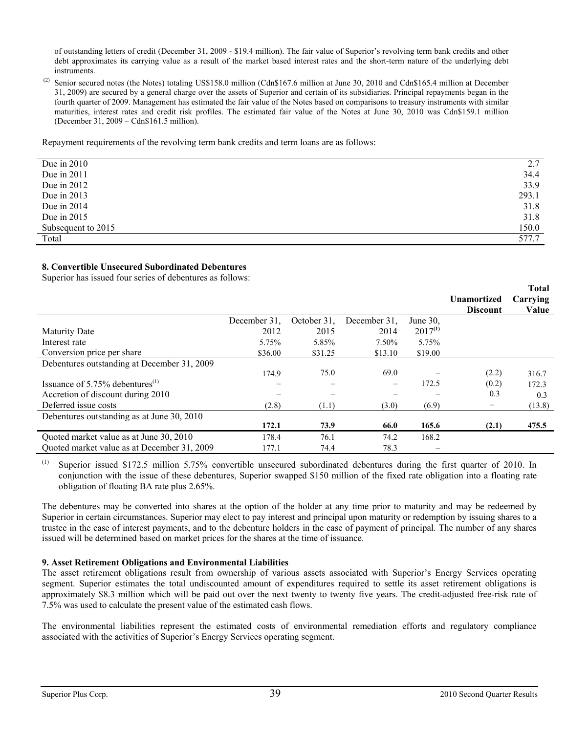of outstanding letters of credit (December 31, 2009 - \$19.4 million). The fair value of Superior's revolving term bank credits and other debt approximates its carrying value as a result of the market based interest rates and the short-term nature of the underlying debt instruments.

Senior secured notes (the Notes) totaling US\$158.0 million (Cdn\$167.6 million at June 30, 2010 and Cdn\$165.4 million at December 31, 2009) are secured by a general charge over the assets of Superior and certain of its subsidiaries. Principal repayments began in the fourth quarter of 2009. Management has estimated the fair value of the Notes based on comparisons to treasury instruments with similar maturities, interest rates and credit risk profiles. The estimated fair value of the Notes at June 30, 2010 was Cdn\$159.1 million (December 31, 2009 – Cdn\$161.5 million).

Repayment requirements of the revolving term bank credits and term loans are as follows:

| 2.7   |
|-------|
| 34.4  |
| 33.9  |
| 293.1 |
| 31.8  |
| 31.8  |
| 150.0 |
| 577.7 |
|       |

### **8. Convertible Unsecured Subordinated Debentures**

Superior has issued four series of debentures as follows:

|                                                |              |             |              |              |                    | <b>Total</b> |
|------------------------------------------------|--------------|-------------|--------------|--------------|--------------------|--------------|
|                                                |              |             |              |              | <b>Unamortized</b> | Carrying     |
|                                                |              |             |              |              | <b>Discount</b>    | Value        |
|                                                | December 31, | October 31, | December 31, | June 30,     |                    |              |
| <b>Maturity Date</b>                           | 2012         | 2015        | 2014         | $2017^{(1)}$ |                    |              |
| Interest rate                                  | 5.75%        | 5.85%       | 7.50%        | 5.75%        |                    |              |
| Conversion price per share                     | \$36.00      | \$31.25     | \$13.10      | \$19.00      |                    |              |
| Debentures outstanding at December 31, 2009    |              |             |              |              |                    |              |
|                                                | 174.9        | 75.0        | 69.0         |              | (2.2)              | 316.7        |
| Issuance of $5.75\%$ debentures <sup>(1)</sup> |              |             |              | 172.5        | (0.2)              | 172.3        |
| Accretion of discount during 2010              |              |             |              |              | 0.3                | 0.3          |
| Deferred issue costs                           | (2.8)        | (1.1)       | (3.0)        | (6.9)        |                    | (13.8)       |
| Debentures outstanding as at June 30, 2010     |              |             |              |              |                    |              |
|                                                | 172.1        | 73.9        | 66.0         | 165.6        | (2.1)              | 475.5        |
| Quoted market value as at June 30, 2010        | 178.4        | 76.1        | 74.2         | 168.2        |                    |              |
| Quoted market value as at December 31, 2009    | 177.1        | 74.4        | 78.3         |              |                    |              |

(1) Superior issued \$172.5 million 5.75% convertible unsecured subordinated debentures during the first quarter of 2010. In conjunction with the issue of these debentures, Superior swapped \$150 million of the fixed rate obligation into a floating rate obligation of floating BA rate plus 2.65%.

The debentures may be converted into shares at the option of the holder at any time prior to maturity and may be redeemed by Superior in certain circumstances. Superior may elect to pay interest and principal upon maturity or redemption by issuing shares to a trustee in the case of interest payments, and to the debenture holders in the case of payment of principal. The number of any shares issued will be determined based on market prices for the shares at the time of issuance.

### **9. Asset Retirement Obligations and Environmental Liabilities**

The asset retirement obligations result from ownership of various assets associated with Superior's Energy Services operating segment. Superior estimates the total undiscounted amount of expenditures required to settle its asset retirement obligations is approximately \$8.3 million which will be paid out over the next twenty to twenty five years. The credit-adjusted free-risk rate of 7.5% was used to calculate the present value of the estimated cash flows.

The environmental liabilities represent the estimated costs of environmental remediation efforts and regulatory compliance associated with the activities of Superior's Energy Services operating segment.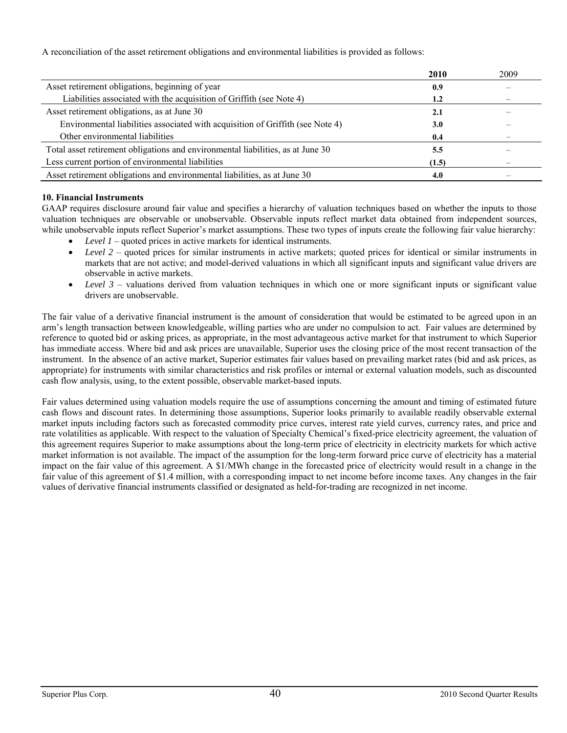A reconciliation of the asset retirement obligations and environmental liabilities is provided as follows:

|                                                                                 | 2010       | 2009 |
|---------------------------------------------------------------------------------|------------|------|
| Asset retirement obligations, beginning of year                                 | 0.9        |      |
| Liabilities associated with the acquisition of Griffith (see Note 4)            | 1.2        |      |
| Asset retirement obligations, as at June 30                                     | 2.1        |      |
| Environmental liabilities associated with acquisition of Griffith (see Note 4)  | <b>3.0</b> |      |
| Other environmental liabilities                                                 | 0.4        |      |
| Total asset retirement obligations and environmental liabilities, as at June 30 | 5.5        |      |
| Less current portion of environmental liabilities                               | (1.5)      |      |
| Asset retirement obligations and environmental liabilities, as at June 30       | 4.0        |      |

### **10. Financial Instruments**

GAAP requires disclosure around fair value and specifies a hierarchy of valuation techniques based on whether the inputs to those valuation techniques are observable or unobservable. Observable inputs reflect market data obtained from independent sources, while unobservable inputs reflect Superior's market assumptions. These two types of inputs create the following fair value hierarchy:

- *Level 1* quoted prices in active markets for identical instruments.
- *Level* 2 quoted prices for similar instruments in active markets; quoted prices for identical or similar instruments in markets that are not active; and model-derived valuations in which all significant inputs and significant value drivers are observable in active markets.
- Level 3 valuations derived from valuation techniques in which one or more significant inputs or significant value drivers are unobservable.

The fair value of a derivative financial instrument is the amount of consideration that would be estimated to be agreed upon in an arm's length transaction between knowledgeable, willing parties who are under no compulsion to act. Fair values are determined by reference to quoted bid or asking prices, as appropriate, in the most advantageous active market for that instrument to which Superior has immediate access. Where bid and ask prices are unavailable, Superior uses the closing price of the most recent transaction of the instrument. In the absence of an active market, Superior estimates fair values based on prevailing market rates (bid and ask prices, as appropriate) for instruments with similar characteristics and risk profiles or internal or external valuation models, such as discounted cash flow analysis, using, to the extent possible, observable market-based inputs.

Fair values determined using valuation models require the use of assumptions concerning the amount and timing of estimated future cash flows and discount rates. In determining those assumptions, Superior looks primarily to available readily observable external market inputs including factors such as forecasted commodity price curves, interest rate yield curves, currency rates, and price and rate volatilities as applicable. With respect to the valuation of Specialty Chemical's fixed-price electricity agreement, the valuation of this agreement requires Superior to make assumptions about the long-term price of electricity in electricity markets for which active market information is not available. The impact of the assumption for the long-term forward price curve of electricity has a material impact on the fair value of this agreement. A \$1/MWh change in the forecasted price of electricity would result in a change in the fair value of this agreement of \$1.4 million, with a corresponding impact to net income before income taxes. Any changes in the fair values of derivative financial instruments classified or designated as held-for-trading are recognized in net income.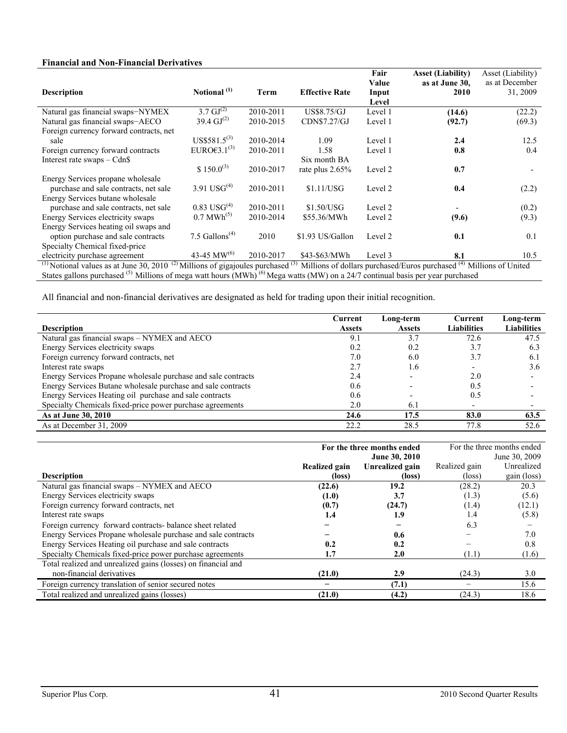## **Financial and Non-Financial Derivatives**

l,

|                                                                                                                   |                                         |           |                       | Fair    | <b>Asset (Liability)</b>                                                        | Asset (Liability) |
|-------------------------------------------------------------------------------------------------------------------|-----------------------------------------|-----------|-----------------------|---------|---------------------------------------------------------------------------------|-------------------|
|                                                                                                                   |                                         |           |                       | Value   | as at June 30,                                                                  | as at December    |
| <b>Description</b>                                                                                                | Notional <sup>(1)</sup>                 | Term      | <b>Effective Rate</b> | Input   | 2010                                                                            | 31, 2009          |
|                                                                                                                   |                                         |           |                       | Level   |                                                                                 |                   |
| Natural gas financial swaps-NYMEX                                                                                 | 3.7 $\mathrm{GJ}^{(2)}$                 | 2010-2011 | US\$8.75/GJ           | Level 1 | (14.6)                                                                          | (22.2)            |
| Natural gas financial swaps-AECO                                                                                  | 39.4 $GI^{(2)}$                         | 2010-2015 | CDN\$7.27/GJ          | Level 1 | (92.7)                                                                          | (69.3)            |
| Foreign currency forward contracts, net                                                                           |                                         |           |                       |         |                                                                                 |                   |
| sale                                                                                                              | $US$581.5^{(3)}$                        | 2010-2014 | 1.09                  | Level 1 | 2.4                                                                             | 12.5              |
| Foreign currency forward contracts                                                                                | EURO€3.1 <sup>(3)</sup>                 | 2010-2011 | 1.58                  | Level 1 | 0.8                                                                             | 0.4               |
| Interest rate swaps $-\text{Cdn}\$$                                                                               |                                         |           | Six month BA          |         |                                                                                 |                   |
|                                                                                                                   | \$ 150.0 <sup>(3)</sup>                 | 2010-2017 | rate plus 2.65%       | Level 2 | 0.7                                                                             |                   |
| Energy Services propane wholesale                                                                                 |                                         |           |                       |         |                                                                                 |                   |
| purchase and sale contracts, net sale                                                                             | 3.91 $USG(4)$                           | 2010-2011 | \$1.11/USG            | Level 2 | 0.4                                                                             | (2.2)             |
| Energy Services butane wholesale                                                                                  |                                         |           |                       |         |                                                                                 |                   |
| purchase and sale contracts, net sale                                                                             | $0.83$ USG <sup>(4)</sup>               | 2010-2011 | \$1.50/USG            | Level 2 |                                                                                 | (0.2)             |
| Energy Services electricity swaps                                                                                 | $0.7 \text{ MWh}^{(5)}$                 | 2010-2014 | \$55.36/MWh           | Level 2 | (9.6)                                                                           | (9.3)             |
| Energy Services heating oil swaps and                                                                             |                                         |           |                       |         |                                                                                 |                   |
| option purchase and sale contracts                                                                                | 7.5 Gallons <sup><math>(4)</math></sup> | 2010      | \$1.93 US/Gallon      | Level 2 | 0.1                                                                             | 0.1               |
| Specialty Chemical fixed-price                                                                                    |                                         |           |                       |         |                                                                                 |                   |
| electricity purchase agreement                                                                                    | 43-45 MW <sup>(6)</sup>                 | 2010-2017 | \$43-\$63/MWh         | Level 3 | 8.1                                                                             | 10.5              |
| <sup>(1)</sup> Notional values as at June 30, 2010 <sup>(2)</sup> Millions of gigajoules purchased <sup>(3)</sup> |                                         |           |                       |         | Millions of dollars purchased/Euros purchased <sup>(4)</sup> Millions of United |                   |

States gallons purchased <sup>(5)</sup> Millions of mega watt hours (MWh) <sup>(6)</sup> Mega watts (MW) on a 24/7 continual basis per year purchased

All financial and non-financial derivatives are designated as held for trading upon their initial recognition.

| <b>Description</b>                                            | Current<br><b>Assets</b> | Long-term<br><b>Assets</b> | <b>Current</b><br>Liabilities | Long-term<br><b>Liabilities</b> |
|---------------------------------------------------------------|--------------------------|----------------------------|-------------------------------|---------------------------------|
| Natural gas financial swaps – NYMEX and AECO                  | 9.1                      | 3.7                        | 72.6                          | 47.5                            |
| Energy Services electricity swaps                             | 0.2                      | 0.2                        | 3.7                           | 6.3                             |
| Foreign currency forward contracts, net                       | 7.0                      | 6.0                        | 3.7                           | 6.1                             |
| Interest rate swaps                                           | 2.7                      | 1.6                        |                               | 3.6                             |
| Energy Services Propane wholesale purchase and sale contracts | 2.4                      |                            | 2.0                           |                                 |
| Energy Services Butane wholesale purchase and sale contracts  | 0.6                      |                            | 0.5                           |                                 |
| Energy Services Heating oil purchase and sale contracts       | 0.6                      |                            | 0.5                           |                                 |
| Specialty Chemicals fixed-price power purchase agreements     | 2.0                      | 6.1                        |                               |                                 |
| As at June 30, 2010                                           | 24.6                     | 17.5                       | 83.0                          | 63.5                            |
| As at December 31, 2009                                       | 22.2                     | 28.5                       | 77.8                          | 52.6                            |
|                                                               |                          |                            |                               |                                 |

|                                                               |                      | For the three months ended |                 | For the three months ended |
|---------------------------------------------------------------|----------------------|----------------------------|-----------------|----------------------------|
|                                                               |                      | June 30, 2010              |                 | June 30, 2009              |
|                                                               | <b>Realized gain</b> | Unrealized gain            | Realized gain   | Unrealized                 |
| <b>Description</b>                                            | (loss)               | (loss)                     | $(\text{loss})$ | gain (loss)                |
| Natural gas financial swaps - NYMEX and AECO                  | (22.6)               | 19.2                       | (28.2)          | 20.3                       |
| Energy Services electricity swaps                             | (1.0)                | 3.7                        | (1.3)           | (5.6)                      |
| Foreign currency forward contracts, net                       | (0.7)                | (24.7)                     | (1.4)           | (12.1)                     |
| Interest rate swaps                                           | 1.4                  | 1.9                        | 1.4             | (5.8)                      |
| Foreign currency forward contracts-balance sheet related      |                      |                            | 6.3             |                            |
| Energy Services Propane wholesale purchase and sale contracts |                      | 0.6                        |                 | 7.0                        |
| Energy Services Heating oil purchase and sale contracts       | 0.2                  | 0.2                        |                 | 0.8                        |
| Specialty Chemicals fixed-price power purchase agreements     | 1.7                  | 2.0                        | (1.1)           | (1.6)                      |
| Total realized and unrealized gains (losses) on financial and |                      |                            |                 |                            |
| non-financial derivatives                                     | (21.0)               | 2.9                        | (24.3)          | 3.0                        |
| Foreign currency translation of senior secured notes          |                      | (7.1)                      |                 | 15.6                       |
| Total realized and unrealized gains (losses)                  | (21.0)               | (4.2)                      | (24.3)          | 18.6                       |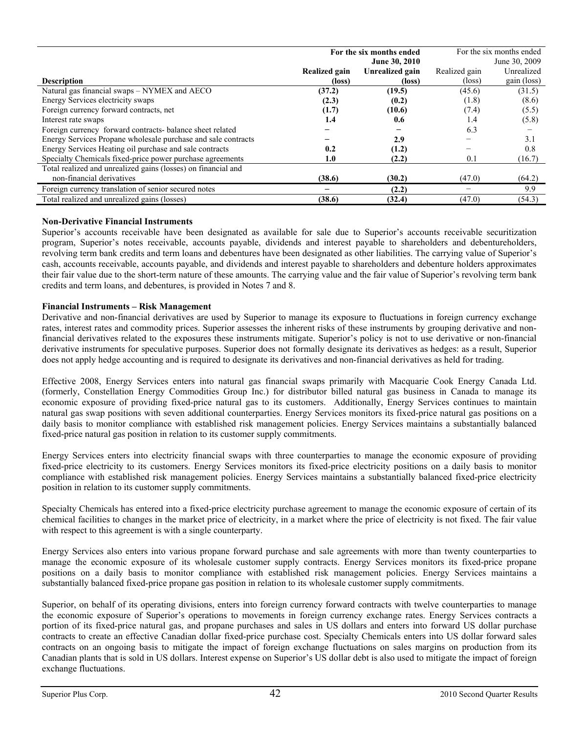|                                                               | For the six months ended |                 | For the six months ended |               |  |
|---------------------------------------------------------------|--------------------------|-----------------|--------------------------|---------------|--|
|                                                               |                          | June 30, 2010   |                          | June 30, 2009 |  |
|                                                               | Realized gain            | Unrealized gain | Realized gain            | Unrealized    |  |
| <b>Description</b>                                            | (loss)                   | (loss)          | $(\text{loss})$          | gain (loss)   |  |
| Natural gas financial swaps - NYMEX and AECO                  | (37.2)                   | (19.5)          | (45.6)                   | (31.5)        |  |
| Energy Services electricity swaps                             | (2.3)                    | (0.2)           | (1.8)                    | (8.6)         |  |
| Foreign currency forward contracts, net                       | (1.7)                    | (10.6)          | (7.4)                    | (5.5)         |  |
| Interest rate swaps                                           | 1.4                      | 0.6             | 1.4                      | (5.8)         |  |
| Foreign currency forward contracts-balance sheet related      |                          |                 | 6.3                      |               |  |
| Energy Services Propane wholesale purchase and sale contracts |                          | 2.9             |                          | 3.1           |  |
| Energy Services Heating oil purchase and sale contracts       | 0.2                      | (1.2)           |                          | 0.8           |  |
| Specialty Chemicals fixed-price power purchase agreements     | 1.0                      | (2.2)           | 0.1                      | (16.7)        |  |
| Total realized and unrealized gains (losses) on financial and |                          |                 |                          |               |  |
| non-financial derivatives                                     | (38.6)                   | (30.2)          | (47.0)                   | (64.2)        |  |
| Foreign currency translation of senior secured notes          |                          | (2.2)           |                          | 9.9           |  |
| Total realized and unrealized gains (losses)                  | (38.6)                   | (32.4)          | (47.0)                   | (54.3)        |  |

### **Non-Derivative Financial Instruments**

Superior's accounts receivable have been designated as available for sale due to Superior's accounts receivable securitization program, Superior's notes receivable, accounts payable, dividends and interest payable to shareholders and debentureholders, revolving term bank credits and term loans and debentures have been designated as other liabilities. The carrying value of Superior's cash, accounts receivable, accounts payable, and dividends and interest payable to shareholders and debenture holders approximates their fair value due to the short-term nature of these amounts. The carrying value and the fair value of Superior's revolving term bank credits and term loans, and debentures, is provided in Notes 7 and 8.

### **Financial Instruments – Risk Management**

Derivative and non-financial derivatives are used by Superior to manage its exposure to fluctuations in foreign currency exchange rates, interest rates and commodity prices. Superior assesses the inherent risks of these instruments by grouping derivative and nonfinancial derivatives related to the exposures these instruments mitigate. Superior's policy is not to use derivative or non-financial derivative instruments for speculative purposes. Superior does not formally designate its derivatives as hedges: as a result, Superior does not apply hedge accounting and is required to designate its derivatives and non-financial derivatives as held for trading.

Effective 2008, Energy Services enters into natural gas financial swaps primarily with Macquarie Cook Energy Canada Ltd. (formerly, Constellation Energy Commodities Group Inc.) for distributor billed natural gas business in Canada to manage its economic exposure of providing fixed-price natural gas to its customers. Additionally, Energy Services continues to maintain natural gas swap positions with seven additional counterparties. Energy Services monitors its fixed-price natural gas positions on a daily basis to monitor compliance with established risk management policies. Energy Services maintains a substantially balanced fixed-price natural gas position in relation to its customer supply commitments.

Energy Services enters into electricity financial swaps with three counterparties to manage the economic exposure of providing fixed-price electricity to its customers. Energy Services monitors its fixed-price electricity positions on a daily basis to monitor compliance with established risk management policies. Energy Services maintains a substantially balanced fixed-price electricity position in relation to its customer supply commitments.

Specialty Chemicals has entered into a fixed-price electricity purchase agreement to manage the economic exposure of certain of its chemical facilities to changes in the market price of electricity, in a market where the price of electricity is not fixed. The fair value with respect to this agreement is with a single counterparty.

Energy Services also enters into various propane forward purchase and sale agreements with more than twenty counterparties to manage the economic exposure of its wholesale customer supply contracts. Energy Services monitors its fixed-price propane positions on a daily basis to monitor compliance with established risk management policies. Energy Services maintains a substantially balanced fixed-price propane gas position in relation to its wholesale customer supply commitments.

Superior, on behalf of its operating divisions, enters into foreign currency forward contracts with twelve counterparties to manage the economic exposure of Superior's operations to movements in foreign currency exchange rates. Energy Services contracts a portion of its fixed-price natural gas, and propane purchases and sales in US dollars and enters into forward US dollar purchase contracts to create an effective Canadian dollar fixed-price purchase cost. Specialty Chemicals enters into US dollar forward sales contracts on an ongoing basis to mitigate the impact of foreign exchange fluctuations on sales margins on production from its Canadian plants that is sold in US dollars. Interest expense on Superior's US dollar debt is also used to mitigate the impact of foreign exchange fluctuations.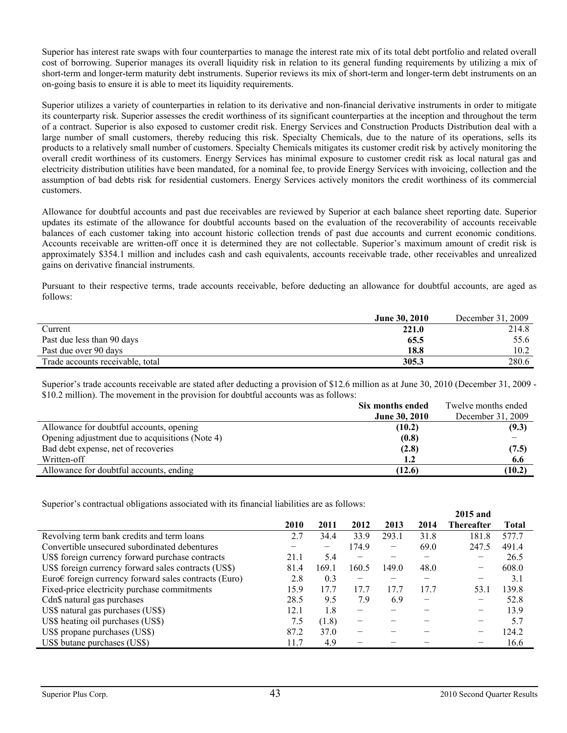Superior has interest rate swaps with four counterparties to manage the interest rate mix of its total debt portfolio and related overall cost of borrowing. Superior manages its overall liquidity risk in relation to its general funding requirements by utilizing a mix of short-term and longer-term maturity debt instruments. Superior reviews its mix of short-term and longer-term debt instruments on an on-going basis to ensure it is able to meet its liquidity requirements.

Superior utilizes a variety of counterparties in relation to its derivative and non-financial derivative instruments in order to mitigate its counterparty risk. Superior assesses the credit worthiness of its significant counterparties at the inception and throughout the term of a contract. Superior is also exposed to customer credit risk. Energy Services and Construction Products Distribution deal with a large number of small customers, thereby reducing this risk. Specialty Chemicals, due to the nature of its operations, sells its products to a relatively small number of customers. Specialty Chemicals mitigates its customer credit risk by actively monitoring the overall credit worthiness of its customers. Energy Services has minimal exposure to customer credit risk as local natural gas and electricity distribution utilities have been mandated, for a nominal fee, to provide Energy Services with invoicing, collection and the assumption of bad debts risk for residential customers. Energy Services actively monitors the credit worthiness of its commercial customers.

Allowance for doubtful accounts and past due receivables are reviewed by Superior at each balance sheet reporting date. Superior updates its estimate of the allowance for doubtful accounts based on the evaluation of the recoverability of accounts receivable balances of each customer taking into account historic collection trends of past due accounts and current economic conditions. Accounts receivable are written-off once it is determined they are not collectable. Superior's maximum amount of credit risk is approximately \$354.1 million and includes cash and cash equivalents, accounts receivable trade, other receivables and unrealized gains on derivative financial instruments.

Pursuant to their respective terms, trade accounts receivable, before deducting an allowance for doubtful accounts, are aged as follows:

|                                  | <b>June 30, 2010</b> | December 31, 2009 |
|----------------------------------|----------------------|-------------------|
| Current                          | 221.0                | 214.8             |
| Past due less than 90 days       | 65.5                 | 55.6              |
| Past due over 90 days            | 18.8                 | 10.2              |
| Trade accounts receivable, total | 305.3                | 280.6             |

Superior's trade accounts receivable are stated after deducting a provision of \$12.6 million as at June 30, 2010 (December 31, 2009 - \$10.2 million). The movement in the provision for doubtful accounts was as follows:

|                                                 | Six months ended     | Twelve months ended |
|-------------------------------------------------|----------------------|---------------------|
|                                                 | <b>June 30, 2010</b> | December 31, 2009   |
| Allowance for doubtful accounts, opening        | (10.2)               | (9.3)               |
| Opening adjustment due to acquisitions (Note 4) | (0.8)                |                     |
| Bad debt expense, net of recoveries             | (2.8)                | (7.5)               |
| Written-off                                     | 1.2                  | 6.6                 |
| Allowance for doubtful accounts, ending         | (12.6)               | (10.2)              |

Superior's contractual obligations associated with its financial liabilities are as follows:

|                                                       |      |       |                          |       |                          | 2015 and                 |       |
|-------------------------------------------------------|------|-------|--------------------------|-------|--------------------------|--------------------------|-------|
|                                                       | 2010 | 2011  | 2012                     | 2013  | 2014                     | <b>Thereafter</b>        | Total |
| Revolving term bank credits and term loans            | 2.7  | 34.4  | 33.9                     | 293.1 | 31.8                     | 181.8                    | 577.7 |
| Convertible unsecured subordinated debentures         |      | -     | 174.9                    | —     | 69.0                     | 247.5                    | 491.4 |
| US\$ foreign currency forward purchase contracts      | 21.1 | 5.4   | -                        |       |                          |                          | 26.5  |
| US\$ foreign currency forward sales contracts (US\$)  | 81.4 | 169.1 | 160.5                    | 149.0 | 48.0                     | -                        | 608.0 |
| Euro€ foreign currency forward sales contracts (Euro) | 2.8  | 0.3   | -                        |       |                          | $\qquad \qquad -$        | 3.1   |
| Fixed-price electricity purchase commitments          | 15.9 | 17.7  | 17.7                     | 17.7  | 17.7                     | 53.1                     | 139.8 |
| Cdn\$ natural gas purchases                           | 28.5 | 9.5   | 7.9                      | 6.9   | $\overline{\phantom{0}}$ |                          | 52.8  |
| US\$ natural gas purchases (US\$)                     | 12.1 | 1.8   | —                        |       |                          | –                        | 13.9  |
| US\$ heating oil purchases (US\$)                     | 7.5  | (1.8) | $\overline{\phantom{0}}$ |       |                          | $\overline{\phantom{m}}$ | 5.7   |
| US\$ propane purchases (US\$)                         | 87.2 | 37.0  | -                        |       |                          | -                        | 124.2 |
| US\$ butane purchases (US\$)                          | 11.7 | 4.9   |                          |       |                          |                          | 16.6  |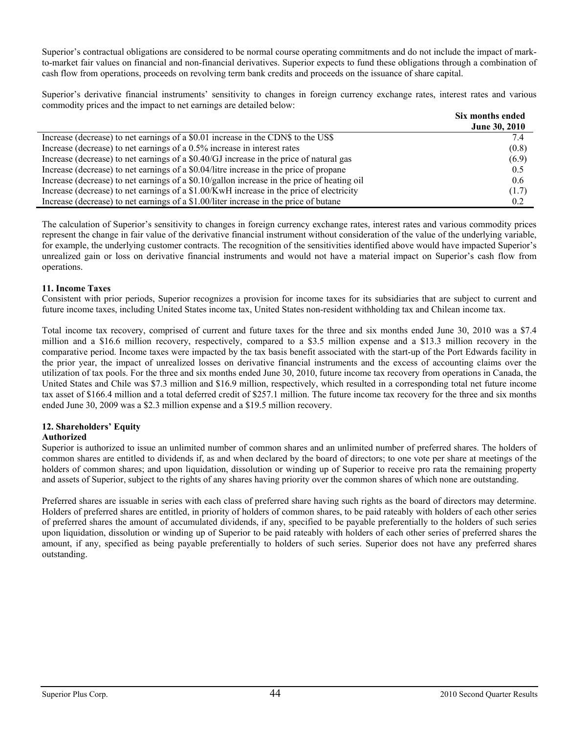Superior's contractual obligations are considered to be normal course operating commitments and do not include the impact of markto-market fair values on financial and non-financial derivatives. Superior expects to fund these obligations through a combination of cash flow from operations, proceeds on revolving term bank credits and proceeds on the issuance of share capital.

Superior's derivative financial instruments' sensitivity to changes in foreign currency exchange rates, interest rates and various commodity prices and the impact to net earnings are detailed below:

|                                                                                             | Six months ended     |
|---------------------------------------------------------------------------------------------|----------------------|
|                                                                                             | <b>June 30, 2010</b> |
| Increase (decrease) to net earnings of a \$0.01 increase in the CDN\$ to the US\$           | 7.4                  |
| Increase (decrease) to net earnings of a 0.5% increase in interest rates                    | (0.8)                |
| Increase (decrease) to net earnings of a \$0.40/GJ increase in the price of natural gas     | (6.9)                |
| Increase (decrease) to net earnings of a \$0.04/litre increase in the price of propane      | 0.5                  |
| Increase (decrease) to net earnings of a \$0.10/gallon increase in the price of heating oil | 0.6                  |
| Increase (decrease) to net earnings of a \$1.00/KwH increase in the price of electricity    | (1.7)                |
| Increase (decrease) to net earnings of a \$1.00/liter increase in the price of butane       | 0.2                  |

The calculation of Superior's sensitivity to changes in foreign currency exchange rates, interest rates and various commodity prices represent the change in fair value of the derivative financial instrument without consideration of the value of the underlying variable, for example, the underlying customer contracts. The recognition of the sensitivities identified above would have impacted Superior's unrealized gain or loss on derivative financial instruments and would not have a material impact on Superior's cash flow from operations.

### **11. Income Taxes**

Consistent with prior periods, Superior recognizes a provision for income taxes for its subsidiaries that are subject to current and future income taxes, including United States income tax, United States non-resident withholding tax and Chilean income tax.

Total income tax recovery, comprised of current and future taxes for the three and six months ended June 30, 2010 was a \$7.4 million and a \$16.6 million recovery, respectively, compared to a \$3.5 million expense and a \$13.3 million recovery in the comparative period. Income taxes were impacted by the tax basis benefit associated with the start-up of the Port Edwards facility in the prior year, the impact of unrealized losses on derivative financial instruments and the excess of accounting claims over the utilization of tax pools. For the three and six months ended June 30, 2010, future income tax recovery from operations in Canada, the United States and Chile was \$7.3 million and \$16.9 million, respectively, which resulted in a corresponding total net future income tax asset of \$166.4 million and a total deferred credit of \$257.1 million. The future income tax recovery for the three and six months ended June 30, 2009 was a \$2.3 million expense and a \$19.5 million recovery.

# **12. Shareholders' Equity**

## **Authorized**

Superior is authorized to issue an unlimited number of common shares and an unlimited number of preferred shares. The holders of common shares are entitled to dividends if, as and when declared by the board of directors; to one vote per share at meetings of the holders of common shares; and upon liquidation, dissolution or winding up of Superior to receive pro rata the remaining property and assets of Superior, subject to the rights of any shares having priority over the common shares of which none are outstanding.

Preferred shares are issuable in series with each class of preferred share having such rights as the board of directors may determine. Holders of preferred shares are entitled, in priority of holders of common shares, to be paid rateably with holders of each other series of preferred shares the amount of accumulated dividends, if any, specified to be payable preferentially to the holders of such series upon liquidation, dissolution or winding up of Superior to be paid rateably with holders of each other series of preferred shares the amount, if any, specified as being payable preferentially to holders of such series. Superior does not have any preferred shares outstanding.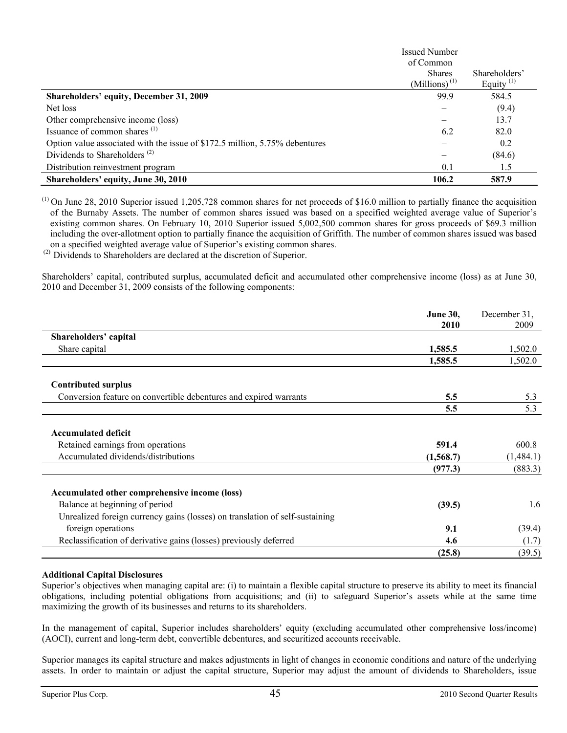|                                                                             | <b>Issued Number</b> |               |
|-----------------------------------------------------------------------------|----------------------|---------------|
|                                                                             | of Common            |               |
|                                                                             | <b>Shares</b>        | Shareholders' |
|                                                                             | $(Millions)^{(1)}$   | Equity $(1)$  |
| <b>Shareholders' equity, December 31, 2009</b>                              | 99.9                 | 584.5         |
| Net loss                                                                    |                      | (9.4)         |
| Other comprehensive income (loss)                                           |                      | 13.7          |
| Issuance of common shares $(1)$                                             | 6.2                  | 82.0          |
| Option value associated with the issue of \$172.5 million, 5.75% debentures |                      | 0.2           |
| Dividends to Shareholders <sup>(2)</sup>                                    |                      | (84.6)        |
| Distribution reinvestment program                                           | 0.1                  | 1.5           |
| <b>Shareholders' equity, June 30, 2010</b>                                  | 106.2                | 587.9         |

 $^{(1)}$  On June 28, 2010 Superior issued 1,205,728 common shares for net proceeds of \$16.0 million to partially finance the acquisition of the Burnaby Assets. The number of common shares issued was based on a specified weighted average value of Superior's existing common shares. On February 10, 2010 Superior issued 5,002,500 common shares for gross proceeds of \$69.3 million including the over-allotment option to partially finance the acquisition of Griffith. The number of common shares issued was based on a specified weighted average value of Superior's existing common shares.

<sup>(2)</sup> Dividends to Shareholders are declared at the discretion of Superior.

Shareholders' capital, contributed surplus, accumulated deficit and accumulated other comprehensive income (loss) as at June 30, 2010 and December 31, 2009 consists of the following components:

|                                                                              | <b>June 30,</b><br>2010 | December 31,<br>2009 |
|------------------------------------------------------------------------------|-------------------------|----------------------|
| Shareholders' capital                                                        |                         |                      |
| Share capital                                                                | 1,585.5                 | 1,502.0              |
|                                                                              | 1,585.5                 | 1,502.0              |
| <b>Contributed surplus</b>                                                   |                         |                      |
| Conversion feature on convertible debentures and expired warrants            | 5.5                     | 5.3                  |
|                                                                              | 5.5                     | 5.3                  |
| <b>Accumulated deficit</b>                                                   |                         |                      |
| Retained earnings from operations                                            | 591.4                   | 600.8                |
| Accumulated dividends/distributions                                          | (1,568.7)               | (1,484.1)            |
|                                                                              | (977.3)                 | (883.3)              |
| Accumulated other comprehensive income (loss)                                |                         |                      |
| Balance at beginning of period                                               | (39.5)                  | 1.6                  |
| Unrealized foreign currency gains (losses) on translation of self-sustaining |                         |                      |
| foreign operations                                                           | 9.1                     | (39.4)               |
| Reclassification of derivative gains (losses) previously deferred            | 4.6                     | (1.7)                |
|                                                                              | (25.8)                  | (39.5)               |

### **Additional Capital Disclosures**

Superior's objectives when managing capital are: (i) to maintain a flexible capital structure to preserve its ability to meet its financial obligations, including potential obligations from acquisitions; and (ii) to safeguard Superior's assets while at the same time maximizing the growth of its businesses and returns to its shareholders.

In the management of capital, Superior includes shareholders' equity (excluding accumulated other comprehensive loss/income) (AOCI), current and long-term debt, convertible debentures, and securitized accounts receivable.

Superior manages its capital structure and makes adjustments in light of changes in economic conditions and nature of the underlying assets. In order to maintain or adjust the capital structure, Superior may adjust the amount of dividends to Shareholders, issue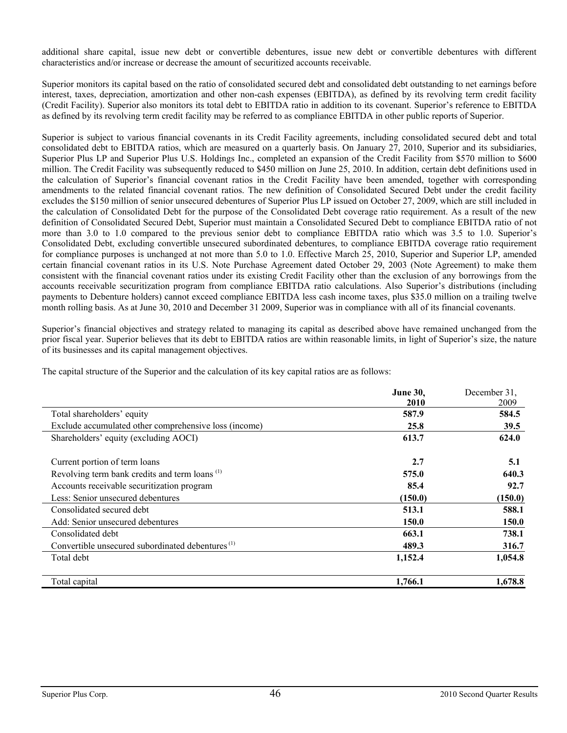additional share capital, issue new debt or convertible debentures, issue new debt or convertible debentures with different characteristics and/or increase or decrease the amount of securitized accounts receivable.

Superior monitors its capital based on the ratio of consolidated secured debt and consolidated debt outstanding to net earnings before interest, taxes, depreciation, amortization and other non-cash expenses (EBITDA), as defined by its revolving term credit facility (Credit Facility). Superior also monitors its total debt to EBITDA ratio in addition to its covenant. Superior's reference to EBITDA as defined by its revolving term credit facility may be referred to as compliance EBITDA in other public reports of Superior.

Superior is subject to various financial covenants in its Credit Facility agreements, including consolidated secured debt and total consolidated debt to EBITDA ratios, which are measured on a quarterly basis. On January 27, 2010, Superior and its subsidiaries, Superior Plus LP and Superior Plus U.S. Holdings Inc., completed an expansion of the Credit Facility from \$570 million to \$600 million. The Credit Facility was subsequently reduced to \$450 million on June 25, 2010. In addition, certain debt definitions used in the calculation of Superior's financial covenant ratios in the Credit Facility have been amended, together with corresponding amendments to the related financial covenant ratios. The new definition of Consolidated Secured Debt under the credit facility excludes the \$150 million of senior unsecured debentures of Superior Plus LP issued on October 27, 2009, which are still included in the calculation of Consolidated Debt for the purpose of the Consolidated Debt coverage ratio requirement. As a result of the new definition of Consolidated Secured Debt, Superior must maintain a Consolidated Secured Debt to compliance EBITDA ratio of not more than 3.0 to 1.0 compared to the previous senior debt to compliance EBITDA ratio which was 3.5 to 1.0. Superior's Consolidated Debt, excluding convertible unsecured subordinated debentures, to compliance EBITDA coverage ratio requirement for compliance purposes is unchanged at not more than 5.0 to 1.0. Effective March 25, 2010, Superior and Superior LP, amended certain financial covenant ratios in its U.S. Note Purchase Agreement dated October 29, 2003 (Note Agreement) to make them consistent with the financial covenant ratios under its existing Credit Facility other than the exclusion of any borrowings from the accounts receivable securitization program from compliance EBITDA ratio calculations. Also Superior's distributions (including payments to Debenture holders) cannot exceed compliance EBITDA less cash income taxes, plus \$35.0 million on a trailing twelve month rolling basis. As at June 30, 2010 and December 31 2009, Superior was in compliance with all of its financial covenants.

Superior's financial objectives and strategy related to managing its capital as described above have remained unchanged from the prior fiscal year. Superior believes that its debt to EBITDA ratios are within reasonable limits, in light of Superior's size, the nature of its businesses and its capital management objectives.

The capital structure of the Superior and the calculation of its key capital ratios are as follows:

|                                                              | <b>June 30,</b><br>2010 | December 31,<br>2009 |
|--------------------------------------------------------------|-------------------------|----------------------|
| Total shareholders' equity                                   | 587.9                   | 584.5                |
| Exclude accumulated other comprehensive loss (income)        | 25.8                    | 39.5                 |
| Shareholders' equity (excluding AOCI)                        | 613.7                   | 624.0                |
| Current portion of term loans                                | 2.7                     | 5.1                  |
| Revolving term bank credits and term loans <sup>(1)</sup>    | 575.0                   | 640.3                |
| Accounts receivable securitization program                   | 85.4                    | 92.7                 |
| Less: Senior unsecured debentures                            | (150.0)                 | (150.0)              |
| Consolidated secured debt                                    | 513.1                   | 588.1                |
| Add: Senior unsecured debentures                             | 150.0                   | 150.0                |
| Consolidated debt                                            | 663.1                   | 738.1                |
| Convertible unsecured subordinated debentures <sup>(1)</sup> | 489.3                   | 316.7                |
| Total debt                                                   | 1,152.4                 | 1,054.8              |
| Total capital                                                | 1,766.1                 | 1,678.8              |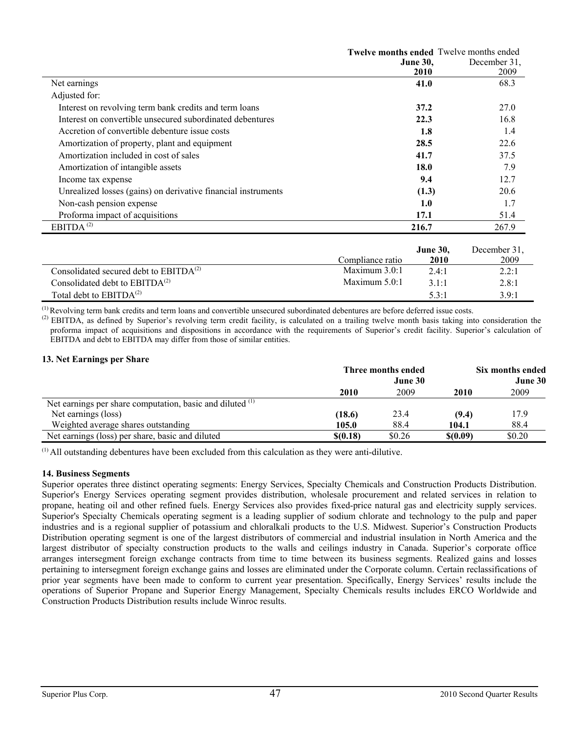|                                                               | <b>Twelve months ended</b> Twelve months ended |              |
|---------------------------------------------------------------|------------------------------------------------|--------------|
|                                                               | <b>June 30,</b>                                | December 31, |
|                                                               | <b>2010</b>                                    | 2009         |
| Net earnings                                                  | 41.0                                           | 68.3         |
| Adjusted for:                                                 |                                                |              |
| Interest on revolving term bank credits and term loans        | 37.2                                           | 27.0         |
| Interest on convertible unsecured subordinated debentures     | 22.3                                           | 16.8         |
| Accretion of convertible debenture issue costs                | 1.8                                            | 1.4          |
| Amortization of property, plant and equipment                 | 28.5                                           | 22.6         |
| Amortization included in cost of sales                        | 41.7                                           | 37.5         |
| Amortization of intangible assets                             | <b>18.0</b>                                    | 7.9          |
| Income tax expense                                            | 9.4                                            | 12.7         |
| Unrealized losses (gains) on derivative financial instruments | (1.3)                                          | 20.6         |
| Non-cash pension expense                                      | 1.0                                            | 1.7          |
| Proforma impact of acquisitions                               | 17.1                                           | 51.4         |
| EBITDA $^{(2)}$                                               | 216.7                                          | 267.9        |

|                                          | Compliance ratio | <b>June 30,</b><br>2010 | December 31.<br>2009 |
|------------------------------------------|------------------|-------------------------|----------------------|
| Consolidated secured debt to $EBITDA(2)$ | Maximum $3.0:1$  | 2.4:1                   | 2.2:1                |
| Consolidated debt to $EBITDA(2)$         | Maximum $5.0:1$  | 3.1:1                   | 2.8:1                |
| Total debt to $EBITDA(2)$                |                  | 5.3:1                   | 39.1                 |

(1) Revolving term bank credits and term loans and convertible unsecured subordinated debentures are before deferred issue costs.

 $^{(2)}$  EBITDA, as defined by Superior's revolving term credit facility, is calculated on a trailing twelve month basis taking into consideration the proforma impact of acquisitions and dispositions in accordance with the requirements of Superior's credit facility. Superior's calculation of EBITDA and debt to EBITDA may differ from those of similar entities.

### **13. Net Earnings per Share**

|                                                                      |          | Three months ended | Six months ended |         |  |
|----------------------------------------------------------------------|----------|--------------------|------------------|---------|--|
|                                                                      |          | June 30            |                  | June 30 |  |
|                                                                      | 2010     | 2009               | 2010             | 2009    |  |
| Net earnings per share computation, basic and diluted <sup>(1)</sup> |          |                    |                  |         |  |
| Net earnings (loss)                                                  | (18.6)   | 23.4               | (9.4)            | 17.9    |  |
| Weighted average shares outstanding                                  | 105.0    | 88.4               | 104.1            | 88.4    |  |
| Net earnings (loss) per share, basic and diluted                     | \$(0.18) | \$0.26             | \$(0.09)         | \$0.20  |  |

 $<sup>(1)</sup>$  All outstanding debentures have been excluded from this calculation as they were anti-dilutive.</sup>

### **14. Business Segments**

Superior operates three distinct operating segments: Energy Services, Specialty Chemicals and Construction Products Distribution. Superior's Energy Services operating segment provides distribution, wholesale procurement and related services in relation to propane, heating oil and other refined fuels. Energy Services also provides fixed-price natural gas and electricity supply services. Superior's Specialty Chemicals operating segment is a leading supplier of sodium chlorate and technology to the pulp and paper industries and is a regional supplier of potassium and chloralkali products to the U.S. Midwest. Superior's Construction Products Distribution operating segment is one of the largest distributors of commercial and industrial insulation in North America and the largest distributor of specialty construction products to the walls and ceilings industry in Canada. Superior's corporate office arranges intersegment foreign exchange contracts from time to time between its business segments. Realized gains and losses pertaining to intersegment foreign exchange gains and losses are eliminated under the Corporate column. Certain reclassifications of prior year segments have been made to conform to current year presentation. Specifically, Energy Services' results include the operations of Superior Propane and Superior Energy Management, Specialty Chemicals results includes ERCO Worldwide and Construction Products Distribution results include Winroc results.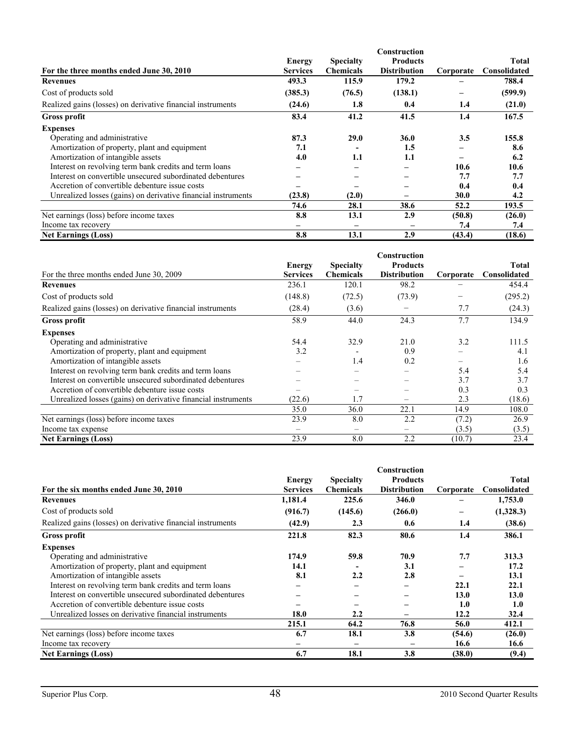|                                                               |                 |                  | Construction             |           |              |
|---------------------------------------------------------------|-----------------|------------------|--------------------------|-----------|--------------|
|                                                               | <b>Energy</b>   | <b>Specialty</b> | <b>Products</b>          |           | Total        |
| For the three months ended June 30, 2010                      | <b>Services</b> | <b>Chemicals</b> | <b>Distribution</b>      | Corporate | Consolidated |
| <b>Revenues</b>                                               | 493.3           | 115.9            | 179.2                    |           | 788.4        |
| Cost of products sold                                         | (385.3)         | (76.5)           | (138.1)                  |           | (599.9)      |
| Realized gains (losses) on derivative financial instruments   | (24.6)          | 1.8              | 0.4                      | 1.4       | (21.0)       |
| <b>Gross profit</b>                                           | 83.4            | 41.2             | 41.5                     | 1.4       | 167.5        |
| <b>Expenses</b>                                               |                 |                  |                          |           |              |
| Operating and administrative                                  | 87.3            | 29.0             | 36.0                     | 3.5       | 155.8        |
| Amortization of property, plant and equipment                 | 7.1             |                  | 1.5                      |           | 8.6          |
| Amortization of intangible assets                             | 4.0             | 1.1              | 1.1                      |           | 6.2          |
| Interest on revolving term bank credits and term loans        |                 |                  |                          | 10.6      | 10.6         |
| Interest on convertible unsecured subordinated debentures     |                 |                  |                          | 7.7       | 7.7          |
| Accretion of convertible debenture issue costs                |                 |                  |                          | 0.4       | 0.4          |
| Unrealized losses (gains) on derivative financial instruments | (23.8)          | (2.0)            |                          | 30.0      | 4.2          |
|                                                               | 74.6            | 28.1             | 38.6                     | 52.2      | 193.5        |
| Net earnings (loss) before income taxes                       | 8.8             | 13.1             | 2.9                      | (50.8)    | (26.0)       |
| Income tax recovery                                           | —               | -                | $\overline{\phantom{m}}$ | 7.4       | 7.4          |
| <b>Net Earnings (Loss)</b>                                    | 8.8             | 13.1             | 2.9                      | (43.4)    | (18.6)       |

|                                                               | Energy          | <b>Specialty</b> | <b>Construction</b><br><b>Products</b> |           | Total        |
|---------------------------------------------------------------|-----------------|------------------|----------------------------------------|-----------|--------------|
| For the three months ended June 30, 2009                      | <b>Services</b> | <b>Chemicals</b> | <b>Distribution</b>                    | Corporate | Consolidated |
| <b>Revenues</b>                                               | 236.1           | 120.1            | 98.2                                   |           | 454.4        |
| Cost of products sold                                         | (148.8)         | (72.5)           | (73.9)                                 |           | (295.2)      |
| Realized gains (losses) on derivative financial instruments   | (28.4)          | (3.6)            |                                        | 7.7       | (24.3)       |
| <b>Gross profit</b>                                           | 58.9            | 44.0             | 24.3                                   | 7.7       | 134.9        |
| <b>Expenses</b>                                               |                 |                  |                                        |           |              |
| Operating and administrative                                  | 54.4            | 32.9             | 21.0                                   | 3.2       | 111.5        |
| Amortization of property, plant and equipment                 | 3.2             |                  | 0.9                                    |           | 4.1          |
| Amortization of intangible assets                             |                 | 1.4              | 0.2                                    |           | 1.6          |
| Interest on revolving term bank credits and term loans        |                 |                  |                                        | 5.4       | 5.4          |
| Interest on convertible unsecured subordinated debentures     |                 |                  |                                        | 3.7       | 3.7          |
| Accretion of convertible debenture issue costs                |                 |                  |                                        | 0.3       | 0.3          |
| Unrealized losses (gains) on derivative financial instruments | (22.6)          | 1.7              |                                        | 2.3       | (18.6)       |
|                                                               | 35.0            | 36.0             | 22.1                                   | 14.9      | 108.0        |
| Net earnings (loss) before income taxes                       | 23.9            | 8.0              | 2.2                                    | (7.2)     | 26.9         |
| Income tax expense                                            |                 |                  |                                        | (3.5)     | (3.5)        |
| <b>Net Earnings (Loss)</b>                                    | 23.9            | 8.0              | 2.2                                    | (10.7)    | 23.4         |

| For the six months ended June 30, 2010                      | Energy<br><b>Services</b> | <b>Specialty</b><br><b>Chemicals</b> | <b>Construction</b><br><b>Products</b><br><b>Distribution</b> | Corporate | Total<br>Consolidated |
|-------------------------------------------------------------|---------------------------|--------------------------------------|---------------------------------------------------------------|-----------|-----------------------|
| <b>Revenues</b>                                             | 1,181.4                   | 225.6                                | 346.0                                                         |           | 1,753.0               |
| Cost of products sold                                       | (916.7)                   | (145.6)                              | (266.0)                                                       |           | (1,328.3)             |
| Realized gains (losses) on derivative financial instruments | (42.9)                    | 2.3                                  | 0.6                                                           | 1.4       | (38.6)                |
| <b>Gross profit</b>                                         | 221.8                     | 82.3                                 | 80.6                                                          | 1.4       | 386.1                 |
| <b>Expenses</b>                                             |                           |                                      |                                                               |           |                       |
| Operating and administrative                                | 174.9                     | 59.8                                 | 70.9                                                          | 7.7       | 313.3                 |
| Amortization of property, plant and equipment               | 14.1                      |                                      | 3.1                                                           |           | 17.2                  |
| Amortization of intangible assets                           | 8.1                       | 2.2                                  | 2.8                                                           |           | 13.1                  |
| Interest on revolving term bank credits and term loans      |                           |                                      |                                                               | 22.1      | 22.1                  |
| Interest on convertible unsecured subordinated debentures   |                           |                                      |                                                               | 13.0      | 13.0                  |
| Accretion of convertible debenture issue costs              |                           |                                      |                                                               | 1.0       | 1.0                   |
| Unrealized losses on derivative financial instruments       | 18.0                      | 2.2                                  |                                                               | 12.2      | 32.4                  |
|                                                             | 215.1                     | 64.2                                 | 76.8                                                          | 56.0      | 412.1                 |
| Net earnings (loss) before income taxes                     | 6.7                       | 18.1                                 | 3.8                                                           | (54.6)    | (26.0)                |
| Income tax recovery                                         |                           |                                      |                                                               | 16.6      | 16.6                  |
| <b>Net Earnings (Loss)</b>                                  | 6.7                       | 18.1                                 | 3.8                                                           | (38.0)    | (9.4)                 |